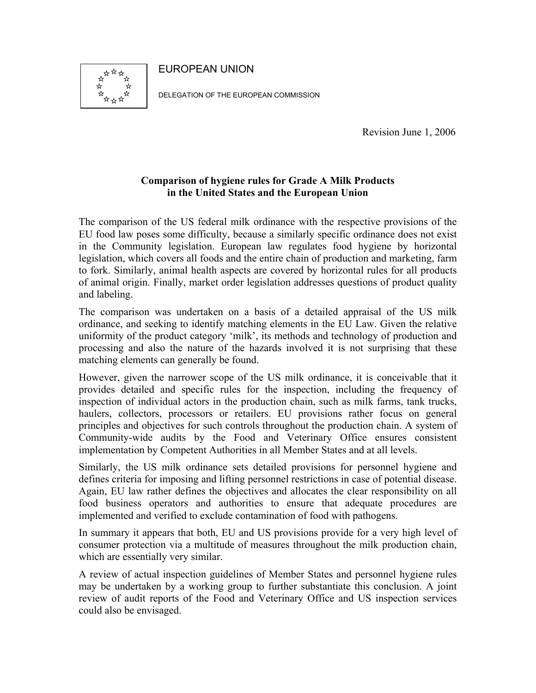EUROPEAN UNION



DELEGATION OF THE EUROPEAN COMMISSION

Revision June 1, 2006

#### **Comparison of hygiene rules for Grade A Milk Products in the United States and the European Union**

The comparison of the US federal milk ordinance with the respective provisions of the EU food law poses some difficulty, because a similarly specific ordinance does not exist in the Community legislation. European law regulates food hygiene by horizontal legislation, which covers all foods and the entire chain of production and marketing, farm to fork. Similarly, animal health aspects are covered by horizontal rules for all products of animal origin. Finally, market order legislation addresses questions of product quality and labeling.

The comparison was undertaken on a basis of a detailed appraisal of the US milk ordinance, and seeking to identify matching elements in the EU Law. Given the relative uniformity of the product category 'milk', its methods and technology of production and processing and also the nature of the hazards involved it is not surprising that these matching elements can generally be found.

However, given the narrower scope of the US milk ordinance, it is conceivable that it provides detailed and specific rules for the inspection, including the frequency of inspection of individual actors in the production chain, such as milk farms, tank trucks, haulers, collectors, processors or retailers. EU provisions rather focus on general principles and objectives for such controls throughout the production chain. A system of Community-wide audits by the Food and Veterinary Office ensures consistent implementation by Competent Authorities in all Member States and at all levels.

Similarly, the US milk ordinance sets detailed provisions for personnel hygiene and defines criteria for imposing and lifting personnel restrictions in case of potential disease. Again, EU law rather defines the objectives and allocates the clear responsibility on all food business operators and authorities to ensure that adequate procedures are implemented and verified to exclude contamination of food with pathogens.

In summary it appears that both, EU and US provisions provide for a very high level of consumer protection via a multitude of measures throughout the milk production chain, which are essentially very similar.

A review of actual inspection guidelines of Member States and personnel hygiene rules may be undertaken by a working group to further substantiate this conclusion. A joint review of audit reports of the Food and Veterinary Office and US inspection services could also be envisaged.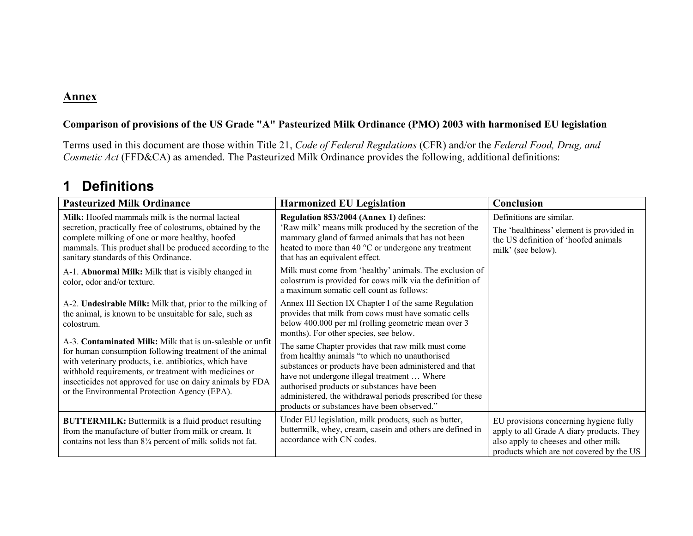#### **Annex**

#### **Comparison of provisions of the US Grade "A" Pasteurized Milk Ordinance (PMO) 2003 with harmonised EU legislation**

Terms used in this document are those within Title 21, *Code of Federal Regulations* (CFR) and/or the *Federal Food, Drug, and Cosmetic Act* (FFD&CA) as amended. The Pasteurized Milk Ordinance provides the following, additional definitions:

## **1 Definitions**

| <b>Pasteurized Milk Ordinance</b>                                                                                                                                                                                                                                                                                                                     | <b>Harmonized EU Legislation</b>                                                                                                                                                                                                                                                                                                                                        | Conclusion                                                                                                                                                              |
|-------------------------------------------------------------------------------------------------------------------------------------------------------------------------------------------------------------------------------------------------------------------------------------------------------------------------------------------------------|-------------------------------------------------------------------------------------------------------------------------------------------------------------------------------------------------------------------------------------------------------------------------------------------------------------------------------------------------------------------------|-------------------------------------------------------------------------------------------------------------------------------------------------------------------------|
| Milk: Hoofed mammals milk is the normal lacteal<br>secretion, practically free of colostrums, obtained by the<br>complete milking of one or more healthy, hoofed<br>mammals. This product shall be produced according to the<br>sanitary standards of this Ordinance.                                                                                 | Regulation 853/2004 (Annex 1) defines:<br>'Raw milk' means milk produced by the secretion of the<br>mammary gland of farmed animals that has not been<br>heated to more than 40 °C or undergone any treatment<br>that has an equivalent effect.                                                                                                                         | Definitions are similar.<br>The 'healthiness' element is provided in<br>the US definition of 'hoofed animals<br>milk' (see below).                                      |
| A-1. Abnormal Milk: Milk that is visibly changed in<br>color, odor and/or texture.                                                                                                                                                                                                                                                                    | Milk must come from 'healthy' animals. The exclusion of<br>colostrum is provided for cows milk via the definition of<br>a maximum somatic cell count as follows:                                                                                                                                                                                                        |                                                                                                                                                                         |
| A-2. Undesirable Milk: Milk that, prior to the milking of<br>the animal, is known to be unsuitable for sale, such as<br>colostrum.                                                                                                                                                                                                                    | Annex III Section IX Chapter I of the same Regulation<br>provides that milk from cows must have somatic cells<br>below 400.000 per ml (rolling geometric mean over 3<br>months). For other species, see below.                                                                                                                                                          |                                                                                                                                                                         |
| A-3. Contaminated Milk: Milk that is un-saleable or unfit<br>for human consumption following treatment of the animal<br>with veterinary products, i.e. antibiotics, which have<br>withhold requirements, or treatment with medicines or<br>insecticides not approved for use on dairy animals by FDA<br>or the Environmental Protection Agency (EPA). | The same Chapter provides that raw milk must come<br>from healthy animals "to which no unauthorised<br>substances or products have been administered and that<br>have not undergone illegal treatment  Where<br>authorised products or substances have been<br>administered, the withdrawal periods prescribed for these<br>products or substances have been observed." |                                                                                                                                                                         |
| <b>BUTTERMILK:</b> Buttermilk is a fluid product resulting<br>from the manufacture of butter from milk or cream. It<br>contains not less than $8\frac{1}{4}$ percent of milk solids not fat.                                                                                                                                                          | Under EU legislation, milk products, such as butter,<br>buttermilk, whey, cream, casein and others are defined in<br>accordance with CN codes.                                                                                                                                                                                                                          | EU provisions concerning hygiene fully<br>apply to all Grade A diary products. They<br>also apply to cheeses and other milk<br>products which are not covered by the US |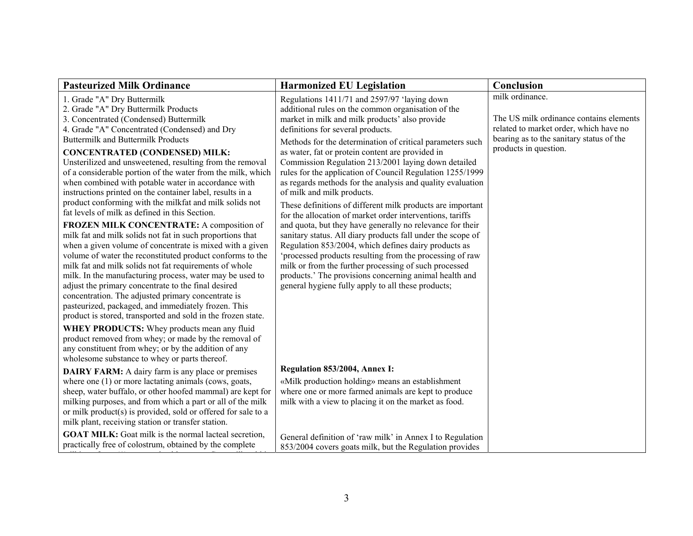| <b>Pasteurized Milk Ordinance</b>                                                                                   | <b>Harmonized EU Legislation</b>                                                                         | Conclusion                               |
|---------------------------------------------------------------------------------------------------------------------|----------------------------------------------------------------------------------------------------------|------------------------------------------|
| 1. Grade "A" Dry Buttermilk                                                                                         | Regulations 1411/71 and 2597/97 'laying down                                                             | milk ordinance.                          |
| 2. Grade "A" Dry Buttermilk Products                                                                                | additional rules on the common organisation of the                                                       |                                          |
| 3. Concentrated (Condensed) Buttermilk                                                                              | market in milk and milk products' also provide                                                           | The US milk ordinance contains elements  |
| 4. Grade "A" Concentrated (Condensed) and Dry                                                                       | definitions for several products.                                                                        | related to market order, which have no   |
| <b>Buttermilk and Buttermilk Products</b>                                                                           | Methods for the determination of critical parameters such                                                | bearing as to the sanitary status of the |
| <b>CONCENTRATED (CONDENSED) MILK:</b>                                                                               | as water, fat or protein content are provided in                                                         | products in question.                    |
| Unsterilized and unsweetened, resulting from the removal                                                            | Commission Regulation 213/2001 laying down detailed                                                      |                                          |
| of a considerable portion of the water from the milk, which                                                         | rules for the application of Council Regulation 1255/1999                                                |                                          |
| when combined with potable water in accordance with                                                                 | as regards methods for the analysis and quality evaluation                                               |                                          |
| instructions printed on the container label, results in a                                                           | of milk and milk products.                                                                               |                                          |
| product conforming with the milkfat and milk solids not                                                             | These definitions of different milk products are important                                               |                                          |
| fat levels of milk as defined in this Section.                                                                      | for the allocation of market order interventions, tariffs                                                |                                          |
| FROZEN MILK CONCENTRATE: A composition of                                                                           | and quota, but they have generally no relevance for their                                                |                                          |
| milk fat and milk solids not fat in such proportions that                                                           | sanitary status. All diary products fall under the scope of                                              |                                          |
| when a given volume of concentrate is mixed with a given                                                            | Regulation 853/2004, which defines dairy products as                                                     |                                          |
| volume of water the reconstituted product conforms to the                                                           | 'processed products resulting from the processing of raw                                                 |                                          |
| milk fat and milk solids not fat requirements of whole                                                              | milk or from the further processing of such processed                                                    |                                          |
| milk. In the manufacturing process, water may be used to                                                            | products.' The provisions concerning animal health and                                                   |                                          |
| adjust the primary concentrate to the final desired<br>concentration. The adjusted primary concentrate is           | general hygiene fully apply to all these products;                                                       |                                          |
| pasteurized, packaged, and immediately frozen. This                                                                 |                                                                                                          |                                          |
| product is stored, transported and sold in the frozen state.                                                        |                                                                                                          |                                          |
|                                                                                                                     |                                                                                                          |                                          |
| <b>WHEY PRODUCTS:</b> Whey products mean any fluid                                                                  |                                                                                                          |                                          |
| product removed from whey; or made by the removal of<br>any constituent from whey; or by the addition of any        |                                                                                                          |                                          |
| wholesome substance to whey or parts thereof.                                                                       |                                                                                                          |                                          |
|                                                                                                                     | Regulation 853/2004, Annex I:                                                                            |                                          |
| <b>DAIRY FARM:</b> A dairy farm is any place or premises                                                            |                                                                                                          |                                          |
| where one (1) or more lactating animals (cows, goats,<br>sheep, water buffalo, or other hoofed mammal) are kept for | «Milk production holding» means an establishment<br>where one or more farmed animals are kept to produce |                                          |
| milking purposes, and from which a part or all of the milk                                                          | milk with a view to placing it on the market as food.                                                    |                                          |
| or milk product(s) is provided, sold or offered for sale to a                                                       |                                                                                                          |                                          |
| milk plant, receiving station or transfer station.                                                                  |                                                                                                          |                                          |
| <b>GOAT MILK:</b> Goat milk is the normal lacteal secretion,                                                        |                                                                                                          |                                          |
| practically free of colostrum, obtained by the complete                                                             | General definition of 'raw milk' in Annex I to Regulation                                                |                                          |
|                                                                                                                     | 853/2004 covers goats milk, but the Regulation provides                                                  |                                          |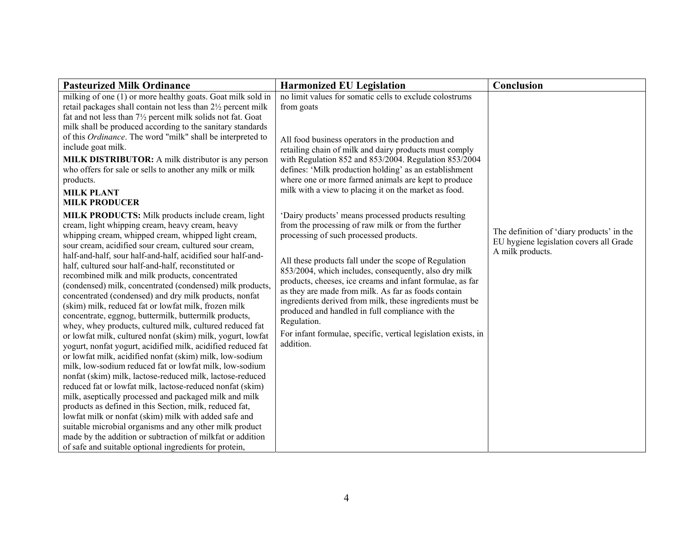| <b>Pasteurized Milk Ordinance</b>                                                                                                                                                                                                                                                                                                                                                                                                                                                                                                                                                                                                                                                                                                                                                                                                                                                                                                                                                                                                                                                                                                                                                                                          | <b>Harmonized EU Legislation</b>                                                                                                                                                                                                                                                                                                                                                                                                                                                                                                                                                 | Conclusion                                                                                               |
|----------------------------------------------------------------------------------------------------------------------------------------------------------------------------------------------------------------------------------------------------------------------------------------------------------------------------------------------------------------------------------------------------------------------------------------------------------------------------------------------------------------------------------------------------------------------------------------------------------------------------------------------------------------------------------------------------------------------------------------------------------------------------------------------------------------------------------------------------------------------------------------------------------------------------------------------------------------------------------------------------------------------------------------------------------------------------------------------------------------------------------------------------------------------------------------------------------------------------|----------------------------------------------------------------------------------------------------------------------------------------------------------------------------------------------------------------------------------------------------------------------------------------------------------------------------------------------------------------------------------------------------------------------------------------------------------------------------------------------------------------------------------------------------------------------------------|----------------------------------------------------------------------------------------------------------|
| milking of one (1) or more healthy goats. Goat milk sold in<br>retail packages shall contain not less than 2½ percent milk<br>fat and not less than 71/2 percent milk solids not fat. Goat<br>milk shall be produced according to the sanitary standards<br>of this Ordinance. The word "milk" shall be interpreted to<br>include goat milk.<br><b>MILK DISTRIBUTOR:</b> A milk distributor is any person<br>who offers for sale or sells to another any milk or milk<br>products.<br><b>MILK PLANT</b><br><b>MILK PRODUCER</b><br><b>MILK PRODUCTS:</b> Milk products include cream, light<br>cream, light whipping cream, heavy cream, heavy<br>whipping cream, whipped cream, whipped light cream,<br>sour cream, acidified sour cream, cultured sour cream,                                                                                                                                                                                                                                                                                                                                                                                                                                                            | no limit values for somatic cells to exclude colostrums<br>from goats<br>All food business operators in the production and<br>retailing chain of milk and dairy products must comply<br>with Regulation 852 and 853/2004. Regulation 853/2004<br>defines: 'Milk production holding' as an establishment<br>where one or more farmed animals are kept to produce<br>milk with a view to placing it on the market as food.<br>'Dairy products' means processed products resulting<br>from the processing of raw milk or from the further<br>processing of such processed products. | The definition of 'diary products' in the<br>EU hygiene legislation covers all Grade<br>A milk products. |
| half-and-half, sour half-and-half, acidified sour half-and-<br>half, cultured sour half-and-half, reconstituted or<br>recombined milk and milk products, concentrated<br>(condensed) milk, concentrated (condensed) milk products,<br>concentrated (condensed) and dry milk products, nonfat<br>(skim) milk, reduced fat or lowfat milk, frozen milk<br>concentrate, eggnog, buttermilk, buttermilk products,<br>whey, whey products, cultured milk, cultured reduced fat<br>or lowfat milk, cultured nonfat (skim) milk, yogurt, lowfat<br>yogurt, nonfat yogurt, acidified milk, acidified reduced fat<br>or lowfat milk, acidified nonfat (skim) milk, low-sodium<br>milk, low-sodium reduced fat or lowfat milk, low-sodium<br>nonfat (skim) milk, lactose-reduced milk, lactose-reduced<br>reduced fat or lowfat milk, lactose-reduced nonfat (skim)<br>milk, aseptically processed and packaged milk and milk<br>products as defined in this Section, milk, reduced fat,<br>lowfat milk or nonfat (skim) milk with added safe and<br>suitable microbial organisms and any other milk product<br>made by the addition or subtraction of milkfat or addition<br>of safe and suitable optional ingredients for protein, | All these products fall under the scope of Regulation<br>853/2004, which includes, consequently, also dry milk<br>products, cheeses, ice creams and infant formulae, as far<br>as they are made from milk. As far as foods contain<br>ingredients derived from milk, these ingredients must be<br>produced and handled in full compliance with the<br>Regulation.<br>For infant formulae, specific, vertical legislation exists, in<br>addition.                                                                                                                                 |                                                                                                          |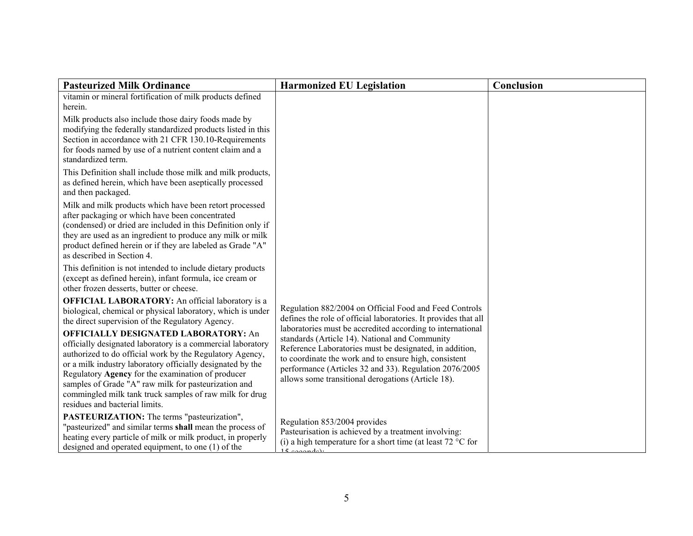| <b>Pasteurized Milk Ordinance</b>                                                                                                                                                                                                                                                                                                                                                                                                              | <b>Harmonized EU Legislation</b>                                                                                                                                                                                                                                                                                                                 | Conclusion |
|------------------------------------------------------------------------------------------------------------------------------------------------------------------------------------------------------------------------------------------------------------------------------------------------------------------------------------------------------------------------------------------------------------------------------------------------|--------------------------------------------------------------------------------------------------------------------------------------------------------------------------------------------------------------------------------------------------------------------------------------------------------------------------------------------------|------------|
| vitamin or mineral fortification of milk products defined<br>herein.                                                                                                                                                                                                                                                                                                                                                                           |                                                                                                                                                                                                                                                                                                                                                  |            |
| Milk products also include those dairy foods made by<br>modifying the federally standardized products listed in this<br>Section in accordance with 21 CFR 130.10-Requirements<br>for foods named by use of a nutrient content claim and a<br>standardized term.                                                                                                                                                                                |                                                                                                                                                                                                                                                                                                                                                  |            |
| This Definition shall include those milk and milk products,<br>as defined herein, which have been aseptically processed<br>and then packaged.                                                                                                                                                                                                                                                                                                  |                                                                                                                                                                                                                                                                                                                                                  |            |
| Milk and milk products which have been retort processed<br>after packaging or which have been concentrated<br>(condensed) or dried are included in this Definition only if<br>they are used as an ingredient to produce any milk or milk<br>product defined herein or if they are labeled as Grade "A"<br>as described in Section 4.                                                                                                           |                                                                                                                                                                                                                                                                                                                                                  |            |
| This definition is not intended to include dietary products<br>(except as defined herein), infant formula, ice cream or<br>other frozen desserts, butter or cheese.                                                                                                                                                                                                                                                                            |                                                                                                                                                                                                                                                                                                                                                  |            |
| <b>OFFICIAL LABORATORY:</b> An official laboratory is a<br>biological, chemical or physical laboratory, which is under<br>the direct supervision of the Regulatory Agency.                                                                                                                                                                                                                                                                     | Regulation 882/2004 on Official Food and Feed Controls<br>defines the role of official laboratories. It provides that all                                                                                                                                                                                                                        |            |
| <b>OFFICIALLY DESIGNATED LABORATORY: An</b><br>officially designated laboratory is a commercial laboratory<br>authorized to do official work by the Regulatory Agency,<br>or a milk industry laboratory officially designated by the<br>Regulatory Agency for the examination of producer<br>samples of Grade "A" raw milk for pasteurization and<br>commingled milk tank truck samples of raw milk for drug<br>residues and bacterial limits. | laboratories must be accredited according to international<br>standards (Article 14). National and Community<br>Reference Laboratories must be designated, in addition,<br>to coordinate the work and to ensure high, consistent<br>performance (Articles 32 and 33). Regulation 2076/2005<br>allows some transitional derogations (Article 18). |            |
| PASTEURIZATION: The terms "pasteurization",<br>"pasteurized" and similar terms shall mean the process of<br>heating every particle of milk or milk product, in properly<br>designed and operated equipment, to one $(1)$ of the                                                                                                                                                                                                                | Regulation 853/2004 provides<br>Pasteurisation is achieved by a treatment involving:<br>(i) a high temperature for a short time (at least $72 \text{ °C}$ for<br>$15$ goography                                                                                                                                                                  |            |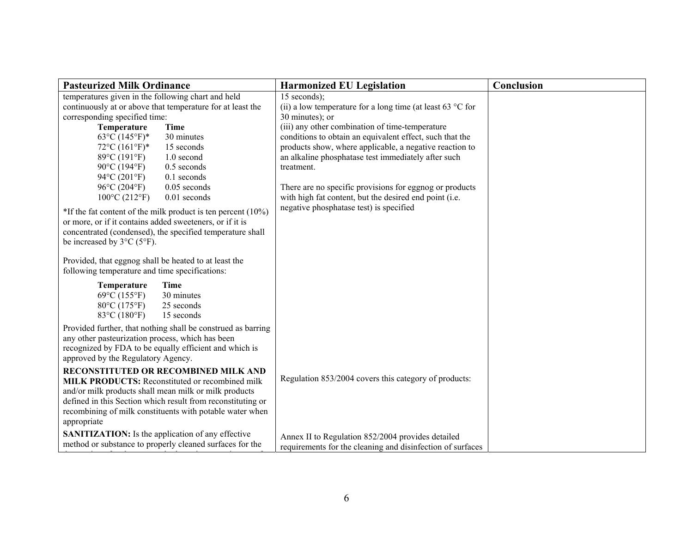| <b>Pasteurized Milk Ordinance</b>                                                                                                                                                                                               | <b>Harmonized EU Legislation</b>                                                                                    | Conclusion |
|---------------------------------------------------------------------------------------------------------------------------------------------------------------------------------------------------------------------------------|---------------------------------------------------------------------------------------------------------------------|------------|
| temperatures given in the following chart and held                                                                                                                                                                              | $15$ seconds);                                                                                                      |            |
| continuously at or above that temperature for at least the                                                                                                                                                                      | (ii) a low temperature for a long time (at least 63 $\degree$ C for                                                 |            |
| corresponding specified time:                                                                                                                                                                                                   | 30 minutes); or                                                                                                     |            |
| Temperature<br><b>Time</b>                                                                                                                                                                                                      | (iii) any other combination of time-temperature                                                                     |            |
| $63^{\circ}C(145^{\circ}F)^*$<br>30 minutes<br>$72^{\circ}C(161^{\circ}F)^*$<br>15 seconds                                                                                                                                      | conditions to obtain an equivalent effect, such that the<br>products show, where applicable, a negative reaction to |            |
| $89^{\circ}C(191^{\circ}F)$<br>1.0 second                                                                                                                                                                                       | an alkaline phosphatase test immediately after such                                                                 |            |
| 90°C (194°F)<br>$0.5$ seconds                                                                                                                                                                                                   | treatment.                                                                                                          |            |
| $94^{\circ}C(201^{\circ}F)$<br>$0.1$ seconds                                                                                                                                                                                    |                                                                                                                     |            |
| $96^{\circ}$ C (204 $^{\circ}$ F)<br>$0.05$ seconds                                                                                                                                                                             | There are no specific provisions for eggnog or products                                                             |            |
| $100^{\circ}$ C (212°F)<br>0.01 seconds                                                                                                                                                                                         | with high fat content, but the desired end point (i.e.                                                              |            |
| $*$ If the fat content of the milk product is ten percent (10%)<br>or more, or if it contains added sweeteners, or if it is<br>concentrated (condensed), the specified temperature shall<br>be increased by $3^{\circ}C$ (5°F). | negative phosphatase test) is specified                                                                             |            |
| Provided, that eggnog shall be heated to at least the<br>following temperature and time specifications:                                                                                                                         |                                                                                                                     |            |
| <b>Time</b><br>Temperature<br>69°C (155°F)<br>30 minutes<br>80°C (175°F)<br>25 seconds<br>83°C (180°F)<br>15 seconds                                                                                                            |                                                                                                                     |            |
| Provided further, that nothing shall be construed as barring                                                                                                                                                                    |                                                                                                                     |            |
| any other pasteurization process, which has been<br>recognized by FDA to be equally efficient and which is<br>approved by the Regulatory Agency.                                                                                |                                                                                                                     |            |
| RECONSTITUTED OR RECOMBINED MILK AND                                                                                                                                                                                            |                                                                                                                     |            |
| <b>MILK PRODUCTS:</b> Reconstituted or recombined milk                                                                                                                                                                          | Regulation 853/2004 covers this category of products:                                                               |            |
| and/or milk products shall mean milk or milk products                                                                                                                                                                           |                                                                                                                     |            |
| defined in this Section which result from reconstituting or                                                                                                                                                                     |                                                                                                                     |            |
| recombining of milk constituents with potable water when<br>appropriate                                                                                                                                                         |                                                                                                                     |            |
|                                                                                                                                                                                                                                 |                                                                                                                     |            |
| <b>SANITIZATION:</b> Is the application of any effective<br>method or substance to properly cleaned surfaces for the                                                                                                            | Annex II to Regulation 852/2004 provides detailed                                                                   |            |
|                                                                                                                                                                                                                                 | requirements for the cleaning and disinfection of surfaces                                                          |            |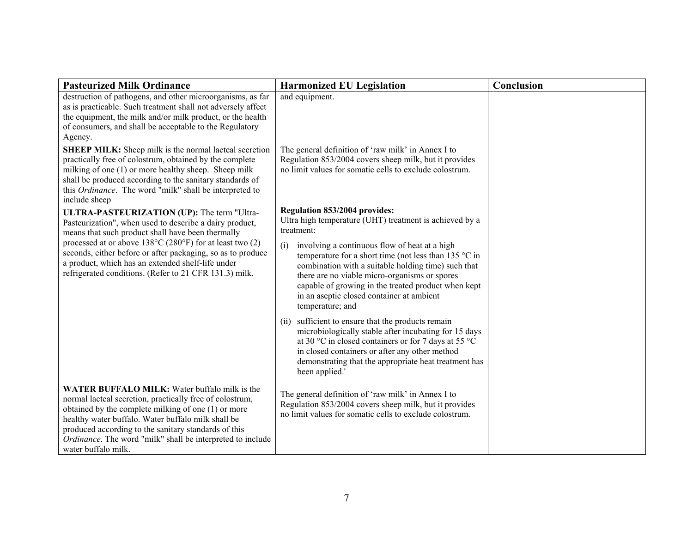| <b>Pasteurized Milk Ordinance</b>                                                                                                                                                                                                                                                                                                                                          | <b>Harmonized EU Legislation</b>                                                                                                                                                                                                                                                                                                                       | Conclusion |
|----------------------------------------------------------------------------------------------------------------------------------------------------------------------------------------------------------------------------------------------------------------------------------------------------------------------------------------------------------------------------|--------------------------------------------------------------------------------------------------------------------------------------------------------------------------------------------------------------------------------------------------------------------------------------------------------------------------------------------------------|------------|
| destruction of pathogens, and other microorganisms, as far<br>as is practicable. Such treatment shall not adversely affect<br>the equipment, the milk and/or milk product, or the health<br>of consumers, and shall be acceptable to the Regulatory<br>Agency.                                                                                                             | and equipment.                                                                                                                                                                                                                                                                                                                                         |            |
| <b>SHEEP MILK:</b> Sheep milk is the normal lacteal secretion<br>practically free of colostrum, obtained by the complete<br>milking of one (1) or more healthy sheep. Sheep milk<br>shall be produced according to the sanitary standards of<br>this Ordinance. The word "milk" shall be interpreted to<br>include sheep                                                   | The general definition of 'raw milk' in Annex I to<br>Regulation 853/2004 covers sheep milk, but it provides<br>no limit values for somatic cells to exclude colostrum.                                                                                                                                                                                |            |
| ULTRA-PASTEURIZATION (UP): The term "Ultra-<br>Pasteurization", when used to describe a dairy product,<br>means that such product shall have been thermally                                                                                                                                                                                                                | Regulation 853/2004 provides:<br>Ultra high temperature (UHT) treatment is achieved by a<br>treatment:                                                                                                                                                                                                                                                 |            |
| processed at or above $138^{\circ}$ C (280°F) for at least two (2)<br>seconds, either before or after packaging, so as to produce<br>a product, which has an extended shelf-life under<br>refrigerated conditions. (Refer to 21 CFR 131.3) milk.                                                                                                                           | involving a continuous flow of heat at a high<br>(i)<br>temperature for a short time (not less than 135 $\degree$ C in<br>combination with a suitable holding time) such that<br>there are no viable micro-organisms or spores<br>capable of growing in the treated product when kept<br>in an aseptic closed container at ambient<br>temperature; and |            |
|                                                                                                                                                                                                                                                                                                                                                                            | (ii) sufficient to ensure that the products remain<br>microbiologically stable after incubating for 15 days<br>at 30 °C in closed containers or for 7 days at 55 °C<br>in closed containers or after any other method<br>demonstrating that the appropriate heat treatment has<br>been applied.'                                                       |            |
| <b>WATER BUFFALO MILK:</b> Water buffalo milk is the<br>normal lacteal secretion, practically free of colostrum,<br>obtained by the complete milking of one (1) or more<br>healthy water buffalo. Water buffalo milk shall be<br>produced according to the sanitary standards of this<br>Ordinance. The word "milk" shall be interpreted to include<br>water buffalo milk. | The general definition of 'raw milk' in Annex I to<br>Regulation 853/2004 covers sheep milk, but it provides<br>no limit values for somatic cells to exclude colostrum.                                                                                                                                                                                |            |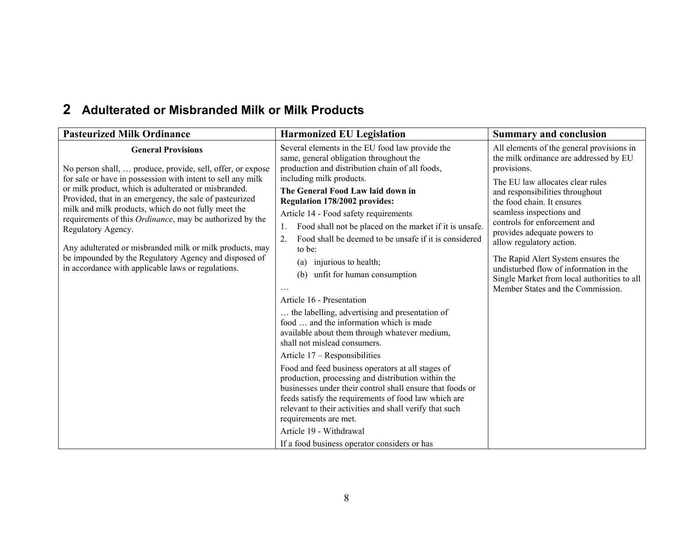### **2 Adulterated or Misbranded Milk or Milk Products**

| <b>Pasteurized Milk Ordinance</b>                                                                                                                                                                                                                                                                                                                                                                                                                                                                                                                                                                     | <b>Harmonized EU Legislation</b>                                                                                                                                                                                                                                                                                                                                                                                                                                                                                                                                                                                                                                                                                                                                                                                                                                                                                                                                                                                                                                                                                                                   | <b>Summary and conclusion</b>                                                                                                                                                                                                                                                                                                                                                                                                                                                                      |
|-------------------------------------------------------------------------------------------------------------------------------------------------------------------------------------------------------------------------------------------------------------------------------------------------------------------------------------------------------------------------------------------------------------------------------------------------------------------------------------------------------------------------------------------------------------------------------------------------------|----------------------------------------------------------------------------------------------------------------------------------------------------------------------------------------------------------------------------------------------------------------------------------------------------------------------------------------------------------------------------------------------------------------------------------------------------------------------------------------------------------------------------------------------------------------------------------------------------------------------------------------------------------------------------------------------------------------------------------------------------------------------------------------------------------------------------------------------------------------------------------------------------------------------------------------------------------------------------------------------------------------------------------------------------------------------------------------------------------------------------------------------------|----------------------------------------------------------------------------------------------------------------------------------------------------------------------------------------------------------------------------------------------------------------------------------------------------------------------------------------------------------------------------------------------------------------------------------------------------------------------------------------------------|
| <b>General Provisions</b><br>No person shall,  produce, provide, sell, offer, or expose<br>for sale or have in possession with intent to sell any milk<br>or milk product, which is adulterated or misbranded.<br>Provided, that in an emergency, the sale of pasteurized<br>milk and milk products, which do not fully meet the<br>requirements of this <i>Ordinance</i> , may be authorized by the<br>Regulatory Agency.<br>Any adulterated or misbranded milk or milk products, may<br>be impounded by the Regulatory Agency and disposed of<br>in accordance with applicable laws or regulations. | Several elements in the EU food law provide the<br>same, general obligation throughout the<br>production and distribution chain of all foods,<br>including milk products.<br>The General Food Law laid down in<br>Regulation 178/2002 provides:<br>Article 14 - Food safety requirements<br>Food shall not be placed on the market if it is unsafe.<br>1.<br>Food shall be deemed to be unsafe if it is considered<br>2.<br>to be:<br>injurious to health;<br>(a)<br>unfit for human consumption<br>(b)<br>Article 16 - Presentation<br>the labelling, advertising and presentation of<br>food  and the information which is made<br>available about them through whatever medium,<br>shall not mislead consumers.<br>Article 17 – Responsibilities<br>Food and feed business operators at all stages of<br>production, processing and distribution within the<br>businesses under their control shall ensure that foods or<br>feeds satisfy the requirements of food law which are<br>relevant to their activities and shall verify that such<br>requirements are met.<br>Article 19 - Withdrawal<br>If a food business operator considers or has | All elements of the general provisions in<br>the milk ordinance are addressed by EU<br>provisions.<br>The EU law allocates clear rules<br>and responsibilities throughout<br>the food chain. It ensures<br>seamless inspections and<br>controls for enforcement and<br>provides adequate powers to<br>allow regulatory action.<br>The Rapid Alert System ensures the<br>undisturbed flow of information in the<br>Single Market from local authorities to all<br>Member States and the Commission. |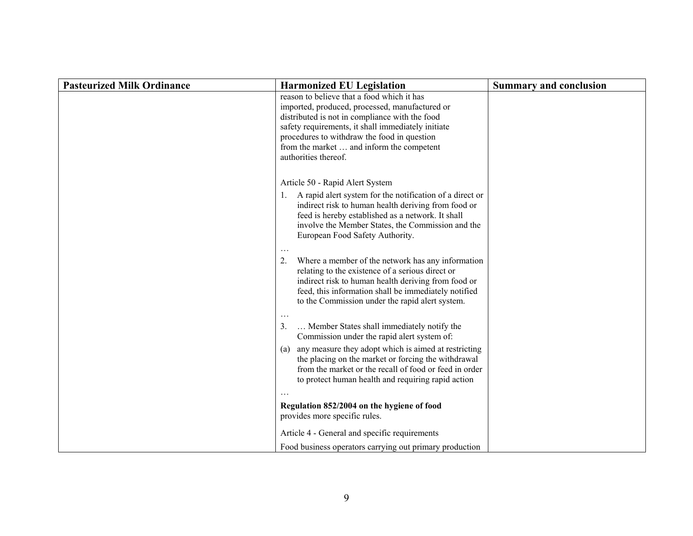| <b>Pasteurized Milk Ordinance</b> | <b>Harmonized EU Legislation</b>                                                                                                                                                                                                                                                                                         | <b>Summary and conclusion</b> |
|-----------------------------------|--------------------------------------------------------------------------------------------------------------------------------------------------------------------------------------------------------------------------------------------------------------------------------------------------------------------------|-------------------------------|
|                                   | reason to believe that a food which it has<br>imported, produced, processed, manufactured or<br>distributed is not in compliance with the food<br>safety requirements, it shall immediately initiate<br>procedures to withdraw the food in question<br>from the market  and inform the competent<br>authorities thereof. |                               |
|                                   | Article 50 - Rapid Alert System                                                                                                                                                                                                                                                                                          |                               |
|                                   | A rapid alert system for the notification of a direct or<br>1.<br>indirect risk to human health deriving from food or<br>feed is hereby established as a network. It shall<br>involve the Member States, the Commission and the<br>European Food Safety Authority.                                                       |                               |
|                                   | $\ddotsc$<br>Where a member of the network has any information<br>2.<br>relating to the existence of a serious direct or<br>indirect risk to human health deriving from food or<br>feed, this information shall be immediately notified<br>to the Commission under the rapid alert system.                               |                               |
|                                   | $\ldots$<br>Member States shall immediately notify the<br>3.<br>Commission under the rapid alert system of:                                                                                                                                                                                                              |                               |
|                                   | any measure they adopt which is aimed at restricting<br>(a)<br>the placing on the market or forcing the withdrawal<br>from the market or the recall of food or feed in order<br>to protect human health and requiring rapid action                                                                                       |                               |
|                                   |                                                                                                                                                                                                                                                                                                                          |                               |
|                                   | Regulation 852/2004 on the hygiene of food<br>provides more specific rules.                                                                                                                                                                                                                                              |                               |
|                                   | Article 4 - General and specific requirements                                                                                                                                                                                                                                                                            |                               |
|                                   | Food business operators carrying out primary production                                                                                                                                                                                                                                                                  |                               |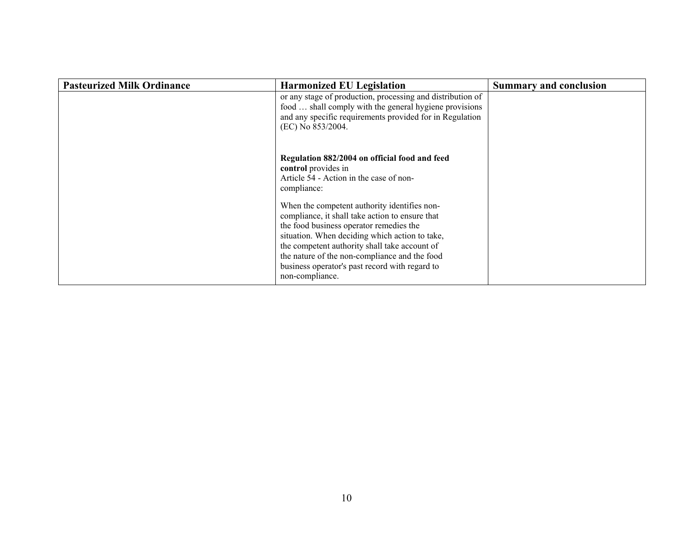| <b>Pasteurized Milk Ordinance</b> | <b>Harmonized EU Legislation</b>                                                                                                                                                                                                                                                                                                                                    | <b>Summary and conclusion</b> |
|-----------------------------------|---------------------------------------------------------------------------------------------------------------------------------------------------------------------------------------------------------------------------------------------------------------------------------------------------------------------------------------------------------------------|-------------------------------|
|                                   | or any stage of production, processing and distribution of<br>food  shall comply with the general hygiene provisions<br>and any specific requirements provided for in Regulation<br>(EC) No 853/2004.                                                                                                                                                               |                               |
|                                   | Regulation 882/2004 on official food and feed<br>control provides in<br>Article 54 - Action in the case of non-<br>compliance:                                                                                                                                                                                                                                      |                               |
|                                   | When the competent authority identifies non-<br>compliance, it shall take action to ensure that<br>the food business operator remedies the<br>situation. When deciding which action to take,<br>the competent authority shall take account of<br>the nature of the non-compliance and the food<br>business operator's past record with regard to<br>non-compliance. |                               |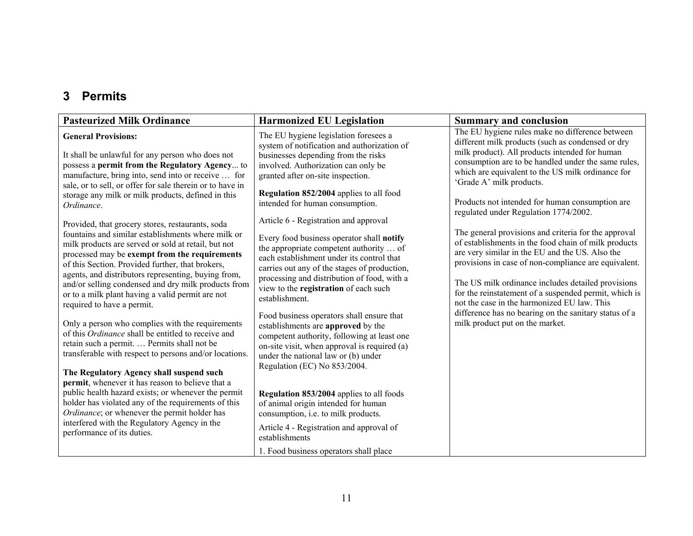### **3 Permits**

| <b>Pasteurized Milk Ordinance</b>                                                                                                                                                                                                                                                                                                                                                                                                                                                                                                                                                                                                                                                                                                                                                                                                                                                                                                                                                                                                                                                                                                                                                                                                                                                     | <b>Harmonized EU Legislation</b>                                                                                                                                                                                                                                                                                                                                                                                                                                                                                                                                                                                                                                                                                                                                                                                                                                                                                                                                                                                 | <b>Summary and conclusion</b>                                                                                                                                                                                                                                                                                                                                                                                                                                                                                                                                                                                                                                                                                                                                                                                                                                                   |
|---------------------------------------------------------------------------------------------------------------------------------------------------------------------------------------------------------------------------------------------------------------------------------------------------------------------------------------------------------------------------------------------------------------------------------------------------------------------------------------------------------------------------------------------------------------------------------------------------------------------------------------------------------------------------------------------------------------------------------------------------------------------------------------------------------------------------------------------------------------------------------------------------------------------------------------------------------------------------------------------------------------------------------------------------------------------------------------------------------------------------------------------------------------------------------------------------------------------------------------------------------------------------------------|------------------------------------------------------------------------------------------------------------------------------------------------------------------------------------------------------------------------------------------------------------------------------------------------------------------------------------------------------------------------------------------------------------------------------------------------------------------------------------------------------------------------------------------------------------------------------------------------------------------------------------------------------------------------------------------------------------------------------------------------------------------------------------------------------------------------------------------------------------------------------------------------------------------------------------------------------------------------------------------------------------------|---------------------------------------------------------------------------------------------------------------------------------------------------------------------------------------------------------------------------------------------------------------------------------------------------------------------------------------------------------------------------------------------------------------------------------------------------------------------------------------------------------------------------------------------------------------------------------------------------------------------------------------------------------------------------------------------------------------------------------------------------------------------------------------------------------------------------------------------------------------------------------|
| <b>General Provisions:</b><br>It shall be unlawful for any person who does not<br>possess a permit from the Regulatory Agency to<br>manufacture, bring into, send into or receive  for<br>sale, or to sell, or offer for sale therein or to have in<br>storage any milk or milk products, defined in this<br>Ordinance.<br>Provided, that grocery stores, restaurants, soda<br>fountains and similar establishments where milk or<br>milk products are served or sold at retail, but not<br>processed may be exempt from the requirements<br>of this Section. Provided further, that brokers,<br>agents, and distributors representing, buying from,<br>and/or selling condensed and dry milk products from<br>or to a milk plant having a valid permit are not<br>required to have a permit.<br>Only a person who complies with the requirements<br>of this <i>Ordinance</i> shall be entitled to receive and<br>retain such a permit.  Permits shall not be<br>transferable with respect to persons and/or locations.<br>The Regulatory Agency shall suspend such<br>permit, whenever it has reason to believe that a<br>public health hazard exists; or whenever the permit<br>holder has violated any of the requirements of this<br>Ordinance; or whenever the permit holder has | The EU hygiene legislation foresees a<br>system of notification and authorization of<br>businesses depending from the risks<br>involved. Authorization can only be<br>granted after on-site inspection.<br>Regulation 852/2004 applies to all food<br>intended for human consumption.<br>Article 6 - Registration and approval<br>Every food business operator shall notify<br>the appropriate competent authority  of<br>each establishment under its control that<br>carries out any of the stages of production,<br>processing and distribution of food, with a<br>view to the registration of each such<br>establishment.<br>Food business operators shall ensure that<br>establishments are approved by the<br>competent authority, following at least one<br>on-site visit, when approval is required (a)<br>under the national law or (b) under<br>Regulation (EC) No 853/2004.<br>Regulation 853/2004 applies to all foods<br>of animal origin intended for human<br>consumption, i.e. to milk products. | The EU hygiene rules make no difference between<br>different milk products (such as condensed or dry<br>milk product). All products intended for human<br>consumption are to be handled under the same rules,<br>which are equivalent to the US milk ordinance for<br>'Grade A' milk products.<br>Products not intended for human consumption are<br>regulated under Regulation 1774/2002.<br>The general provisions and criteria for the approval<br>of establishments in the food chain of milk products<br>are very similar in the EU and the US. Also the<br>provisions in case of non-compliance are equivalent.<br>The US milk ordinance includes detailed provisions<br>for the reinstatement of a suspended permit, which is<br>not the case in the harmonized EU law. This<br>difference has no bearing on the sanitary status of a<br>milk product put on the market. |
| interfered with the Regulatory Agency in the<br>performance of its duties.                                                                                                                                                                                                                                                                                                                                                                                                                                                                                                                                                                                                                                                                                                                                                                                                                                                                                                                                                                                                                                                                                                                                                                                                            | Article 4 - Registration and approval of<br>establishments                                                                                                                                                                                                                                                                                                                                                                                                                                                                                                                                                                                                                                                                                                                                                                                                                                                                                                                                                       |                                                                                                                                                                                                                                                                                                                                                                                                                                                                                                                                                                                                                                                                                                                                                                                                                                                                                 |
|                                                                                                                                                                                                                                                                                                                                                                                                                                                                                                                                                                                                                                                                                                                                                                                                                                                                                                                                                                                                                                                                                                                                                                                                                                                                                       | 1. Food business operators shall place                                                                                                                                                                                                                                                                                                                                                                                                                                                                                                                                                                                                                                                                                                                                                                                                                                                                                                                                                                           |                                                                                                                                                                                                                                                                                                                                                                                                                                                                                                                                                                                                                                                                                                                                                                                                                                                                                 |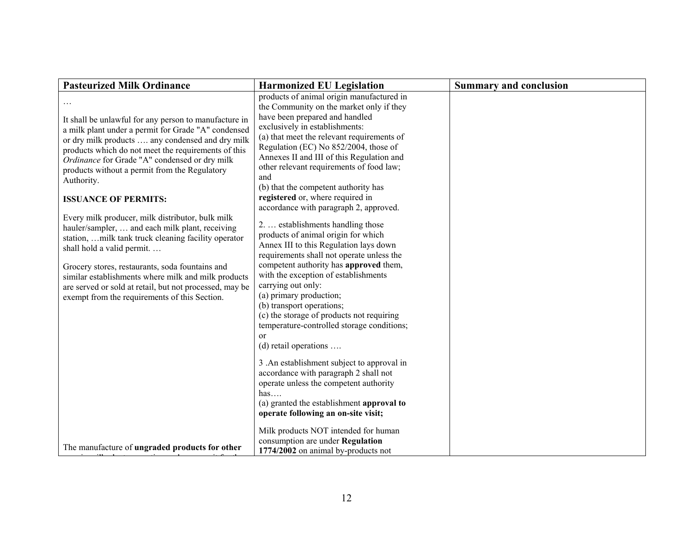| <b>Pasteurized Milk Ordinance</b>                                                                                                                                                                                                                                                                                                                                                                                                                                                                                                                                                                                                                                                                                                                                                        | <b>Harmonized EU Legislation</b>                                                                                                                                                                                                                                                                                                                                                                                                                                                                                                                                                                                                                                                                                                                                                                                                                                                                                                                                                                                                                                                                                                                                        | <b>Summary and conclusion</b> |
|------------------------------------------------------------------------------------------------------------------------------------------------------------------------------------------------------------------------------------------------------------------------------------------------------------------------------------------------------------------------------------------------------------------------------------------------------------------------------------------------------------------------------------------------------------------------------------------------------------------------------------------------------------------------------------------------------------------------------------------------------------------------------------------|-------------------------------------------------------------------------------------------------------------------------------------------------------------------------------------------------------------------------------------------------------------------------------------------------------------------------------------------------------------------------------------------------------------------------------------------------------------------------------------------------------------------------------------------------------------------------------------------------------------------------------------------------------------------------------------------------------------------------------------------------------------------------------------------------------------------------------------------------------------------------------------------------------------------------------------------------------------------------------------------------------------------------------------------------------------------------------------------------------------------------------------------------------------------------|-------------------------------|
| It shall be unlawful for any person to manufacture in<br>a milk plant under a permit for Grade "A" condensed<br>or dry milk products  any condensed and dry milk<br>products which do not meet the requirements of this<br>Ordinance for Grade "A" condensed or dry milk<br>products without a permit from the Regulatory<br>Authority.<br><b>ISSUANCE OF PERMITS:</b><br>Every milk producer, milk distributor, bulk milk<br>hauler/sampler,  and each milk plant, receiving<br>station,  milk tank truck cleaning facility operator<br>shall hold a valid permit<br>Grocery stores, restaurants, soda fountains and<br>similar establishments where milk and milk products<br>are served or sold at retail, but not processed, may be<br>exempt from the requirements of this Section. | products of animal origin manufactured in<br>the Community on the market only if they<br>have been prepared and handled<br>exclusively in establishments:<br>(a) that meet the relevant requirements of<br>Regulation (EC) No 852/2004, those of<br>Annexes II and III of this Regulation and<br>other relevant requirements of food law;<br>and<br>(b) that the competent authority has<br>registered or, where required in<br>accordance with paragraph 2, approved.<br>2.  establishments handling those<br>products of animal origin for which<br>Annex III to this Regulation lays down<br>requirements shall not operate unless the<br>competent authority has approved them,<br>with the exception of establishments<br>carrying out only:<br>(a) primary production;<br>(b) transport operations;<br>(c) the storage of products not requiring<br>temperature-controlled storage conditions;<br>$\alpha$<br>$(d)$ retail operations<br>3. An establishment subject to approval in<br>accordance with paragraph 2 shall not<br>operate unless the competent authority<br>has<br>(a) granted the establishment approval to<br>operate following an on-site visit; |                               |
| The manufacture of <b>ungraded products for other</b>                                                                                                                                                                                                                                                                                                                                                                                                                                                                                                                                                                                                                                                                                                                                    | Milk products NOT intended for human<br>consumption are under Regulation<br>1774/2002 on animal by-products not                                                                                                                                                                                                                                                                                                                                                                                                                                                                                                                                                                                                                                                                                                                                                                                                                                                                                                                                                                                                                                                         |                               |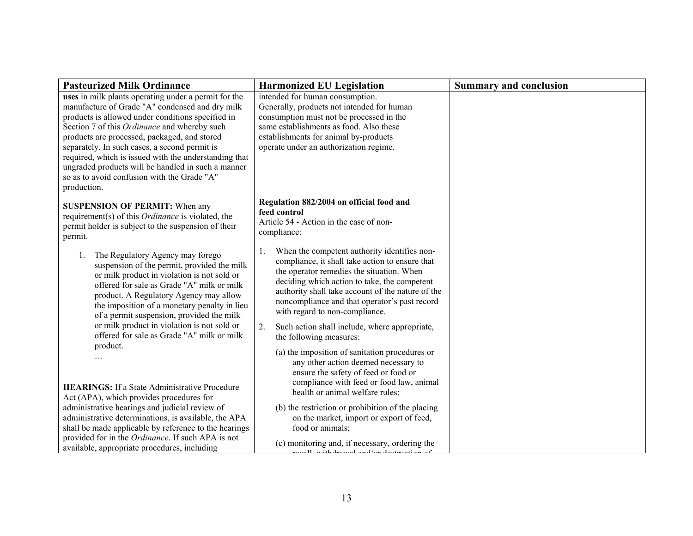| <b>Pasteurized Milk Ordinance</b>                                                                                                                                                                                                                                                                                                                                                                                                                                                          | <b>Harmonized EU Legislation</b>                                                                                                                                                                                                                                                                                                           | <b>Summary and conclusion</b> |
|--------------------------------------------------------------------------------------------------------------------------------------------------------------------------------------------------------------------------------------------------------------------------------------------------------------------------------------------------------------------------------------------------------------------------------------------------------------------------------------------|--------------------------------------------------------------------------------------------------------------------------------------------------------------------------------------------------------------------------------------------------------------------------------------------------------------------------------------------|-------------------------------|
| uses in milk plants operating under a permit for the<br>manufacture of Grade "A" condensed and dry milk<br>products is allowed under conditions specified in<br>Section 7 of this Ordinance and whereby such<br>products are processed, packaged, and stored<br>separately. In such cases, a second permit is<br>required, which is issued with the understanding that<br>ungraded products will be handled in such a manner<br>so as to avoid confusion with the Grade "A"<br>production. | intended for human consumption.<br>Generally, products not intended for human<br>consumption must not be processed in the<br>same establishments as food. Also these<br>establishments for animal by-products<br>operate under an authorization regime.                                                                                    |                               |
| <b>SUSPENSION OF PERMIT:</b> When any<br>requirement(s) of this Ordinance is violated, the<br>permit holder is subject to the suspension of their<br>permit.                                                                                                                                                                                                                                                                                                                               | Regulation 882/2004 on official food and<br>feed control<br>Article 54 - Action in the case of non-<br>compliance:                                                                                                                                                                                                                         |                               |
| The Regulatory Agency may forego<br>1.<br>suspension of the permit, provided the milk<br>or milk product in violation is not sold or<br>offered for sale as Grade "A" milk or milk<br>product. A Regulatory Agency may allow<br>the imposition of a monetary penalty in lieu<br>of a permit suspension, provided the milk                                                                                                                                                                  | When the competent authority identifies non-<br>1.<br>compliance, it shall take action to ensure that<br>the operator remedies the situation. When<br>deciding which action to take, the competent<br>authority shall take account of the nature of the<br>noncompliance and that operator's past record<br>with regard to non-compliance. |                               |
| or milk product in violation is not sold or<br>offered for sale as Grade "A" milk or milk                                                                                                                                                                                                                                                                                                                                                                                                  | 2.<br>Such action shall include, where appropriate,<br>the following measures:                                                                                                                                                                                                                                                             |                               |
| product.<br><b>HEARINGS:</b> If a State Administrative Procedure<br>Act (APA), which provides procedures for                                                                                                                                                                                                                                                                                                                                                                               | (a) the imposition of sanitation procedures or<br>any other action deemed necessary to<br>ensure the safety of feed or food or<br>compliance with feed or food law, animal<br>health or animal welfare rules;                                                                                                                              |                               |
| administrative hearings and judicial review of<br>administrative determinations, is available, the APA<br>shall be made applicable by reference to the hearings                                                                                                                                                                                                                                                                                                                            | (b) the restriction or prohibition of the placing<br>on the market, import or export of feed,<br>food or animals;                                                                                                                                                                                                                          |                               |
| provided for in the Ordinance. If such APA is not<br>available, appropriate procedures, including                                                                                                                                                                                                                                                                                                                                                                                          | (c) monitoring and, if necessary, ordering the<br>يتم في مستقدمات من الكتاب و المستقدمات المقدمة و 11.                                                                                                                                                                                                                                     |                               |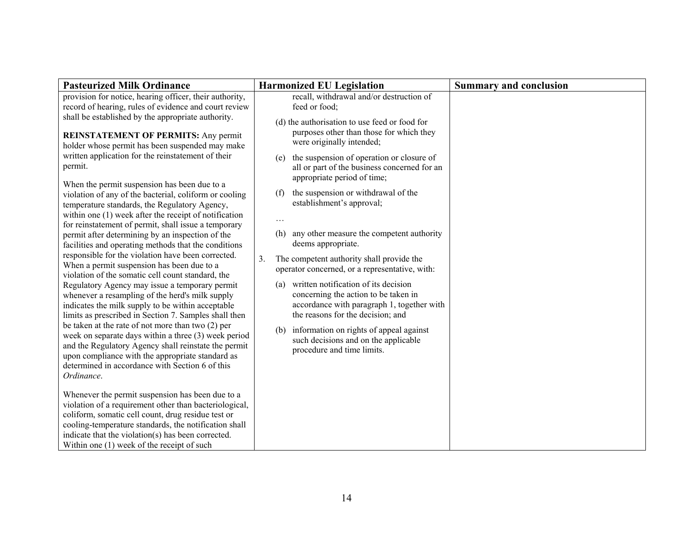| <b>Pasteurized Milk Ordinance</b>                                                                                                                                                                                                                                                                                               | <b>Harmonized EU Legislation</b>                                                                                                                                       | <b>Summary and conclusion</b> |
|---------------------------------------------------------------------------------------------------------------------------------------------------------------------------------------------------------------------------------------------------------------------------------------------------------------------------------|------------------------------------------------------------------------------------------------------------------------------------------------------------------------|-------------------------------|
| provision for notice, hearing officer, their authority,<br>record of hearing, rules of evidence and court review                                                                                                                                                                                                                | recall, withdrawal and/or destruction of<br>feed or food;                                                                                                              |                               |
| shall be established by the appropriate authority.<br><b>REINSTATEMENT OF PERMITS: Any permit</b><br>holder whose permit has been suspended may make                                                                                                                                                                            | (d) the authorisation to use feed or food for<br>purposes other than those for which they<br>were originally intended;                                                 |                               |
| written application for the reinstatement of their<br>permit.                                                                                                                                                                                                                                                                   | the suspension of operation or closure of<br>(e)<br>all or part of the business concerned for an<br>appropriate period of time;                                        |                               |
| When the permit suspension has been due to a<br>violation of any of the bacterial, coliform or cooling<br>temperature standards, the Regulatory Agency,<br>within one (1) week after the receipt of notification<br>for reinstatement of permit, shall issue a temporary                                                        | the suspension or withdrawal of the<br>(f)<br>establishment's approval;<br>$\cdots$                                                                                    |                               |
| permit after determining by an inspection of the<br>facilities and operating methods that the conditions                                                                                                                                                                                                                        | any other measure the competent authority<br>(h)<br>deems appropriate.                                                                                                 |                               |
| responsible for the violation have been corrected.<br>When a permit suspension has been due to a<br>violation of the somatic cell count standard, the                                                                                                                                                                           | 3 <sub>1</sub><br>The competent authority shall provide the<br>operator concerned, or a representative, with:                                                          |                               |
| Regulatory Agency may issue a temporary permit<br>whenever a resampling of the herd's milk supply<br>indicates the milk supply to be within acceptable<br>limits as prescribed in Section 7. Samples shall then                                                                                                                 | written notification of its decision<br>(a)<br>concerning the action to be taken in<br>accordance with paragraph 1, together with<br>the reasons for the decision; and |                               |
| be taken at the rate of not more than two (2) per<br>week on separate days within a three (3) week period<br>and the Regulatory Agency shall reinstate the permit<br>upon compliance with the appropriate standard as<br>determined in accordance with Section 6 of this<br>Ordinance.                                          | information on rights of appeal against<br>(b)<br>such decisions and on the applicable<br>procedure and time limits.                                                   |                               |
| Whenever the permit suspension has been due to a<br>violation of a requirement other than bacteriological,<br>coliform, somatic cell count, drug residue test or<br>cooling-temperature standards, the notification shall<br>indicate that the violation(s) has been corrected.<br>Within one $(1)$ week of the receipt of such |                                                                                                                                                                        |                               |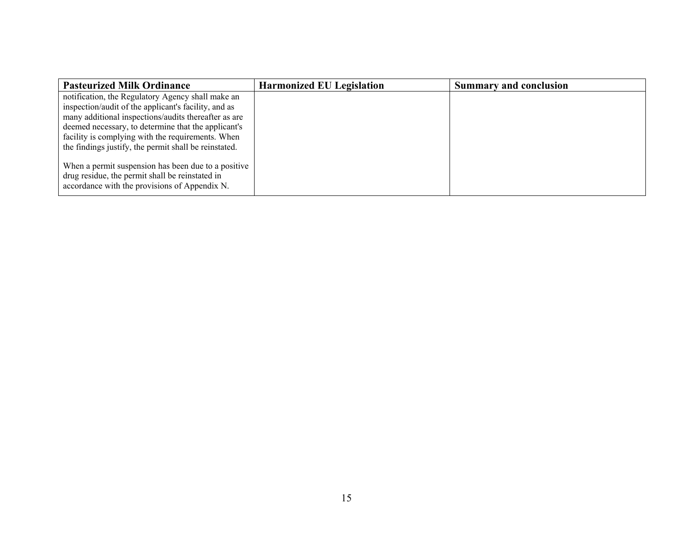| <b>Pasteurized Milk Ordinance</b>                                                                                                                       | <b>Harmonized EU Legislation</b> | <b>Summary and conclusion</b> |
|---------------------------------------------------------------------------------------------------------------------------------------------------------|----------------------------------|-------------------------------|
| notification, the Regulatory Agency shall make an                                                                                                       |                                  |                               |
| inspection/audit of the applicant's facility, and as                                                                                                    |                                  |                               |
| many additional inspections/audits thereafter as are                                                                                                    |                                  |                               |
| deemed necessary, to determine that the applicant's                                                                                                     |                                  |                               |
| facility is complying with the requirements. When                                                                                                       |                                  |                               |
| the findings justify, the permit shall be reinstated.                                                                                                   |                                  |                               |
| When a permit suspension has been due to a positive<br>drug residue, the permit shall be reinstated in<br>accordance with the provisions of Appendix N. |                                  |                               |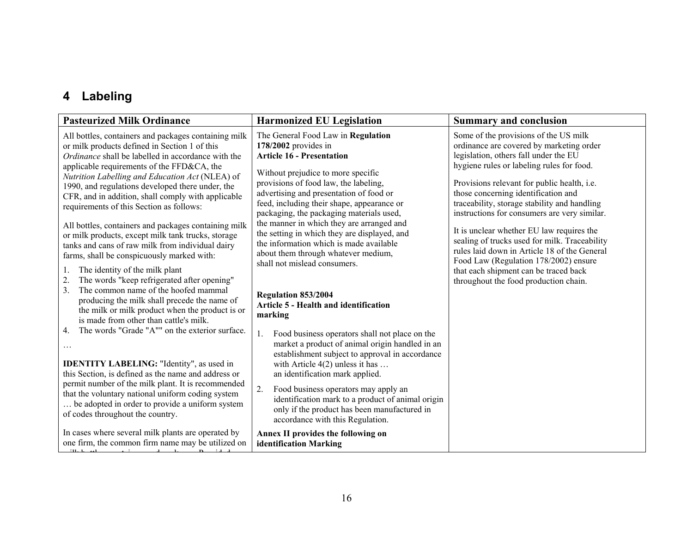# **4 Labeling**

| The General Food Law in Regulation<br>All bottles, containers and packages containing milk<br>$178/2002$ provides in<br>or milk products defined in Section 1 of this<br><b>Article 16 - Presentation</b><br>Ordinance shall be labelled in accordance with the<br>applicable requirements of the FFD&CA, the<br>Without prejudice to more specific                                                                                                                                                                                                                                                                                                                                                                                                                                                                                                                                                                                                                                                                                                                                                                                                                                                                                                                                                                                                                                                                                                                                                                                                                                                                                                                                                                                                                                                                                                                                                                                                                                                                                                                                                                                                                              | Some of the provisions of the US milk<br>ordinance are covered by marketing order<br>legislation, others fall under the EU<br>hygiene rules or labeling rules for food.<br>Provisions relevant for public health, i.e.                                                                                                                                                                                       |
|----------------------------------------------------------------------------------------------------------------------------------------------------------------------------------------------------------------------------------------------------------------------------------------------------------------------------------------------------------------------------------------------------------------------------------------------------------------------------------------------------------------------------------------------------------------------------------------------------------------------------------------------------------------------------------------------------------------------------------------------------------------------------------------------------------------------------------------------------------------------------------------------------------------------------------------------------------------------------------------------------------------------------------------------------------------------------------------------------------------------------------------------------------------------------------------------------------------------------------------------------------------------------------------------------------------------------------------------------------------------------------------------------------------------------------------------------------------------------------------------------------------------------------------------------------------------------------------------------------------------------------------------------------------------------------------------------------------------------------------------------------------------------------------------------------------------------------------------------------------------------------------------------------------------------------------------------------------------------------------------------------------------------------------------------------------------------------------------------------------------------------------------------------------------------------|--------------------------------------------------------------------------------------------------------------------------------------------------------------------------------------------------------------------------------------------------------------------------------------------------------------------------------------------------------------------------------------------------------------|
| Nutrition Labelling and Education Act (NLEA) of<br>provisions of food law, the labeling,<br>1990, and regulations developed there under, the<br>advertising and presentation of food or<br>CFR, and in addition, shall comply with applicable<br>feed, including their shape, appearance or<br>requirements of this Section as follows:<br>packaging, the packaging materials used,<br>the manner in which they are arranged and<br>All bottles, containers and packages containing milk<br>the setting in which they are displayed, and<br>or milk products, except milk tank trucks, storage<br>the information which is made available<br>tanks and cans of raw milk from individual dairy<br>about them through whatever medium,<br>farms, shall be conspicuously marked with:<br>shall not mislead consumers.<br>The identity of the milk plant<br>1.<br>The words "keep refrigerated after opening"<br>2.<br>The common name of the hoofed mammal<br>3 <sub>1</sub><br><b>Regulation 853/2004</b><br>producing the milk shall precede the name of<br><b>Article 5 - Health and identification</b><br>the milk or milk product when the product is or<br>marking<br>is made from other than cattle's milk.<br>The words "Grade "A"" on the exterior surface.<br>4.<br>Food business operators shall not place on the<br>market a product of animal origin handled in an<br>establishment subject to approval in accordance<br>with Article $4(2)$ unless it has<br><b>IDENTITY LABELING: "Identity", as used in</b><br>this Section, is defined as the name and address or<br>an identification mark applied.<br>permit number of the milk plant. It is recommended<br>Food business operators may apply an<br>that the voluntary national uniform coding system<br>identification mark to a product of animal origin<br>be adopted in order to provide a uniform system<br>only if the product has been manufactured in<br>of codes throughout the country.<br>accordance with this Regulation.<br>In cases where several milk plants are operated by<br>Annex II provides the following on<br>one firm, the common firm name may be utilized on<br>identification Marking | those concerning identification and<br>traceability, storage stability and handling<br>instructions for consumers are very similar.<br>It is unclear whether EU law requires the<br>sealing of trucks used for milk. Traceability<br>rules laid down in Article 18 of the General<br>Food Law (Regulation 178/2002) ensure<br>that each shipment can be traced back<br>throughout the food production chain. |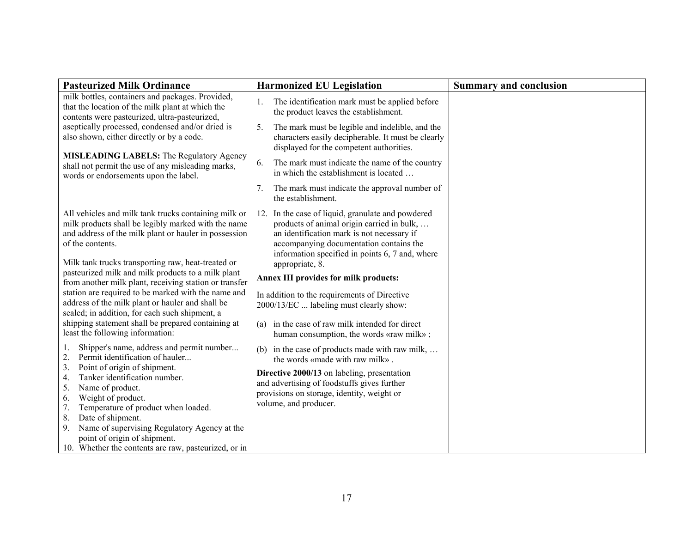| <b>Pasteurized Milk Ordinance</b>                                                                                                                                                                                                                                                                                                                                                                                                                                                                                                                                                                                     | <b>Harmonized EU Legislation</b>                                                                                                                                                                                                                                                                                                                                                                                                                                                                     | <b>Summary and conclusion</b> |
|-----------------------------------------------------------------------------------------------------------------------------------------------------------------------------------------------------------------------------------------------------------------------------------------------------------------------------------------------------------------------------------------------------------------------------------------------------------------------------------------------------------------------------------------------------------------------------------------------------------------------|------------------------------------------------------------------------------------------------------------------------------------------------------------------------------------------------------------------------------------------------------------------------------------------------------------------------------------------------------------------------------------------------------------------------------------------------------------------------------------------------------|-------------------------------|
| milk bottles, containers and packages. Provided,<br>that the location of the milk plant at which the<br>contents were pasteurized, ultra-pasteurized,                                                                                                                                                                                                                                                                                                                                                                                                                                                                 | The identification mark must be applied before<br>the product leaves the establishment.                                                                                                                                                                                                                                                                                                                                                                                                              |                               |
| aseptically processed, condensed and/or dried is<br>also shown, either directly or by a code.                                                                                                                                                                                                                                                                                                                                                                                                                                                                                                                         | The mark must be legible and indelible, and the<br>5.<br>characters easily decipherable. It must be clearly<br>displayed for the competent authorities.                                                                                                                                                                                                                                                                                                                                              |                               |
| <b>MISLEADING LABELS:</b> The Regulatory Agency<br>shall not permit the use of any misleading marks,<br>words or endorsements upon the label.                                                                                                                                                                                                                                                                                                                                                                                                                                                                         | The mark must indicate the name of the country<br>6.<br>in which the establishment is located                                                                                                                                                                                                                                                                                                                                                                                                        |                               |
|                                                                                                                                                                                                                                                                                                                                                                                                                                                                                                                                                                                                                       | The mark must indicate the approval number of<br>7.<br>the establishment.                                                                                                                                                                                                                                                                                                                                                                                                                            |                               |
| All vehicles and milk tank trucks containing milk or<br>milk products shall be legibly marked with the name<br>and address of the milk plant or hauler in possession<br>of the contents.<br>Milk tank trucks transporting raw, heat-treated or<br>pasteurized milk and milk products to a milk plant<br>from another milk plant, receiving station or transfer<br>station are required to be marked with the name and<br>address of the milk plant or hauler and shall be<br>sealed; in addition, for each such shipment, a<br>shipping statement shall be prepared containing at<br>least the following information: | 12. In the case of liquid, granulate and powdered<br>products of animal origin carried in bulk,<br>an identification mark is not necessary if<br>accompanying documentation contains the<br>information specified in points 6, 7 and, where<br>appropriate, 8.<br>Annex III provides for milk products:<br>In addition to the requirements of Directive<br>2000/13/EC  labeling must clearly show:<br>in the case of raw milk intended for direct<br>(a)<br>human consumption, the words «raw milk»; |                               |
| Shipper's name, address and permit number<br>1.<br>2.<br>Permit identification of hauler<br>3.<br>Point of origin of shipment.<br>Tanker identification number.<br>4.<br>5.<br>Name of product.<br>Weight of product.<br>6.<br>7.<br>Temperature of product when loaded.<br>Date of shipment.<br>8.<br>Name of supervising Regulatory Agency at the<br>9.<br>point of origin of shipment.<br>10. Whether the contents are raw, pasteurized, or in                                                                                                                                                                     | (b) in the case of products made with raw milk,<br>the words «made with raw milk».<br>Directive 2000/13 on labeling, presentation<br>and advertising of foodstuffs gives further<br>provisions on storage, identity, weight or<br>volume, and producer.                                                                                                                                                                                                                                              |                               |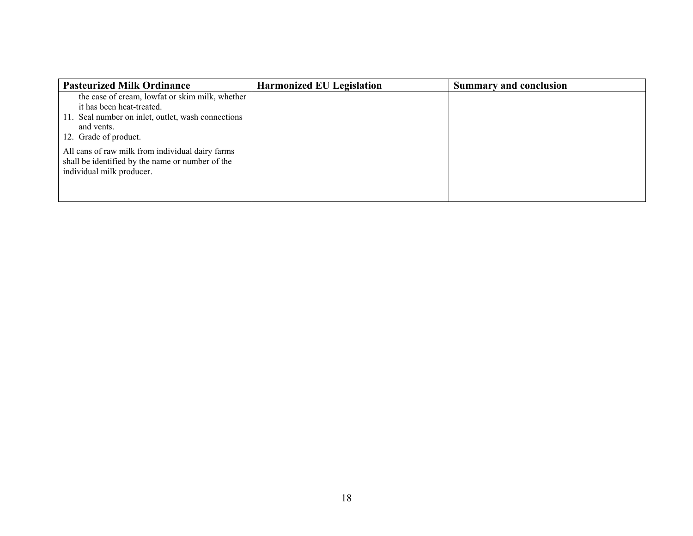| <b>Pasteurized Milk Ordinance</b>                                                                                                                                         | <b>Harmonized EU Legislation</b> | <b>Summary and conclusion</b> |
|---------------------------------------------------------------------------------------------------------------------------------------------------------------------------|----------------------------------|-------------------------------|
| the case of cream, lowfat or skim milk, whether<br>it has been heat-treated.<br>11. Seal number on inlet, outlet, wash connections<br>and vents.<br>12. Grade of product. |                                  |                               |
| All cans of raw milk from individual dairy farms<br>shall be identified by the name or number of the<br>individual milk producer.                                         |                                  |                               |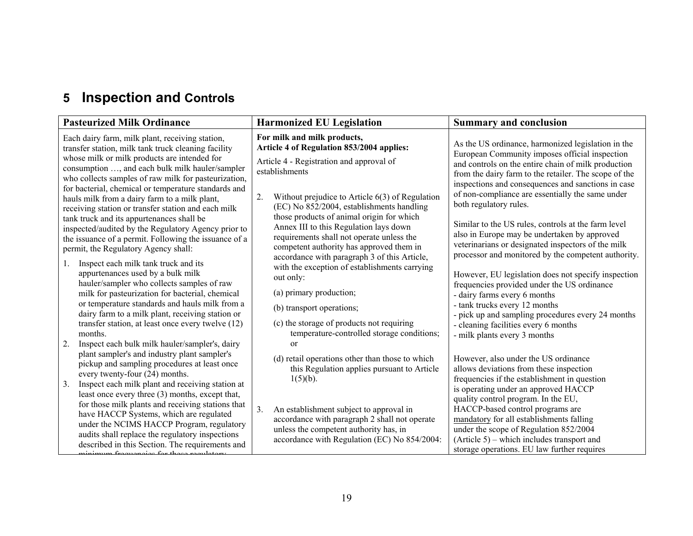# **5 Inspection and Controls**

| <b>Pasteurized Milk Ordinance</b>                                                                                                                                                                                                                                                                                                                                                                                                                                                                                                                                                                                                                                                                                                                                                                                                                                                                                                                                                                                                                  | <b>Harmonized EU Legislation</b>                                                                                                                                                                                                                                                                                                                                                                                                                                                                                                                                                                                                                                                                                 | <b>Summary and conclusion</b>                                                                                                                                                                                                                                                                                                                                                                                                                                                                                                                                                                                                                                                                                                                                                                                                                                                    |
|----------------------------------------------------------------------------------------------------------------------------------------------------------------------------------------------------------------------------------------------------------------------------------------------------------------------------------------------------------------------------------------------------------------------------------------------------------------------------------------------------------------------------------------------------------------------------------------------------------------------------------------------------------------------------------------------------------------------------------------------------------------------------------------------------------------------------------------------------------------------------------------------------------------------------------------------------------------------------------------------------------------------------------------------------|------------------------------------------------------------------------------------------------------------------------------------------------------------------------------------------------------------------------------------------------------------------------------------------------------------------------------------------------------------------------------------------------------------------------------------------------------------------------------------------------------------------------------------------------------------------------------------------------------------------------------------------------------------------------------------------------------------------|----------------------------------------------------------------------------------------------------------------------------------------------------------------------------------------------------------------------------------------------------------------------------------------------------------------------------------------------------------------------------------------------------------------------------------------------------------------------------------------------------------------------------------------------------------------------------------------------------------------------------------------------------------------------------------------------------------------------------------------------------------------------------------------------------------------------------------------------------------------------------------|
| Each dairy farm, milk plant, receiving station,<br>transfer station, milk tank truck cleaning facility<br>whose milk or milk products are intended for<br>consumption , and each bulk milk hauler/sampler<br>who collects samples of raw milk for pasteurization,<br>for bacterial, chemical or temperature standards and<br>hauls milk from a dairy farm to a milk plant,<br>receiving station or transfer station and each milk<br>tank truck and its appurtenances shall be<br>inspected/audited by the Regulatory Agency prior to<br>the issuance of a permit. Following the issuance of a<br>permit, the Regulatory Agency shall:<br>Inspect each milk tank truck and its<br>appurtenances used by a bulk milk<br>hauler/sampler who collects samples of raw<br>milk for pasteurization for bacterial, chemical<br>or temperature standards and hauls milk from a<br>dairy farm to a milk plant, receiving station or<br>transfer station, at least once every twelve (12)<br>months.<br>2.<br>Inspect each bulk milk hauler/sampler's, dairy | For milk and milk products,<br>Article 4 of Regulation 853/2004 applies:<br>Article 4 - Registration and approval of<br>establishments<br>2.<br>Without prejudice to Article $6(3)$ of Regulation<br>(EC) No 852/2004, establishments handling<br>those products of animal origin for which<br>Annex III to this Regulation lays down<br>requirements shall not operate unless the<br>competent authority has approved them in<br>accordance with paragraph 3 of this Article,<br>with the exception of establishments carrying<br>out only:<br>(a) primary production;<br>(b) transport operations;<br>(c) the storage of products not requiring<br>temperature-controlled storage conditions;<br><sub>or</sub> | As the US ordinance, harmonized legislation in the<br>European Community imposes official inspection<br>and controls on the entire chain of milk production<br>from the dairy farm to the retailer. The scope of the<br>inspections and consequences and sanctions in case<br>of non-compliance are essentially the same under<br>both regulatory rules.<br>Similar to the US rules, controls at the farm level<br>also in Europe may be undertaken by approved<br>veterinarians or designated inspectors of the milk<br>processor and monitored by the competent authority.<br>However, EU legislation does not specify inspection<br>frequencies provided under the US ordinance<br>- dairy farms every 6 months<br>- tank trucks every 12 months<br>- pick up and sampling procedures every 24 months<br>- cleaning facilities every 6 months<br>- milk plants every 3 months |
| plant sampler's and industry plant sampler's<br>pickup and sampling procedures at least once<br>every twenty-four (24) months.<br>Inspect each milk plant and receiving station at<br>3.<br>least once every three (3) months, except that,<br>for those milk plants and receiving stations that<br>have HACCP Systems, which are regulated<br>under the NCIMS HACCP Program, regulatory<br>audits shall replace the regulatory inspections<br>described in this Section. The requirements and                                                                                                                                                                                                                                                                                                                                                                                                                                                                                                                                                     | (d) retail operations other than those to which<br>this Regulation applies pursuant to Article<br>$1(5)(b)$ .<br>3.<br>An establishment subject to approval in<br>accordance with paragraph 2 shall not operate<br>unless the competent authority has, in<br>accordance with Regulation (EC) No 854/2004:                                                                                                                                                                                                                                                                                                                                                                                                        | However, also under the US ordinance<br>allows deviations from these inspection<br>frequencies if the establishment in question<br>is operating under an approved HACCP<br>quality control program. In the EU,<br>HACCP-based control programs are<br>mandatory for all establishments falling<br>under the scope of Regulation 852/2004<br>$(Article 5)$ – which includes transport and<br>storage operations. EU law further requires                                                                                                                                                                                                                                                                                                                                                                                                                                          |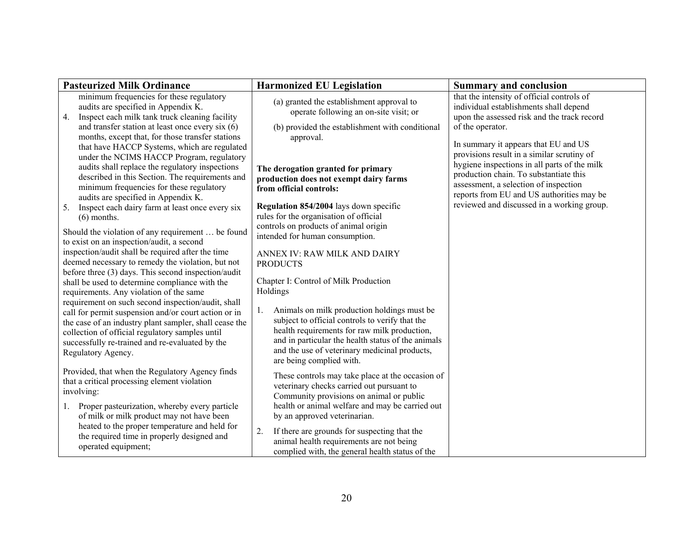| <b>Pasteurized Milk Ordinance</b>                                                                                                                                                                                                                                                                            | <b>Harmonized EU Legislation</b>                                                                                                                                                                                                                                                        | <b>Summary and conclusion</b>                                                                                                                                                                                                                                            |
|--------------------------------------------------------------------------------------------------------------------------------------------------------------------------------------------------------------------------------------------------------------------------------------------------------------|-----------------------------------------------------------------------------------------------------------------------------------------------------------------------------------------------------------------------------------------------------------------------------------------|--------------------------------------------------------------------------------------------------------------------------------------------------------------------------------------------------------------------------------------------------------------------------|
| minimum frequencies for these regulatory<br>audits are specified in Appendix K.<br>Inspect each milk tank truck cleaning facility<br>4.<br>and transfer station at least once every six $(6)$<br>months, except that, for those transfer stations<br>that have HACCP Systems, which are regulated            | (a) granted the establishment approval to<br>operate following an on-site visit; or<br>(b) provided the establishment with conditional<br>approval.                                                                                                                                     | that the intensity of official controls of<br>individual establishments shall depend<br>upon the assessed risk and the track record<br>of the operator.<br>In summary it appears that EU and US                                                                          |
| under the NCIMS HACCP Program, regulatory<br>audits shall replace the regulatory inspections<br>described in this Section. The requirements and<br>minimum frequencies for these regulatory<br>audits are specified in Appendix K.<br>Inspect each dairy farm at least once every six<br>5.<br>$(6)$ months. | The derogation granted for primary<br>production does not exempt dairy farms<br>from official controls:<br><b>Regulation 854/2004</b> lays down specific<br>rules for the organisation of official                                                                                      | provisions result in a similar scrutiny of<br>hygiene inspections in all parts of the milk<br>production chain. To substantiate this<br>assessment, a selection of inspection<br>reports from EU and US authorities may be<br>reviewed and discussed in a working group. |
| Should the violation of any requirement  be found<br>to exist on an inspection/audit, a second                                                                                                                                                                                                               | controls on products of animal origin<br>intended for human consumption.                                                                                                                                                                                                                |                                                                                                                                                                                                                                                                          |
| inspection/audit shall be required after the time<br>deemed necessary to remedy the violation, but not<br>before three (3) days. This second inspection/audit                                                                                                                                                | ANNEX IV: RAW MILK AND DAIRY<br><b>PRODUCTS</b>                                                                                                                                                                                                                                         |                                                                                                                                                                                                                                                                          |
| shall be used to determine compliance with the<br>requirements. Any violation of the same<br>requirement on such second inspection/audit, shall                                                                                                                                                              | Chapter I: Control of Milk Production<br>Holdings                                                                                                                                                                                                                                       |                                                                                                                                                                                                                                                                          |
| call for permit suspension and/or court action or in<br>the case of an industry plant sampler, shall cease the<br>collection of official regulatory samples until<br>successfully re-trained and re-evaluated by the<br>Regulatory Agency.                                                                   | Animals on milk production holdings must be<br>1.<br>subject to official controls to verify that the<br>health requirements for raw milk production,<br>and in particular the health status of the animals<br>and the use of veterinary medicinal products,<br>are being complied with. |                                                                                                                                                                                                                                                                          |
| Provided, that when the Regulatory Agency finds<br>that a critical processing element violation<br>involving:                                                                                                                                                                                                | These controls may take place at the occasion of<br>veterinary checks carried out pursuant to<br>Community provisions on animal or public                                                                                                                                               |                                                                                                                                                                                                                                                                          |
| Proper pasteurization, whereby every particle<br>$\mathbf{1}$ .<br>of milk or milk product may not have been<br>heated to the proper temperature and held for                                                                                                                                                | health or animal welfare and may be carried out<br>by an approved veterinarian.<br>If there are grounds for suspecting that the<br>2.                                                                                                                                                   |                                                                                                                                                                                                                                                                          |
| the required time in properly designed and<br>operated equipment;                                                                                                                                                                                                                                            | animal health requirements are not being<br>complied with, the general health status of the                                                                                                                                                                                             |                                                                                                                                                                                                                                                                          |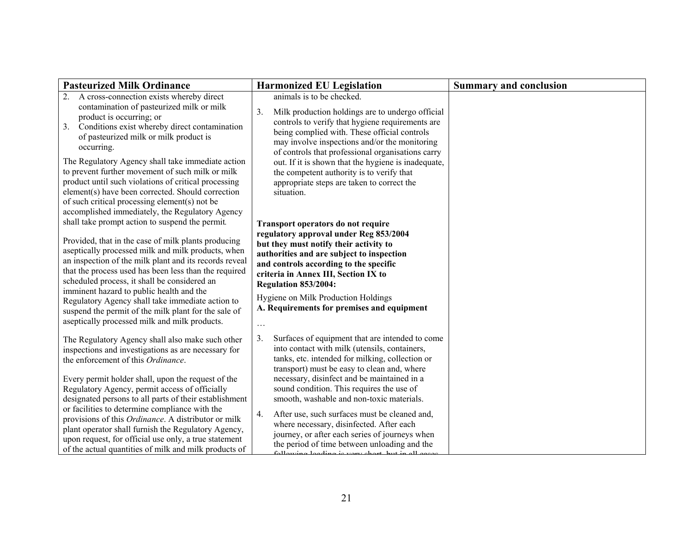| <b>Pasteurized Milk Ordinance</b>                                                                                                                                                                                                                                                                                                                                                                                                                                                                                                                                                                                                                                                                                                                                                                                                                                                                                                                                                                   | <b>Harmonized EU Legislation</b>                                                                                                                                                                                                                                                                                                                                                                                                                                                                                                                                                                                                                                                                                                                                                                                                                | <b>Summary and conclusion</b> |
|-----------------------------------------------------------------------------------------------------------------------------------------------------------------------------------------------------------------------------------------------------------------------------------------------------------------------------------------------------------------------------------------------------------------------------------------------------------------------------------------------------------------------------------------------------------------------------------------------------------------------------------------------------------------------------------------------------------------------------------------------------------------------------------------------------------------------------------------------------------------------------------------------------------------------------------------------------------------------------------------------------|-------------------------------------------------------------------------------------------------------------------------------------------------------------------------------------------------------------------------------------------------------------------------------------------------------------------------------------------------------------------------------------------------------------------------------------------------------------------------------------------------------------------------------------------------------------------------------------------------------------------------------------------------------------------------------------------------------------------------------------------------------------------------------------------------------------------------------------------------|-------------------------------|
| A cross-connection exists whereby direct<br>2.<br>contamination of pasteurized milk or milk<br>product is occurring; or<br>Conditions exist whereby direct contamination<br>3.<br>of pasteurized milk or milk product is<br>occurring.<br>The Regulatory Agency shall take immediate action<br>to prevent further movement of such milk or milk<br>product until such violations of critical processing<br>element(s) have been corrected. Should correction<br>of such critical processing element(s) not be<br>accomplished immediately, the Regulatory Agency<br>shall take prompt action to suspend the permit.<br>Provided, that in the case of milk plants producing<br>aseptically processed milk and milk products, when<br>an inspection of the milk plant and its records reveal<br>that the process used has been less than the required<br>scheduled process, it shall be considered an<br>imminent hazard to public health and the<br>Regulatory Agency shall take immediate action to | animals is to be checked.<br>3 <sub>1</sub><br>Milk production holdings are to undergo official<br>controls to verify that hygiene requirements are<br>being complied with. These official controls<br>may involve inspections and/or the monitoring<br>of controls that professional organisations carry<br>out. If it is shown that the hygiene is inadequate,<br>the competent authority is to verify that<br>appropriate steps are taken to correct the<br>situation.<br>Transport operators do not require<br>regulatory approval under Reg 853/2004<br>but they must notify their activity to<br>authorities and are subject to inspection<br>and controls according to the specific<br>criteria in Annex III, Section IX to<br>Regulation 853/2004:<br>Hygiene on Milk Production Holdings<br>A. Requirements for premises and equipment |                               |
| suspend the permit of the milk plant for the sale of<br>aseptically processed milk and milk products.<br>The Regulatory Agency shall also make such other<br>inspections and investigations as are necessary for<br>the enforcement of this Ordinance.<br>Every permit holder shall, upon the request of the<br>Regulatory Agency, permit access of officially<br>designated persons to all parts of their establishment<br>or facilities to determine compliance with the<br>provisions of this Ordinance. A distributor or milk<br>plant operator shall furnish the Regulatory Agency,<br>upon request, for official use only, a true statement<br>of the actual quantities of milk and milk products of                                                                                                                                                                                                                                                                                          | $\ldots$<br>3.<br>Surfaces of equipment that are intended to come<br>into contact with milk (utensils, containers,<br>tanks, etc. intended for milking, collection or<br>transport) must be easy to clean and, where<br>necessary, disinfect and be maintained in a<br>sound condition. This requires the use of<br>smooth, washable and non-toxic materials.<br>After use, such surfaces must be cleaned and,<br>4.<br>where necessary, disinfected. After each<br>journey, or after each series of journeys when<br>the period of time between unloading and the<br>following loading is your short but in                                                                                                                                                                                                                                    |                               |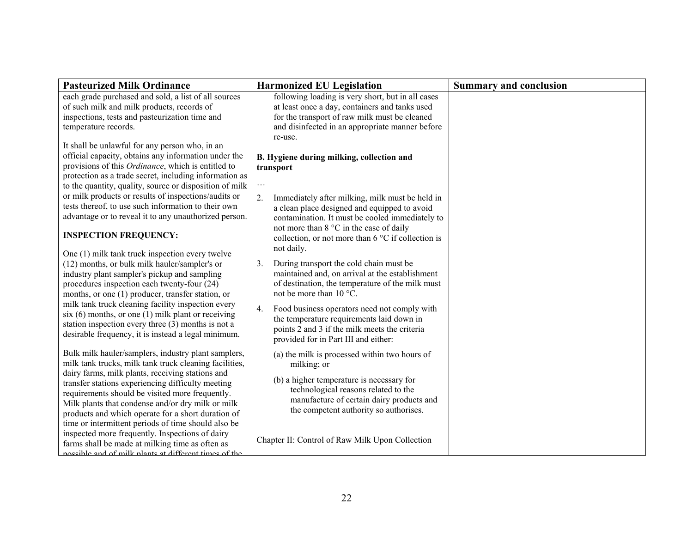| <b>Pasteurized Milk Ordinance</b>                                                                                                                                                                                                                                                                                                                                                                                                                                                                                                                                                                          | <b>Harmonized EU Legislation</b>                                                                                                                                                                                                                                                                                                                                            | <b>Summary and conclusion</b> |
|------------------------------------------------------------------------------------------------------------------------------------------------------------------------------------------------------------------------------------------------------------------------------------------------------------------------------------------------------------------------------------------------------------------------------------------------------------------------------------------------------------------------------------------------------------------------------------------------------------|-----------------------------------------------------------------------------------------------------------------------------------------------------------------------------------------------------------------------------------------------------------------------------------------------------------------------------------------------------------------------------|-------------------------------|
| each grade purchased and sold, a list of all sources<br>of such milk and milk products, records of<br>inspections, tests and pasteurization time and<br>temperature records.                                                                                                                                                                                                                                                                                                                                                                                                                               | following loading is very short, but in all cases<br>at least once a day, containers and tanks used<br>for the transport of raw milk must be cleaned<br>and disinfected in an appropriate manner before<br>re-use.                                                                                                                                                          |                               |
| It shall be unlawful for any person who, in an<br>official capacity, obtains any information under the<br>provisions of this Ordinance, which is entitled to<br>protection as a trade secret, including information as<br>to the quantity, quality, source or disposition of milk<br>or milk products or results of inspections/audits or<br>tests thereof, to use such information to their own<br>advantage or to reveal it to any unauthorized person.<br><b>INSPECTION FREQUENCY:</b>                                                                                                                  | B. Hygiene during milking, collection and<br>transport<br>$\cdots$<br>2.<br>Immediately after milking, milk must be held in<br>a clean place designed and equipped to avoid<br>contamination. It must be cooled immediately to<br>not more than 8 °C in the case of daily<br>collection, or not more than 6 °C if collection is<br>not daily.                               |                               |
| One (1) milk tank truck inspection every twelve<br>(12) months, or bulk milk hauler/sampler's or<br>industry plant sampler's pickup and sampling<br>procedures inspection each twenty-four (24)<br>months, or one (1) producer, transfer station, or<br>milk tank truck cleaning facility inspection every<br>$six(6)$ months, or one $(1)$ milk plant or receiving<br>station inspection every three (3) months is not a<br>desirable frequency, it is instead a legal minimum.                                                                                                                           | During transport the cold chain must be<br>3.<br>maintained and, on arrival at the establishment<br>of destination, the temperature of the milk must<br>not be more than 10 °C.<br>Food business operators need not comply with<br>4.<br>the temperature requirements laid down in<br>points 2 and 3 if the milk meets the criteria<br>provided for in Part III and either: |                               |
| Bulk milk hauler/samplers, industry plant samplers,<br>milk tank trucks, milk tank truck cleaning facilities,<br>dairy farms, milk plants, receiving stations and<br>transfer stations experiencing difficulty meeting<br>requirements should be visited more frequently.<br>Milk plants that condense and/or dry milk or milk<br>products and which operate for a short duration of<br>time or intermittent periods of time should also be<br>inspected more frequently. Inspections of dairy<br>farms shall be made at milking time as often as<br>nossible and of milk plants at different times of the | (a) the milk is processed within two hours of<br>milking; or<br>(b) a higher temperature is necessary for<br>technological reasons related to the<br>manufacture of certain dairy products and<br>the competent authority so authorises.<br>Chapter II: Control of Raw Milk Upon Collection                                                                                 |                               |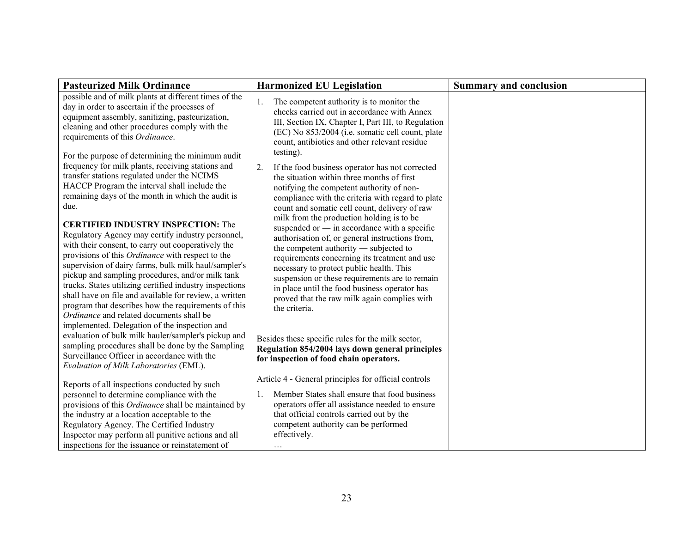| <b>Pasteurized Milk Ordinance</b>                                                                                                                                                                                                                                                                                                                                                                                                                                                                                                                                                             | <b>Harmonized EU Legislation</b>                                                                                                                                                                                                                                                                                                                                                                               | <b>Summary and conclusion</b> |
|-----------------------------------------------------------------------------------------------------------------------------------------------------------------------------------------------------------------------------------------------------------------------------------------------------------------------------------------------------------------------------------------------------------------------------------------------------------------------------------------------------------------------------------------------------------------------------------------------|----------------------------------------------------------------------------------------------------------------------------------------------------------------------------------------------------------------------------------------------------------------------------------------------------------------------------------------------------------------------------------------------------------------|-------------------------------|
| possible and of milk plants at different times of the<br>day in order to ascertain if the processes of<br>equipment assembly, sanitizing, pasteurization,<br>cleaning and other procedures comply with the<br>requirements of this Ordinance.<br>For the purpose of determining the minimum audit                                                                                                                                                                                                                                                                                             | The competent authority is to monitor the<br>1.<br>checks carried out in accordance with Annex<br>III, Section IX, Chapter I, Part III, to Regulation<br>(EC) No 853/2004 (i.e. somatic cell count, plate<br>count, antibiotics and other relevant residue<br>testing).                                                                                                                                        |                               |
| frequency for milk plants, receiving stations and<br>transfer stations regulated under the NCIMS<br>HACCP Program the interval shall include the<br>remaining days of the month in which the audit is<br>due.                                                                                                                                                                                                                                                                                                                                                                                 | If the food business operator has not corrected<br>2.<br>the situation within three months of first<br>notifying the competent authority of non-<br>compliance with the criteria with regard to plate<br>count and somatic cell count, delivery of raw<br>milk from the production holding is to be                                                                                                            |                               |
| <b>CERTIFIED INDUSTRY INSPECTION: The</b><br>Regulatory Agency may certify industry personnel,<br>with their consent, to carry out cooperatively the<br>provisions of this Ordinance with respect to the<br>supervision of dairy farms, bulk milk haul/sampler's<br>pickup and sampling procedures, and/or milk tank<br>trucks. States utilizing certified industry inspections<br>shall have on file and available for review, a written<br>program that describes how the requirements of this<br>Ordinance and related documents shall be<br>implemented. Delegation of the inspection and | suspended or $-$ in accordance with a specific<br>authorisation of, or general instructions from,<br>the competent authority $-$ subjected to<br>requirements concerning its treatment and use<br>necessary to protect public health. This<br>suspension or these requirements are to remain<br>in place until the food business operator has<br>proved that the raw milk again complies with<br>the criteria. |                               |
| evaluation of bulk milk hauler/sampler's pickup and<br>sampling procedures shall be done by the Sampling<br>Surveillance Officer in accordance with the<br>Evaluation of Milk Laboratories (EML).                                                                                                                                                                                                                                                                                                                                                                                             | Besides these specific rules for the milk sector,<br>Regulation 854/2004 lays down general principles<br>for inspection of food chain operators.                                                                                                                                                                                                                                                               |                               |
| Reports of all inspections conducted by such                                                                                                                                                                                                                                                                                                                                                                                                                                                                                                                                                  | Article 4 - General principles for official controls                                                                                                                                                                                                                                                                                                                                                           |                               |
| personnel to determine compliance with the<br>provisions of this <i>Ordinance</i> shall be maintained by<br>the industry at a location acceptable to the<br>Regulatory Agency. The Certified Industry<br>Inspector may perform all punitive actions and all<br>inspections for the issuance or reinstatement of                                                                                                                                                                                                                                                                               | Member States shall ensure that food business<br>1.<br>operators offer all assistance needed to ensure<br>that official controls carried out by the<br>competent authority can be performed<br>effectively.<br>$\ddotsc$                                                                                                                                                                                       |                               |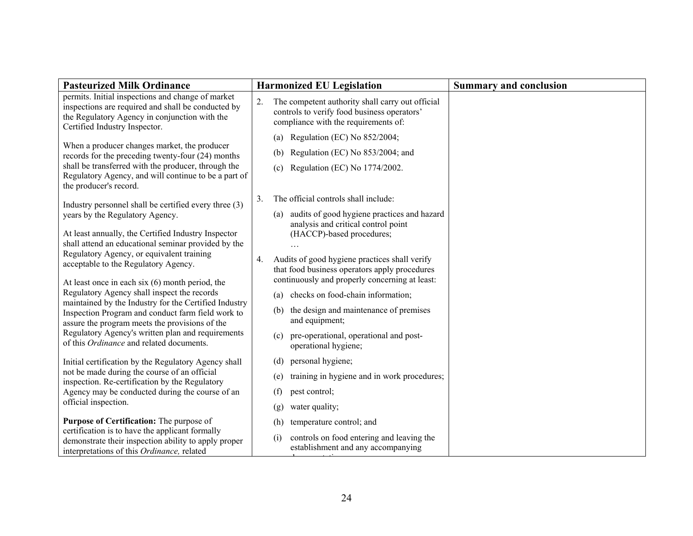| <b>Pasteurized Milk Ordinance</b>                                                                                                                                                         |     | <b>Harmonized EU Legislation</b>                                                                                                        | <b>Summary and conclusion</b> |
|-------------------------------------------------------------------------------------------------------------------------------------------------------------------------------------------|-----|-----------------------------------------------------------------------------------------------------------------------------------------|-------------------------------|
| permits. Initial inspections and change of market<br>inspections are required and shall be conducted by<br>the Regulatory Agency in conjunction with the<br>Certified Industry Inspector. | 2.  | The competent authority shall carry out official<br>controls to verify food business operators'<br>compliance with the requirements of: |                               |
|                                                                                                                                                                                           | (a) | Regulation (EC) No 852/2004;                                                                                                            |                               |
| When a producer changes market, the producer<br>records for the preceding twenty-four (24) months                                                                                         | (b) | Regulation (EC) No 853/2004; and                                                                                                        |                               |
| shall be transferred with the producer, through the<br>Regulatory Agency, and will continue to be a part of<br>the producer's record.                                                     | (c) | Regulation (EC) No 1774/2002.                                                                                                           |                               |
| Industry personnel shall be certified every three (3)                                                                                                                                     | 3.  | The official controls shall include:                                                                                                    |                               |
| years by the Regulatory Agency.<br>At least annually, the Certified Industry Inspector<br>shall attend an educational seminar provided by the                                             | (a) | audits of good hygiene practices and hazard<br>analysis and critical control point<br>(HACCP)-based procedures;                         |                               |
| Regulatory Agency, or equivalent training                                                                                                                                                 | 4.  | Audits of good hygiene practices shall verify                                                                                           |                               |
| acceptable to the Regulatory Agency.<br>At least once in each six $(6)$ month period, the                                                                                                 |     | that food business operators apply procedures<br>continuously and properly concerning at least:                                         |                               |
| Regulatory Agency shall inspect the records                                                                                                                                               | (a) | checks on food-chain information;                                                                                                       |                               |
| maintained by the Industry for the Certified Industry<br>Inspection Program and conduct farm field work to<br>assure the program meets the provisions of the                              | (b) | the design and maintenance of premises<br>and equipment;                                                                                |                               |
| Regulatory Agency's written plan and requirements<br>of this Ordinance and related documents.                                                                                             | (c) | pre-operational, operational and post-<br>operational hygiene;                                                                          |                               |
| Initial certification by the Regulatory Agency shall                                                                                                                                      | (d) | personal hygiene;                                                                                                                       |                               |
| not be made during the course of an official<br>inspection. Re-certification by the Regulatory                                                                                            | (e) | training in hygiene and in work procedures;                                                                                             |                               |
| Agency may be conducted during the course of an                                                                                                                                           | (f) | pest control;                                                                                                                           |                               |
| official inspection.                                                                                                                                                                      | (g) | water quality;                                                                                                                          |                               |
| Purpose of Certification: The purpose of                                                                                                                                                  | (h) | temperature control; and                                                                                                                |                               |
| certification is to have the applicant formally<br>demonstrate their inspection ability to apply proper<br>interpretations of this Ordinance, related                                     | (i) | controls on food entering and leaving the<br>establishment and any accompanying                                                         |                               |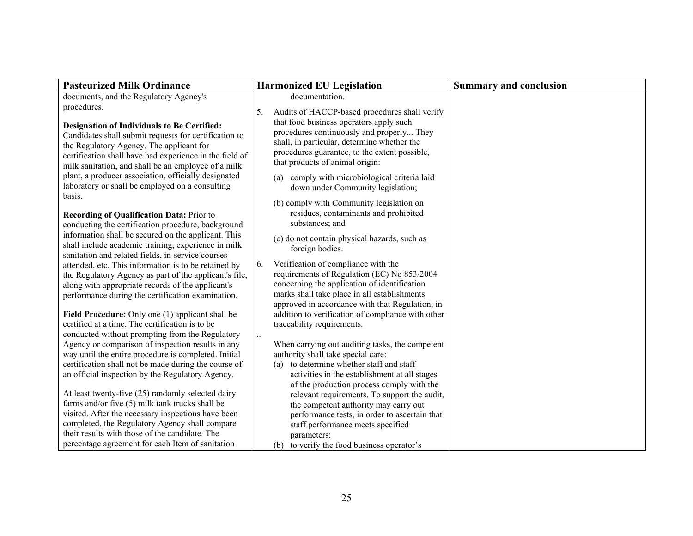| <b>Pasteurized Milk Ordinance</b>                                                                                                                                                                                                                                         | <b>Harmonized EU Legislation</b>                                                                                                                                                                                                            | <b>Summary and conclusion</b> |
|---------------------------------------------------------------------------------------------------------------------------------------------------------------------------------------------------------------------------------------------------------------------------|---------------------------------------------------------------------------------------------------------------------------------------------------------------------------------------------------------------------------------------------|-------------------------------|
| documents, and the Regulatory Agency's                                                                                                                                                                                                                                    | documentation.                                                                                                                                                                                                                              |                               |
| procedures.                                                                                                                                                                                                                                                               | Audits of HACCP-based procedures shall verify<br>5.                                                                                                                                                                                         |                               |
| <b>Designation of Individuals to Be Certified:</b><br>Candidates shall submit requests for certification to<br>the Regulatory Agency. The applicant for<br>certification shall have had experience in the field of<br>milk sanitation, and shall be an employee of a milk | that food business operators apply such<br>procedures continuously and properly They<br>shall, in particular, determine whether the<br>procedures guarantee, to the extent possible,<br>that products of animal origin:                     |                               |
| plant, a producer association, officially designated<br>laboratory or shall be employed on a consulting<br>basis.                                                                                                                                                         | (a) comply with microbiological criteria laid<br>down under Community legislation;                                                                                                                                                          |                               |
| <b>Recording of Qualification Data: Prior to</b><br>conducting the certification procedure, background                                                                                                                                                                    | (b) comply with Community legislation on<br>residues, contaminants and prohibited<br>substances; and                                                                                                                                        |                               |
| information shall be secured on the applicant. This<br>shall include academic training, experience in milk<br>sanitation and related fields, in-service courses                                                                                                           | (c) do not contain physical hazards, such as<br>foreign bodies.                                                                                                                                                                             |                               |
| attended, etc. This information is to be retained by<br>the Regulatory Agency as part of the applicant's file,<br>along with appropriate records of the applicant's<br>performance during the certification examination.                                                  | Verification of compliance with the<br>6.<br>requirements of Regulation (EC) No 853/2004<br>concerning the application of identification<br>marks shall take place in all establishments<br>approved in accordance with that Regulation, in |                               |
| Field Procedure: Only one (1) applicant shall be<br>certified at a time. The certification is to be                                                                                                                                                                       | addition to verification of compliance with other<br>traceability requirements.                                                                                                                                                             |                               |
| conducted without prompting from the Regulatory<br>Agency or comparison of inspection results in any<br>way until the entire procedure is completed. Initial<br>certification shall not be made during the course of<br>an official inspection by the Regulatory Agency.  | When carrying out auditing tasks, the competent<br>authority shall take special care:<br>to determine whether staff and staff<br>(a)<br>activities in the establishment at all stages<br>of the production process comply with the          |                               |
| At least twenty-five (25) randomly selected dairy<br>farms and/or five (5) milk tank trucks shall be<br>visited. After the necessary inspections have been                                                                                                                | relevant requirements. To support the audit,<br>the competent authority may carry out<br>performance tests, in order to ascertain that                                                                                                      |                               |
| completed, the Regulatory Agency shall compare<br>their results with those of the candidate. The<br>percentage agreement for each Item of sanitation                                                                                                                      | staff performance meets specified<br>parameters;                                                                                                                                                                                            |                               |
|                                                                                                                                                                                                                                                                           | (b) to verify the food business operator's                                                                                                                                                                                                  |                               |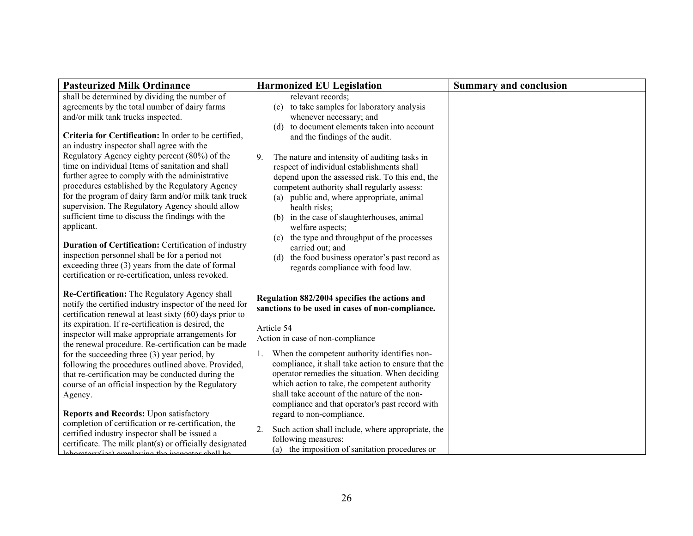| <b>Pasteurized Milk Ordinance</b>                                                                                                                                                                                                                                                                                                                                                                                                                                                                                                                                                                                                                       | <b>Harmonized EU Legislation</b>                                                                                                                                                                                                                                                                                                                                                                                                                                                                                     | <b>Summary and conclusion</b> |
|---------------------------------------------------------------------------------------------------------------------------------------------------------------------------------------------------------------------------------------------------------------------------------------------------------------------------------------------------------------------------------------------------------------------------------------------------------------------------------------------------------------------------------------------------------------------------------------------------------------------------------------------------------|----------------------------------------------------------------------------------------------------------------------------------------------------------------------------------------------------------------------------------------------------------------------------------------------------------------------------------------------------------------------------------------------------------------------------------------------------------------------------------------------------------------------|-------------------------------|
| shall be determined by dividing the number of<br>agreements by the total number of dairy farms<br>and/or milk tank trucks inspected.<br>Criteria for Certification: In order to be certified,                                                                                                                                                                                                                                                                                                                                                                                                                                                           | relevant records:<br>to take samples for laboratory analysis<br>(c)<br>whenever necessary; and<br>to document elements taken into account<br>(d)<br>and the findings of the audit.                                                                                                                                                                                                                                                                                                                                   |                               |
| an industry inspector shall agree with the<br>Regulatory Agency eighty percent (80%) of the<br>time on individual Items of sanitation and shall<br>further agree to comply with the administrative<br>procedures established by the Regulatory Agency<br>for the program of dairy farm and/or milk tank truck<br>supervision. The Regulatory Agency should allow<br>sufficient time to discuss the findings with the<br>applicant.<br>Duration of Certification: Certification of industry<br>inspection personnel shall be for a period not<br>exceeding three (3) years from the date of formal<br>certification or re-certification, unless revoked. | 9 <sub>1</sub><br>The nature and intensity of auditing tasks in<br>respect of individual establishments shall<br>depend upon the assessed risk. To this end, the<br>competent authority shall regularly assess:<br>(a) public and, where appropriate, animal<br>health risks;<br>in the case of slaughterhouses, animal<br>(b)<br>welfare aspects;<br>the type and throughput of the processes<br>(c)<br>carried out; and<br>the food business operator's past record as<br>(d)<br>regards compliance with food law. |                               |
| Re-Certification: The Regulatory Agency shall<br>notify the certified industry inspector of the need for<br>certification renewal at least sixty (60) days prior to                                                                                                                                                                                                                                                                                                                                                                                                                                                                                     | Regulation 882/2004 specifies the actions and<br>sanctions to be used in cases of non-compliance.                                                                                                                                                                                                                                                                                                                                                                                                                    |                               |
| its expiration. If re-certification is desired, the<br>inspector will make appropriate arrangements for<br>the renewal procedure. Re-certification can be made                                                                                                                                                                                                                                                                                                                                                                                                                                                                                          | Article 54<br>Action in case of non-compliance                                                                                                                                                                                                                                                                                                                                                                                                                                                                       |                               |
| for the succeeding three (3) year period, by<br>following the procedures outlined above. Provided,<br>that re-certification may be conducted during the<br>course of an official inspection by the Regulatory<br>Agency.<br>Reports and Records: Upon satisfactory                                                                                                                                                                                                                                                                                                                                                                                      | 1. When the competent authority identifies non-<br>compliance, it shall take action to ensure that the<br>operator remedies the situation. When deciding<br>which action to take, the competent authority<br>shall take account of the nature of the non-<br>compliance and that operator's past record with<br>regard to non-compliance.                                                                                                                                                                            |                               |
| completion of certification or re-certification, the<br>certified industry inspector shall be issued a<br>certificate. The milk plant(s) or officially designated<br>laboratory(ies) employing the inspector shall be                                                                                                                                                                                                                                                                                                                                                                                                                                   | 2.<br>Such action shall include, where appropriate, the<br>following measures:<br>(a) the imposition of sanitation procedures or                                                                                                                                                                                                                                                                                                                                                                                     |                               |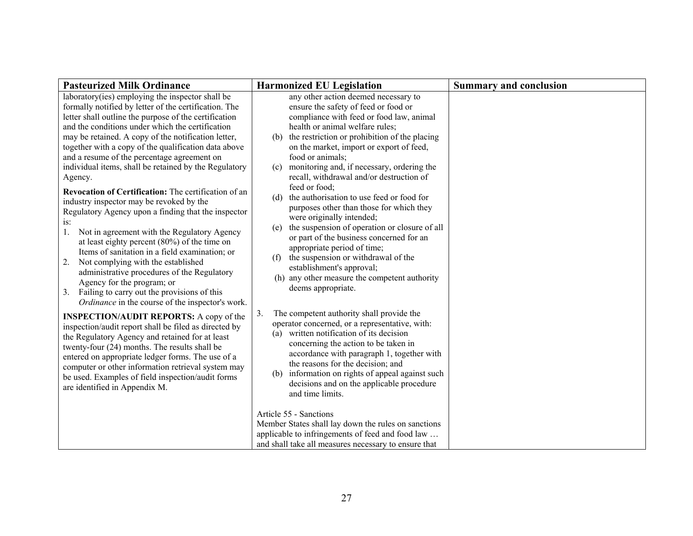| <b>Pasteurized Milk Ordinance</b>                                                                                                                                                                                                                                                                                                                                                                                                                                                                                                                                  | <b>Harmonized EU Legislation</b>                                                                                                                                                                                                                                                                                                                                                                                                                                                                                                           | <b>Summary and conclusion</b> |
|--------------------------------------------------------------------------------------------------------------------------------------------------------------------------------------------------------------------------------------------------------------------------------------------------------------------------------------------------------------------------------------------------------------------------------------------------------------------------------------------------------------------------------------------------------------------|--------------------------------------------------------------------------------------------------------------------------------------------------------------------------------------------------------------------------------------------------------------------------------------------------------------------------------------------------------------------------------------------------------------------------------------------------------------------------------------------------------------------------------------------|-------------------------------|
| laboratory(ies) employing the inspector shall be<br>formally notified by letter of the certification. The<br>letter shall outline the purpose of the certification<br>and the conditions under which the certification<br>may be retained. A copy of the notification letter,<br>together with a copy of the qualification data above<br>and a resume of the percentage agreement on<br>individual items, shall be retained by the Regulatory                                                                                                                      | any other action deemed necessary to<br>ensure the safety of feed or food or<br>compliance with feed or food law, animal<br>health or animal welfare rules;<br>(b) the restriction or prohibition of the placing<br>on the market, import or export of feed,<br>food or animals;<br>monitoring and, if necessary, ordering the<br>(c)                                                                                                                                                                                                      |                               |
| Agency.<br>Revocation of Certification: The certification of an<br>industry inspector may be revoked by the<br>Regulatory Agency upon a finding that the inspector<br>is:<br>Not in agreement with the Regulatory Agency<br>1.<br>at least eighty percent $(80\%)$ of the time on<br>Items of sanitation in a field examination; or<br>Not complying with the established<br>2.<br>administrative procedures of the Regulatory<br>Agency for the program; or<br>3. Failing to carry out the provisions of this<br>Ordinance in the course of the inspector's work. | recall, withdrawal and/or destruction of<br>feed or food;<br>(d) the authorisation to use feed or food for<br>purposes other than those for which they<br>were originally intended;<br>(e) the suspension of operation or closure of all<br>or part of the business concerned for an<br>appropriate period of time;<br>(f) the suspension or withdrawal of the<br>establishment's approval;<br>(h) any other measure the competent authority<br>deems appropriate.<br>The competent authority shall provide the<br>3.                      |                               |
| <b>INSPECTION/AUDIT REPORTS:</b> A copy of the<br>inspection/audit report shall be filed as directed by<br>the Regulatory Agency and retained for at least<br>twenty-four (24) months. The results shall be<br>entered on appropriate ledger forms. The use of a<br>computer or other information retrieval system may<br>be used. Examples of field inspection/audit forms<br>are identified in Appendix M.                                                                                                                                                       | operator concerned, or a representative, with:<br>written notification of its decision<br>(a)<br>concerning the action to be taken in<br>accordance with paragraph 1, together with<br>the reasons for the decision; and<br>(b) information on rights of appeal against such<br>decisions and on the applicable procedure<br>and time limits.<br>Article 55 - Sanctions<br>Member States shall lay down the rules on sanctions<br>applicable to infringements of feed and food law<br>and shall take all measures necessary to ensure that |                               |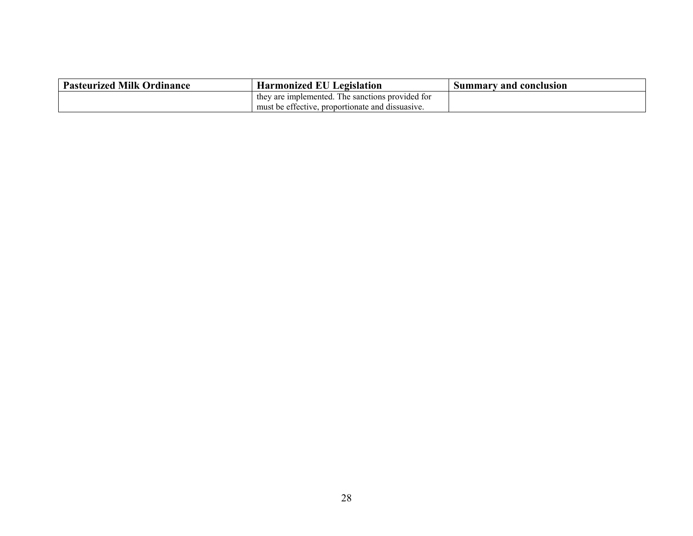| <b>Pasteurized Milk Ordinance</b> | <b>Harmonized EU Legislation</b>                 | Summary and conclusion |
|-----------------------------------|--------------------------------------------------|------------------------|
|                                   | they are implemented. The sanctions provided for |                        |
|                                   | must be effective, proportionate and dissuasive. |                        |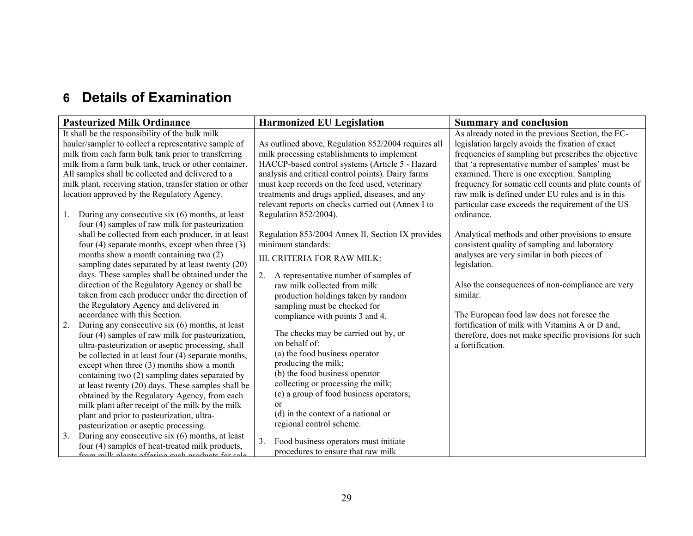## **6 Details of Examination**

| <b>Pasteurized Milk Ordinance</b>                        | <b>Harmonized EU Legislation</b>                        | <b>Summary and conclusion</b>                         |
|----------------------------------------------------------|---------------------------------------------------------|-------------------------------------------------------|
| It shall be the responsibility of the bulk milk          |                                                         | As already noted in the previous Section, the EC-     |
| hauler/sampler to collect a representative sample of     | As outlined above, Regulation 852/2004 requires all     | legislation largely avoids the fixation of exact      |
| milk from each farm bulk tank prior to transferring      | milk processing establishments to implement             | frequencies of sampling but prescribes the objective  |
| milk from a farm bulk tank, truck or other container.    | HACCP-based control systems (Article 5 - Hazard         | that 'a representative number of samples' must be     |
| All samples shall be collected and delivered to a        | analysis and critical control points). Dairy farms      | examined. There is one exception: Sampling            |
| milk plant, receiving station, transfer station or other | must keep records on the feed used, veterinary          | frequency for somatic cell counts and plate counts of |
| location approved by the Regulatory Agency.              | treatments and drugs applied, diseases, and any         | raw milk is defined under EU rules and is in this     |
|                                                          | relevant reports on checks carried out (Annex I to      | particular case exceeds the requirement of the US     |
| During any consecutive six (6) months, at least<br>1.    | Regulation 852/2004).                                   | ordinance.                                            |
| four (4) samples of raw milk for pasteurization          |                                                         |                                                       |
| shall be collected from each producer, in at least       | Regulation 853/2004 Annex II, Section IX provides       | Analytical methods and other provisions to ensure     |
| four $(4)$ separate months, except when three $(3)$      | minimum standards:                                      | consistent quality of sampling and laboratory         |
| months show a month containing two (2)                   | III. CRITERIA FOR RAW MILK:                             | analyses are very similar in both pieces of           |
| sampling dates separated by at least twenty (20)         |                                                         | legislation.                                          |
| days. These samples shall be obtained under the          | A representative number of samples of<br>2.             |                                                       |
| direction of the Regulatory Agency or shall be           | raw milk collected from milk                            | Also the consequences of non-compliance are very      |
| taken from each producer under the direction of          | production holdings taken by random                     | similar.                                              |
| the Regulatory Agency and delivered in                   | sampling must be checked for                            |                                                       |
| accordance with this Section.                            | compliance with points 3 and 4.                         | The European food law does not foresee the            |
| 2.<br>During any consecutive six (6) months, at least    |                                                         | fortification of milk with Vitamins A or D and,       |
| four (4) samples of raw milk for pasteurization,         | The checks may be carried out by, or                    | therefore, does not make specific provisions for such |
| ultra-pasteurization or aseptic processing, shall        | on behalf of:                                           | a fortification.                                      |
| be collected in at least four (4) separate months,       | (a) the food business operator                          |                                                       |
| except when three (3) months show a month                | producing the milk;                                     |                                                       |
| containing two (2) sampling dates separated by           | (b) the food business operator                          |                                                       |
| at least twenty (20) days. These samples shall be        | collecting or processing the milk;                      |                                                       |
| obtained by the Regulatory Agency, from each             | (c) a group of food business operators;                 |                                                       |
| milk plant after receipt of the milk by the milk         | $\alpha$                                                |                                                       |
| plant and prior to pasteurization, ultra-                | (d) in the context of a national or                     |                                                       |
| pasteurization or aseptic processing.                    | regional control scheme.                                |                                                       |
| During any consecutive six (6) months, at least<br>3.    | Food business operators must initiate<br>3 <sub>1</sub> |                                                       |
| four (4) samples of heat-treated milk products,          | procedures to ensure that raw milk                      |                                                       |
| from milk plante offering such products for sale         |                                                         |                                                       |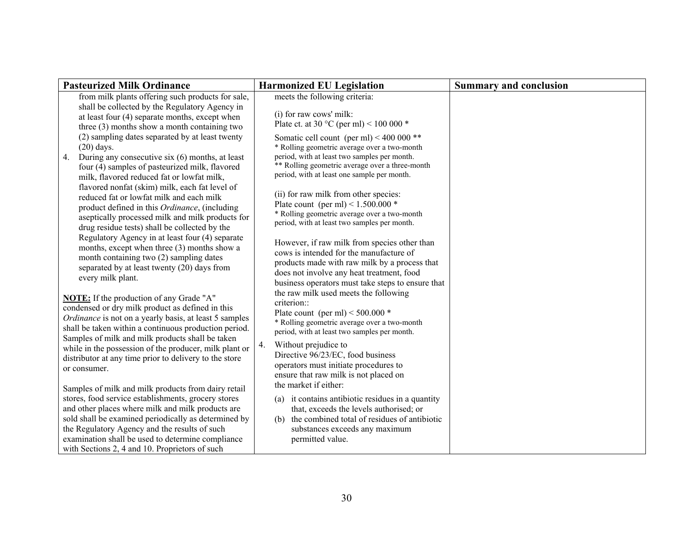|              | <b>Pasteurized Milk Ordinance</b>                                                                                                                                                                                                                                                                                                                                               |    | <b>Harmonized EU Legislation</b>                                                                                                                                                                                                           | <b>Summary and conclusion</b> |
|--------------|---------------------------------------------------------------------------------------------------------------------------------------------------------------------------------------------------------------------------------------------------------------------------------------------------------------------------------------------------------------------------------|----|--------------------------------------------------------------------------------------------------------------------------------------------------------------------------------------------------------------------------------------------|-------------------------------|
|              | from milk plants offering such products for sale,<br>shall be collected by the Regulatory Agency in<br>at least four (4) separate months, except when<br>three $(3)$ months show a month containing two                                                                                                                                                                         |    | meets the following criteria:<br>(i) for raw cows' milk:<br>Plate ct. at 30 °C (per ml) < 100 000 $*$                                                                                                                                      |                               |
| 4.           | (2) sampling dates separated by at least twenty<br>$(20)$ days.<br>During any consecutive six (6) months, at least<br>four (4) samples of pasteurized milk, flavored<br>milk, flavored reduced fat or lowfat milk,                                                                                                                                                              |    | Somatic cell count (per ml) < 400 000 **<br>* Rolling geometric average over a two-month<br>period, with at least two samples per month.<br>** Rolling geometric average over a three-month<br>period, with at least one sample per month. |                               |
|              | flavored nonfat (skim) milk, each fat level of<br>reduced fat or lowfat milk and each milk<br>product defined in this Ordinance, (including<br>aseptically processed milk and milk products for<br>drug residue tests) shall be collected by the                                                                                                                                |    | (ii) for raw milk from other species:<br>Plate count (per ml) < $1.500.000*$<br>* Rolling geometric average over a two-month<br>period, with at least two samples per month.                                                               |                               |
|              | Regulatory Agency in at least four (4) separate<br>months, except when three (3) months show a<br>month containing two (2) sampling dates<br>separated by at least twenty (20) days from<br>every milk plant.                                                                                                                                                                   |    | However, if raw milk from species other than<br>cows is intended for the manufacture of<br>products made with raw milk by a process that<br>does not involve any heat treatment, food<br>business operators must take steps to ensure that |                               |
|              | <b>NOTE:</b> If the production of any Grade "A"<br>condensed or dry milk product as defined in this<br>Ordinance is not on a yearly basis, at least 5 samples<br>shall be taken within a continuous production period.<br>Samples of milk and milk products shall be taken                                                                                                      |    | the raw milk used meets the following<br>criterion::<br>Plate count (per ml) < $500.000*$<br>* Rolling geometric average over a two-month<br>period, with at least two samples per month.                                                  |                               |
| or consumer. | while in the possession of the producer, milk plant or<br>distributor at any time prior to delivery to the store                                                                                                                                                                                                                                                                | 4. | Without prejudice to<br>Directive 96/23/EC, food business<br>operators must initiate procedures to<br>ensure that raw milk is not placed on<br>the market if either:                                                                       |                               |
|              | Samples of milk and milk products from dairy retail<br>stores, food service establishments, grocery stores<br>and other places where milk and milk products are<br>sold shall be examined periodically as determined by<br>the Regulatory Agency and the results of such<br>examination shall be used to determine compliance<br>with Sections 2, 4 and 10. Proprietors of such |    | (a) it contains antibiotic residues in a quantity<br>that, exceeds the levels authorised; or<br>the combined total of residues of antibiotic<br>(b)<br>substances exceeds any maximum<br>permitted value.                                  |                               |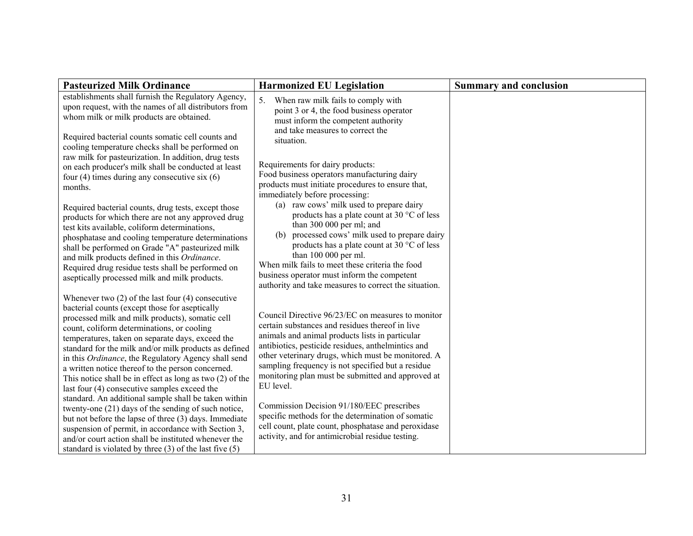| <b>Pasteurized Milk Ordinance</b>                                                                                                                                                                                                                                                                                                                                                                                                                                                                                                                                                                                                                                                                                                                                                                                                                                                                    | <b>Harmonized EU Legislation</b>                                                                                                                                                                                                                                                                                                                                                                                                                                                                                                                                                                        | <b>Summary and conclusion</b> |
|------------------------------------------------------------------------------------------------------------------------------------------------------------------------------------------------------------------------------------------------------------------------------------------------------------------------------------------------------------------------------------------------------------------------------------------------------------------------------------------------------------------------------------------------------------------------------------------------------------------------------------------------------------------------------------------------------------------------------------------------------------------------------------------------------------------------------------------------------------------------------------------------------|---------------------------------------------------------------------------------------------------------------------------------------------------------------------------------------------------------------------------------------------------------------------------------------------------------------------------------------------------------------------------------------------------------------------------------------------------------------------------------------------------------------------------------------------------------------------------------------------------------|-------------------------------|
| establishments shall furnish the Regulatory Agency,<br>upon request, with the names of all distributors from<br>whom milk or milk products are obtained.<br>Required bacterial counts somatic cell counts and                                                                                                                                                                                                                                                                                                                                                                                                                                                                                                                                                                                                                                                                                        | 5.<br>When raw milk fails to comply with<br>point 3 or 4, the food business operator<br>must inform the competent authority<br>and take measures to correct the<br>situation.                                                                                                                                                                                                                                                                                                                                                                                                                           |                               |
| cooling temperature checks shall be performed on<br>raw milk for pasteurization. In addition, drug tests<br>on each producer's milk shall be conducted at least<br>four $(4)$ times during any consecutive six $(6)$<br>months.                                                                                                                                                                                                                                                                                                                                                                                                                                                                                                                                                                                                                                                                      | Requirements for dairy products:<br>Food business operators manufacturing dairy<br>products must initiate procedures to ensure that,<br>immediately before processing:                                                                                                                                                                                                                                                                                                                                                                                                                                  |                               |
| Required bacterial counts, drug tests, except those<br>products for which there are not any approved drug<br>test kits available, coliform determinations,<br>phosphatase and cooling temperature determinations<br>shall be performed on Grade "A" pasteurized milk<br>and milk products defined in this Ordinance.<br>Required drug residue tests shall be performed on<br>aseptically processed milk and milk products.                                                                                                                                                                                                                                                                                                                                                                                                                                                                           | (a) raw cows' milk used to prepare dairy<br>products has a plate count at 30 °C of less<br>than 300 000 per ml; and<br>processed cows' milk used to prepare dairy<br>(b)<br>products has a plate count at 30 °C of less<br>than 100 000 per ml.<br>When milk fails to meet these criteria the food<br>business operator must inform the competent<br>authority and take measures to correct the situation.                                                                                                                                                                                              |                               |
| Whenever two $(2)$ of the last four $(4)$ consecutive<br>bacterial counts (except those for aseptically<br>processed milk and milk products), somatic cell<br>count, coliform determinations, or cooling<br>temperatures, taken on separate days, exceed the<br>standard for the milk and/or milk products as defined<br>in this Ordinance, the Regulatory Agency shall send<br>a written notice thereof to the person concerned.<br>This notice shall be in effect as long as two $(2)$ of the<br>last four (4) consecutive samples exceed the<br>standard. An additional sample shall be taken within<br>twenty-one (21) days of the sending of such notice,<br>but not before the lapse of three (3) days. Immediate<br>suspension of permit, in accordance with Section 3,<br>and/or court action shall be instituted whenever the<br>standard is violated by three $(3)$ of the last five $(5)$ | Council Directive 96/23/EC on measures to monitor<br>certain substances and residues thereof in live<br>animals and animal products lists in particular<br>antibiotics, pesticide residues, anthelmintics and<br>other veterinary drugs, which must be monitored. A<br>sampling frequency is not specified but a residue<br>monitoring plan must be submitted and approved at<br>EU level.<br>Commission Decision 91/180/EEC prescribes<br>specific methods for the determination of somatic<br>cell count, plate count, phosphatase and peroxidase<br>activity, and for antimicrobial residue testing. |                               |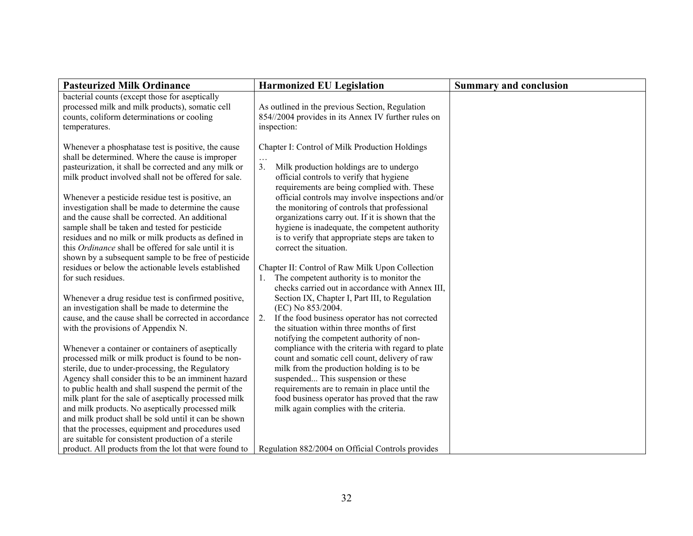| <b>Pasteurized Milk Ordinance</b>                                                                                                                                                                                                                                                                                                                                                                                                                                                                                                                                                                                     | <b>Harmonized EU Legislation</b>                                                                                                                                                                                                                                                                                                                                                                                                                                                   | <b>Summary and conclusion</b> |
|-----------------------------------------------------------------------------------------------------------------------------------------------------------------------------------------------------------------------------------------------------------------------------------------------------------------------------------------------------------------------------------------------------------------------------------------------------------------------------------------------------------------------------------------------------------------------------------------------------------------------|------------------------------------------------------------------------------------------------------------------------------------------------------------------------------------------------------------------------------------------------------------------------------------------------------------------------------------------------------------------------------------------------------------------------------------------------------------------------------------|-------------------------------|
| bacterial counts (except those for aseptically<br>processed milk and milk products), somatic cell<br>counts, coliform determinations or cooling<br>temperatures.                                                                                                                                                                                                                                                                                                                                                                                                                                                      | As outlined in the previous Section, Regulation<br>854//2004 provides in its Annex IV further rules on<br>inspection:                                                                                                                                                                                                                                                                                                                                                              |                               |
| Whenever a phosphatase test is positive, the cause<br>shall be determined. Where the cause is improper<br>pasteurization, it shall be corrected and any milk or<br>milk product involved shall not be offered for sale.<br>Whenever a pesticide residue test is positive, an<br>investigation shall be made to determine the cause<br>and the cause shall be corrected. An additional<br>sample shall be taken and tested for pesticide<br>residues and no milk or milk products as defined in<br>this <i>Ordinance</i> shall be offered for sale until it is<br>shown by a subsequent sample to be free of pesticide | Chapter I: Control of Milk Production Holdings<br>3.<br>Milk production holdings are to undergo<br>official controls to verify that hygiene<br>requirements are being complied with. These<br>official controls may involve inspections and/or<br>the monitoring of controls that professional<br>organizations carry out. If it is shown that the<br>hygiene is inadequate, the competent authority<br>is to verify that appropriate steps are taken to<br>correct the situation. |                               |
| residues or below the actionable levels established<br>for such residues.                                                                                                                                                                                                                                                                                                                                                                                                                                                                                                                                             | Chapter II: Control of Raw Milk Upon Collection<br>The competent authority is to monitor the<br>1.<br>checks carried out in accordance with Annex III,                                                                                                                                                                                                                                                                                                                             |                               |
| Whenever a drug residue test is confirmed positive,<br>an investigation shall be made to determine the<br>cause, and the cause shall be corrected in accordance<br>with the provisions of Appendix N.                                                                                                                                                                                                                                                                                                                                                                                                                 | Section IX, Chapter I, Part III, to Regulation<br>(EC) No 853/2004.<br>If the food business operator has not corrected<br>2.<br>the situation within three months of first                                                                                                                                                                                                                                                                                                         |                               |
| Whenever a container or containers of aseptically<br>processed milk or milk product is found to be non-<br>sterile, due to under-processing, the Regulatory<br>Agency shall consider this to be an imminent hazard<br>to public health and shall suspend the permit of the<br>milk plant for the sale of aseptically processed milk<br>and milk products. No aseptically processed milk<br>and milk product shall be sold until it can be shown<br>that the processes, equipment and procedures used                                                                                                                  | notifying the competent authority of non-<br>compliance with the criteria with regard to plate<br>count and somatic cell count, delivery of raw<br>milk from the production holding is to be<br>suspended This suspension or these<br>requirements are to remain in place until the<br>food business operator has proved that the raw<br>milk again complies with the criteria.                                                                                                    |                               |
| are suitable for consistent production of a sterile<br>product. All products from the lot that were found to                                                                                                                                                                                                                                                                                                                                                                                                                                                                                                          | Regulation 882/2004 on Official Controls provides                                                                                                                                                                                                                                                                                                                                                                                                                                  |                               |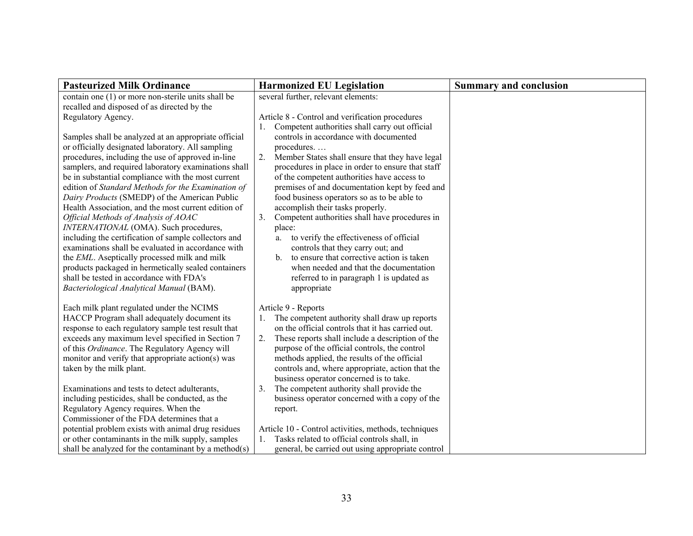| <b>Pasteurized Milk Ordinance</b>                                                                                                                                                                                                                                                                                                                                                                                                                                                                                                                                                                                                                                                                                                                                                                                                        | <b>Harmonized EU Legislation</b>                                                                                                                                                                                                                                                                                                                                                                                                                                                                                                                                                                                                                                                 | <b>Summary and conclusion</b> |
|------------------------------------------------------------------------------------------------------------------------------------------------------------------------------------------------------------------------------------------------------------------------------------------------------------------------------------------------------------------------------------------------------------------------------------------------------------------------------------------------------------------------------------------------------------------------------------------------------------------------------------------------------------------------------------------------------------------------------------------------------------------------------------------------------------------------------------------|----------------------------------------------------------------------------------------------------------------------------------------------------------------------------------------------------------------------------------------------------------------------------------------------------------------------------------------------------------------------------------------------------------------------------------------------------------------------------------------------------------------------------------------------------------------------------------------------------------------------------------------------------------------------------------|-------------------------------|
| contain one (1) or more non-sterile units shall be<br>recalled and disposed of as directed by the                                                                                                                                                                                                                                                                                                                                                                                                                                                                                                                                                                                                                                                                                                                                        | several further, relevant elements:                                                                                                                                                                                                                                                                                                                                                                                                                                                                                                                                                                                                                                              |                               |
| Regulatory Agency.                                                                                                                                                                                                                                                                                                                                                                                                                                                                                                                                                                                                                                                                                                                                                                                                                       | Article 8 - Control and verification procedures<br>Competent authorities shall carry out official                                                                                                                                                                                                                                                                                                                                                                                                                                                                                                                                                                                |                               |
| Samples shall be analyzed at an appropriate official<br>or officially designated laboratory. All sampling<br>procedures, including the use of approved in-line<br>samplers, and required laboratory examinations shall<br>be in substantial compliance with the most current<br>edition of Standard Methods for the Examination of<br>Dairy Products (SMEDP) of the American Public<br>Health Association, and the most current edition of<br>Official Methods of Analysis of AOAC<br>INTERNATIONAL (OMA). Such procedures,<br>including the certification of sample collectors and<br>examinations shall be evaluated in accordance with<br>the EML. Aseptically processed milk and milk<br>products packaged in hermetically sealed containers<br>shall be tested in accordance with FDA's<br>Bacteriological Analytical Manual (BAM). | controls in accordance with documented<br>procedures<br>2.<br>Member States shall ensure that they have legal<br>procedures in place in order to ensure that staff<br>of the competent authorities have access to<br>premises of and documentation kept by feed and<br>food business operators so as to be able to<br>accomplish their tasks properly.<br>3.<br>Competent authorities shall have procedures in<br>place:<br>to verify the effectiveness of official<br>a.<br>controls that they carry out; and<br>to ensure that corrective action is taken<br>$\mathbf{b}$<br>when needed and that the documentation<br>referred to in paragraph 1 is updated as<br>appropriate |                               |
| Each milk plant regulated under the NCIMS<br>HACCP Program shall adequately document its<br>response to each regulatory sample test result that<br>exceeds any maximum level specified in Section 7<br>of this Ordinance. The Regulatory Agency will<br>monitor and verify that appropriate action(s) was<br>taken by the milk plant.                                                                                                                                                                                                                                                                                                                                                                                                                                                                                                    | Article 9 - Reports<br>The competent authority shall draw up reports<br>1.<br>on the official controls that it has carried out.<br>2.<br>These reports shall include a description of the<br>purpose of the official controls, the control<br>methods applied, the results of the official<br>controls and, where appropriate, action that the<br>business operator concerned is to take.                                                                                                                                                                                                                                                                                        |                               |
| Examinations and tests to detect adulterants,<br>including pesticides, shall be conducted, as the<br>Regulatory Agency requires. When the<br>Commissioner of the FDA determines that a<br>potential problem exists with animal drug residues<br>or other contaminants in the milk supply, samples<br>shall be analyzed for the contaminant by a method(s)                                                                                                                                                                                                                                                                                                                                                                                                                                                                                | The competent authority shall provide the<br>3.<br>business operator concerned with a copy of the<br>report.<br>Article 10 - Control activities, methods, techniques<br>1. Tasks related to official controls shall, in<br>general, be carried out using appropriate control                                                                                                                                                                                                                                                                                                                                                                                                     |                               |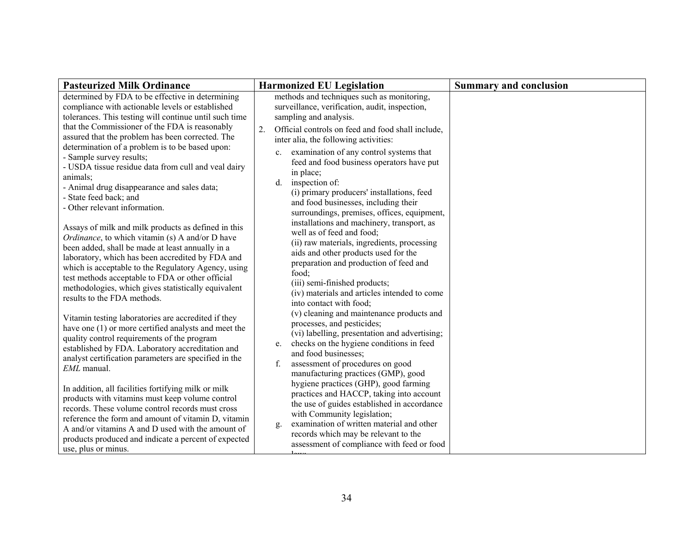| <b>Pasteurized Milk Ordinance</b>                                                                                                                                                                                                                                                                                                                     | <b>Harmonized EU Legislation</b>                                                                                                                                                                                                                                                                                                                             | <b>Summary and conclusion</b> |
|-------------------------------------------------------------------------------------------------------------------------------------------------------------------------------------------------------------------------------------------------------------------------------------------------------------------------------------------------------|--------------------------------------------------------------------------------------------------------------------------------------------------------------------------------------------------------------------------------------------------------------------------------------------------------------------------------------------------------------|-------------------------------|
| determined by FDA to be effective in determining<br>compliance with actionable levels or established<br>tolerances. This testing will continue until such time<br>that the Commissioner of the FDA is reasonably<br>assured that the problem has been corrected. The<br>determination of a problem is to be based upon:                               | methods and techniques such as monitoring,<br>surveillance, verification, audit, inspection,<br>sampling and analysis.<br>Official controls on feed and food shall include,<br>2.<br>inter alia, the following activities:<br>examination of any control systems that                                                                                        |                               |
| - Sample survey results;<br>- USDA tissue residue data from cull and veal dairy<br>animals:<br>- Animal drug disappearance and sales data;<br>- State feed back; and<br>- Other relevant information.<br>Assays of milk and milk products as defined in this<br><i>Ordinance</i> , to which vitamin (s) A and/or D have                               | $c_{\cdot}$<br>feed and food business operators have put<br>in place;<br>inspection of:<br>d.<br>(i) primary producers' installations, feed<br>and food businesses, including their<br>surroundings, premises, offices, equipment,<br>installations and machinery, transport, as<br>well as of feed and food;<br>(ii) raw materials, ingredients, processing |                               |
| been added, shall be made at least annually in a<br>laboratory, which has been accredited by FDA and<br>which is acceptable to the Regulatory Agency, using<br>test methods acceptable to FDA or other official<br>methodologies, which gives statistically equivalent<br>results to the FDA methods.                                                 | aids and other products used for the<br>preparation and production of feed and<br>food:<br>(iii) semi-finished products;<br>(iv) materials and articles intended to come<br>into contact with food;<br>(v) cleaning and maintenance products and                                                                                                             |                               |
| Vitamin testing laboratories are accredited if they<br>have one (1) or more certified analysts and meet the<br>quality control requirements of the program<br>established by FDA. Laboratory accreditation and<br>analyst certification parameters are specified in the<br>EML manual.                                                                | processes, and pesticides;<br>(vi) labelling, presentation and advertising;<br>checks on the hygiene conditions in feed<br>e.<br>and food businesses;<br>assessment of procedures on good<br>f.<br>manufacturing practices (GMP), good<br>hygiene practices (GHP), good farming                                                                              |                               |
| In addition, all facilities fortifying milk or milk<br>products with vitamins must keep volume control<br>records. These volume control records must cross<br>reference the form and amount of vitamin D, vitamin<br>A and/or vitamins A and D used with the amount of<br>products produced and indicate a percent of expected<br>use, plus or minus. | practices and HACCP, taking into account<br>the use of guides established in accordance<br>with Community legislation;<br>examination of written material and other<br>g.<br>records which may be relevant to the<br>assessment of compliance with feed or food                                                                                              |                               |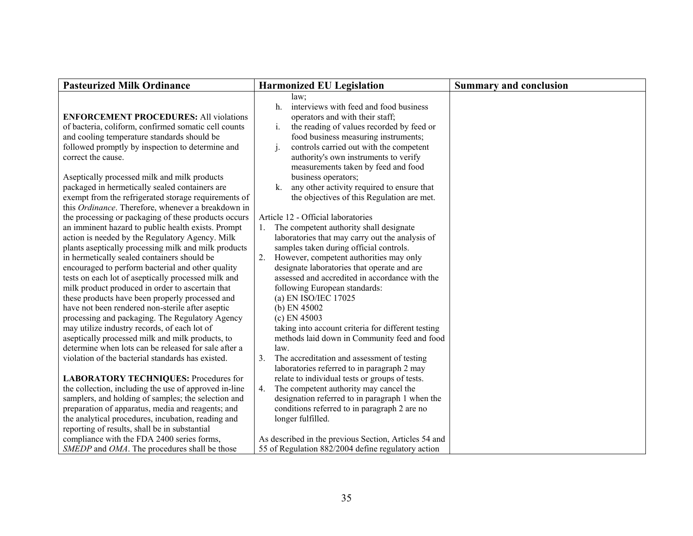| <b>Pasteurized Milk Ordinance</b>                                                                                                                                                                                                                                                                                                                                                                                                                                                                                                                                                                                                                                                                                                                                                                                                                                                                                                                                                                                                                                                                                                                                                                                                                                                                                                                                                                                                                                                                                                   | <b>Harmonized EU Legislation</b>                                                                                                                                                                                                                                                                                                                                                                                                                                                                                                                                                                                                                                                                                                                                                                                                                                                                                                                                                                                                                                                                                                                                                                                                                  | <b>Summary and conclusion</b> |
|-------------------------------------------------------------------------------------------------------------------------------------------------------------------------------------------------------------------------------------------------------------------------------------------------------------------------------------------------------------------------------------------------------------------------------------------------------------------------------------------------------------------------------------------------------------------------------------------------------------------------------------------------------------------------------------------------------------------------------------------------------------------------------------------------------------------------------------------------------------------------------------------------------------------------------------------------------------------------------------------------------------------------------------------------------------------------------------------------------------------------------------------------------------------------------------------------------------------------------------------------------------------------------------------------------------------------------------------------------------------------------------------------------------------------------------------------------------------------------------------------------------------------------------|---------------------------------------------------------------------------------------------------------------------------------------------------------------------------------------------------------------------------------------------------------------------------------------------------------------------------------------------------------------------------------------------------------------------------------------------------------------------------------------------------------------------------------------------------------------------------------------------------------------------------------------------------------------------------------------------------------------------------------------------------------------------------------------------------------------------------------------------------------------------------------------------------------------------------------------------------------------------------------------------------------------------------------------------------------------------------------------------------------------------------------------------------------------------------------------------------------------------------------------------------|-------------------------------|
|                                                                                                                                                                                                                                                                                                                                                                                                                                                                                                                                                                                                                                                                                                                                                                                                                                                                                                                                                                                                                                                                                                                                                                                                                                                                                                                                                                                                                                                                                                                                     | $law$ ;<br>interviews with feed and food business<br>$h_{-}$                                                                                                                                                                                                                                                                                                                                                                                                                                                                                                                                                                                                                                                                                                                                                                                                                                                                                                                                                                                                                                                                                                                                                                                      |                               |
| <b>ENFORCEMENT PROCEDURES: All violations</b>                                                                                                                                                                                                                                                                                                                                                                                                                                                                                                                                                                                                                                                                                                                                                                                                                                                                                                                                                                                                                                                                                                                                                                                                                                                                                                                                                                                                                                                                                       | operators and with their staff;                                                                                                                                                                                                                                                                                                                                                                                                                                                                                                                                                                                                                                                                                                                                                                                                                                                                                                                                                                                                                                                                                                                                                                                                                   |                               |
| of bacteria, coliform, confirmed somatic cell counts                                                                                                                                                                                                                                                                                                                                                                                                                                                                                                                                                                                                                                                                                                                                                                                                                                                                                                                                                                                                                                                                                                                                                                                                                                                                                                                                                                                                                                                                                | $i$ .<br>the reading of values recorded by feed or                                                                                                                                                                                                                                                                                                                                                                                                                                                                                                                                                                                                                                                                                                                                                                                                                                                                                                                                                                                                                                                                                                                                                                                                |                               |
| and cooling temperature standards should be                                                                                                                                                                                                                                                                                                                                                                                                                                                                                                                                                                                                                                                                                                                                                                                                                                                                                                                                                                                                                                                                                                                                                                                                                                                                                                                                                                                                                                                                                         | food business measuring instruments;                                                                                                                                                                                                                                                                                                                                                                                                                                                                                                                                                                                                                                                                                                                                                                                                                                                                                                                                                                                                                                                                                                                                                                                                              |                               |
|                                                                                                                                                                                                                                                                                                                                                                                                                                                                                                                                                                                                                                                                                                                                                                                                                                                                                                                                                                                                                                                                                                                                                                                                                                                                                                                                                                                                                                                                                                                                     | $\mathbf{1}$ .                                                                                                                                                                                                                                                                                                                                                                                                                                                                                                                                                                                                                                                                                                                                                                                                                                                                                                                                                                                                                                                                                                                                                                                                                                    |                               |
|                                                                                                                                                                                                                                                                                                                                                                                                                                                                                                                                                                                                                                                                                                                                                                                                                                                                                                                                                                                                                                                                                                                                                                                                                                                                                                                                                                                                                                                                                                                                     |                                                                                                                                                                                                                                                                                                                                                                                                                                                                                                                                                                                                                                                                                                                                                                                                                                                                                                                                                                                                                                                                                                                                                                                                                                                   |                               |
|                                                                                                                                                                                                                                                                                                                                                                                                                                                                                                                                                                                                                                                                                                                                                                                                                                                                                                                                                                                                                                                                                                                                                                                                                                                                                                                                                                                                                                                                                                                                     |                                                                                                                                                                                                                                                                                                                                                                                                                                                                                                                                                                                                                                                                                                                                                                                                                                                                                                                                                                                                                                                                                                                                                                                                                                                   |                               |
|                                                                                                                                                                                                                                                                                                                                                                                                                                                                                                                                                                                                                                                                                                                                                                                                                                                                                                                                                                                                                                                                                                                                                                                                                                                                                                                                                                                                                                                                                                                                     |                                                                                                                                                                                                                                                                                                                                                                                                                                                                                                                                                                                                                                                                                                                                                                                                                                                                                                                                                                                                                                                                                                                                                                                                                                                   |                               |
|                                                                                                                                                                                                                                                                                                                                                                                                                                                                                                                                                                                                                                                                                                                                                                                                                                                                                                                                                                                                                                                                                                                                                                                                                                                                                                                                                                                                                                                                                                                                     |                                                                                                                                                                                                                                                                                                                                                                                                                                                                                                                                                                                                                                                                                                                                                                                                                                                                                                                                                                                                                                                                                                                                                                                                                                                   |                               |
|                                                                                                                                                                                                                                                                                                                                                                                                                                                                                                                                                                                                                                                                                                                                                                                                                                                                                                                                                                                                                                                                                                                                                                                                                                                                                                                                                                                                                                                                                                                                     |                                                                                                                                                                                                                                                                                                                                                                                                                                                                                                                                                                                                                                                                                                                                                                                                                                                                                                                                                                                                                                                                                                                                                                                                                                                   |                               |
|                                                                                                                                                                                                                                                                                                                                                                                                                                                                                                                                                                                                                                                                                                                                                                                                                                                                                                                                                                                                                                                                                                                                                                                                                                                                                                                                                                                                                                                                                                                                     |                                                                                                                                                                                                                                                                                                                                                                                                                                                                                                                                                                                                                                                                                                                                                                                                                                                                                                                                                                                                                                                                                                                                                                                                                                                   |                               |
|                                                                                                                                                                                                                                                                                                                                                                                                                                                                                                                                                                                                                                                                                                                                                                                                                                                                                                                                                                                                                                                                                                                                                                                                                                                                                                                                                                                                                                                                                                                                     |                                                                                                                                                                                                                                                                                                                                                                                                                                                                                                                                                                                                                                                                                                                                                                                                                                                                                                                                                                                                                                                                                                                                                                                                                                                   |                               |
|                                                                                                                                                                                                                                                                                                                                                                                                                                                                                                                                                                                                                                                                                                                                                                                                                                                                                                                                                                                                                                                                                                                                                                                                                                                                                                                                                                                                                                                                                                                                     |                                                                                                                                                                                                                                                                                                                                                                                                                                                                                                                                                                                                                                                                                                                                                                                                                                                                                                                                                                                                                                                                                                                                                                                                                                                   |                               |
|                                                                                                                                                                                                                                                                                                                                                                                                                                                                                                                                                                                                                                                                                                                                                                                                                                                                                                                                                                                                                                                                                                                                                                                                                                                                                                                                                                                                                                                                                                                                     |                                                                                                                                                                                                                                                                                                                                                                                                                                                                                                                                                                                                                                                                                                                                                                                                                                                                                                                                                                                                                                                                                                                                                                                                                                                   |                               |
|                                                                                                                                                                                                                                                                                                                                                                                                                                                                                                                                                                                                                                                                                                                                                                                                                                                                                                                                                                                                                                                                                                                                                                                                                                                                                                                                                                                                                                                                                                                                     |                                                                                                                                                                                                                                                                                                                                                                                                                                                                                                                                                                                                                                                                                                                                                                                                                                                                                                                                                                                                                                                                                                                                                                                                                                                   |                               |
|                                                                                                                                                                                                                                                                                                                                                                                                                                                                                                                                                                                                                                                                                                                                                                                                                                                                                                                                                                                                                                                                                                                                                                                                                                                                                                                                                                                                                                                                                                                                     |                                                                                                                                                                                                                                                                                                                                                                                                                                                                                                                                                                                                                                                                                                                                                                                                                                                                                                                                                                                                                                                                                                                                                                                                                                                   |                               |
|                                                                                                                                                                                                                                                                                                                                                                                                                                                                                                                                                                                                                                                                                                                                                                                                                                                                                                                                                                                                                                                                                                                                                                                                                                                                                                                                                                                                                                                                                                                                     |                                                                                                                                                                                                                                                                                                                                                                                                                                                                                                                                                                                                                                                                                                                                                                                                                                                                                                                                                                                                                                                                                                                                                                                                                                                   |                               |
|                                                                                                                                                                                                                                                                                                                                                                                                                                                                                                                                                                                                                                                                                                                                                                                                                                                                                                                                                                                                                                                                                                                                                                                                                                                                                                                                                                                                                                                                                                                                     |                                                                                                                                                                                                                                                                                                                                                                                                                                                                                                                                                                                                                                                                                                                                                                                                                                                                                                                                                                                                                                                                                                                                                                                                                                                   |                               |
|                                                                                                                                                                                                                                                                                                                                                                                                                                                                                                                                                                                                                                                                                                                                                                                                                                                                                                                                                                                                                                                                                                                                                                                                                                                                                                                                                                                                                                                                                                                                     |                                                                                                                                                                                                                                                                                                                                                                                                                                                                                                                                                                                                                                                                                                                                                                                                                                                                                                                                                                                                                                                                                                                                                                                                                                                   |                               |
|                                                                                                                                                                                                                                                                                                                                                                                                                                                                                                                                                                                                                                                                                                                                                                                                                                                                                                                                                                                                                                                                                                                                                                                                                                                                                                                                                                                                                                                                                                                                     |                                                                                                                                                                                                                                                                                                                                                                                                                                                                                                                                                                                                                                                                                                                                                                                                                                                                                                                                                                                                                                                                                                                                                                                                                                                   |                               |
|                                                                                                                                                                                                                                                                                                                                                                                                                                                                                                                                                                                                                                                                                                                                                                                                                                                                                                                                                                                                                                                                                                                                                                                                                                                                                                                                                                                                                                                                                                                                     |                                                                                                                                                                                                                                                                                                                                                                                                                                                                                                                                                                                                                                                                                                                                                                                                                                                                                                                                                                                                                                                                                                                                                                                                                                                   |                               |
|                                                                                                                                                                                                                                                                                                                                                                                                                                                                                                                                                                                                                                                                                                                                                                                                                                                                                                                                                                                                                                                                                                                                                                                                                                                                                                                                                                                                                                                                                                                                     |                                                                                                                                                                                                                                                                                                                                                                                                                                                                                                                                                                                                                                                                                                                                                                                                                                                                                                                                                                                                                                                                                                                                                                                                                                                   |                               |
|                                                                                                                                                                                                                                                                                                                                                                                                                                                                                                                                                                                                                                                                                                                                                                                                                                                                                                                                                                                                                                                                                                                                                                                                                                                                                                                                                                                                                                                                                                                                     |                                                                                                                                                                                                                                                                                                                                                                                                                                                                                                                                                                                                                                                                                                                                                                                                                                                                                                                                                                                                                                                                                                                                                                                                                                                   |                               |
|                                                                                                                                                                                                                                                                                                                                                                                                                                                                                                                                                                                                                                                                                                                                                                                                                                                                                                                                                                                                                                                                                                                                                                                                                                                                                                                                                                                                                                                                                                                                     |                                                                                                                                                                                                                                                                                                                                                                                                                                                                                                                                                                                                                                                                                                                                                                                                                                                                                                                                                                                                                                                                                                                                                                                                                                                   |                               |
|                                                                                                                                                                                                                                                                                                                                                                                                                                                                                                                                                                                                                                                                                                                                                                                                                                                                                                                                                                                                                                                                                                                                                                                                                                                                                                                                                                                                                                                                                                                                     |                                                                                                                                                                                                                                                                                                                                                                                                                                                                                                                                                                                                                                                                                                                                                                                                                                                                                                                                                                                                                                                                                                                                                                                                                                                   |                               |
|                                                                                                                                                                                                                                                                                                                                                                                                                                                                                                                                                                                                                                                                                                                                                                                                                                                                                                                                                                                                                                                                                                                                                                                                                                                                                                                                                                                                                                                                                                                                     |                                                                                                                                                                                                                                                                                                                                                                                                                                                                                                                                                                                                                                                                                                                                                                                                                                                                                                                                                                                                                                                                                                                                                                                                                                                   |                               |
|                                                                                                                                                                                                                                                                                                                                                                                                                                                                                                                                                                                                                                                                                                                                                                                                                                                                                                                                                                                                                                                                                                                                                                                                                                                                                                                                                                                                                                                                                                                                     |                                                                                                                                                                                                                                                                                                                                                                                                                                                                                                                                                                                                                                                                                                                                                                                                                                                                                                                                                                                                                                                                                                                                                                                                                                                   |                               |
|                                                                                                                                                                                                                                                                                                                                                                                                                                                                                                                                                                                                                                                                                                                                                                                                                                                                                                                                                                                                                                                                                                                                                                                                                                                                                                                                                                                                                                                                                                                                     |                                                                                                                                                                                                                                                                                                                                                                                                                                                                                                                                                                                                                                                                                                                                                                                                                                                                                                                                                                                                                                                                                                                                                                                                                                                   |                               |
|                                                                                                                                                                                                                                                                                                                                                                                                                                                                                                                                                                                                                                                                                                                                                                                                                                                                                                                                                                                                                                                                                                                                                                                                                                                                                                                                                                                                                                                                                                                                     |                                                                                                                                                                                                                                                                                                                                                                                                                                                                                                                                                                                                                                                                                                                                                                                                                                                                                                                                                                                                                                                                                                                                                                                                                                                   |                               |
|                                                                                                                                                                                                                                                                                                                                                                                                                                                                                                                                                                                                                                                                                                                                                                                                                                                                                                                                                                                                                                                                                                                                                                                                                                                                                                                                                                                                                                                                                                                                     |                                                                                                                                                                                                                                                                                                                                                                                                                                                                                                                                                                                                                                                                                                                                                                                                                                                                                                                                                                                                                                                                                                                                                                                                                                                   |                               |
|                                                                                                                                                                                                                                                                                                                                                                                                                                                                                                                                                                                                                                                                                                                                                                                                                                                                                                                                                                                                                                                                                                                                                                                                                                                                                                                                                                                                                                                                                                                                     |                                                                                                                                                                                                                                                                                                                                                                                                                                                                                                                                                                                                                                                                                                                                                                                                                                                                                                                                                                                                                                                                                                                                                                                                                                                   |                               |
|                                                                                                                                                                                                                                                                                                                                                                                                                                                                                                                                                                                                                                                                                                                                                                                                                                                                                                                                                                                                                                                                                                                                                                                                                                                                                                                                                                                                                                                                                                                                     |                                                                                                                                                                                                                                                                                                                                                                                                                                                                                                                                                                                                                                                                                                                                                                                                                                                                                                                                                                                                                                                                                                                                                                                                                                                   |                               |
|                                                                                                                                                                                                                                                                                                                                                                                                                                                                                                                                                                                                                                                                                                                                                                                                                                                                                                                                                                                                                                                                                                                                                                                                                                                                                                                                                                                                                                                                                                                                     |                                                                                                                                                                                                                                                                                                                                                                                                                                                                                                                                                                                                                                                                                                                                                                                                                                                                                                                                                                                                                                                                                                                                                                                                                                                   |                               |
|                                                                                                                                                                                                                                                                                                                                                                                                                                                                                                                                                                                                                                                                                                                                                                                                                                                                                                                                                                                                                                                                                                                                                                                                                                                                                                                                                                                                                                                                                                                                     |                                                                                                                                                                                                                                                                                                                                                                                                                                                                                                                                                                                                                                                                                                                                                                                                                                                                                                                                                                                                                                                                                                                                                                                                                                                   |                               |
| followed promptly by inspection to determine and<br>correct the cause.<br>Aseptically processed milk and milk products<br>packaged in hermetically sealed containers are<br>exempt from the refrigerated storage requirements of<br>this Ordinance. Therefore, whenever a breakdown in<br>the processing or packaging of these products occurs<br>an imminent hazard to public health exists. Prompt<br>action is needed by the Regulatory Agency. Milk<br>plants aseptically processing milk and milk products<br>in hermetically sealed containers should be<br>encouraged to perform bacterial and other quality<br>tests on each lot of aseptically processed milk and<br>milk product produced in order to ascertain that<br>these products have been properly processed and<br>have not been rendered non-sterile after aseptic<br>processing and packaging. The Regulatory Agency<br>may utilize industry records, of each lot of<br>aseptically processed milk and milk products, to<br>determine when lots can be released for sale after a<br>violation of the bacterial standards has existed.<br><b>LABORATORY TECHNIQUES: Procedures for</b><br>the collection, including the use of approved in-line<br>samplers, and holding of samples; the selection and<br>preparation of apparatus, media and reagents; and<br>the analytical procedures, incubation, reading and<br>reporting of results, shall be in substantial<br>compliance with the FDA 2400 series forms,<br>SMEDP and OMA. The procedures shall be those | controls carried out with the competent<br>authority's own instruments to verify<br>measurements taken by feed and food<br>business operators;<br>any other activity required to ensure that<br>$k_{-}$<br>the objectives of this Regulation are met.<br>Article 12 - Official laboratories<br>1. The competent authority shall designate<br>laboratories that may carry out the analysis of<br>samples taken during official controls.<br>2.<br>However, competent authorities may only<br>designate laboratories that operate and are<br>assessed and accredited in accordance with the<br>following European standards:<br>(a) EN ISO/IEC 17025<br>(b) EN $45002$<br>$(c)$ EN 45003<br>taking into account criteria for different testing<br>methods laid down in Community feed and food<br>law.<br>The accreditation and assessment of testing<br>3.<br>laboratories referred to in paragraph 2 may<br>relate to individual tests or groups of tests.<br>The competent authority may cancel the<br>4.<br>designation referred to in paragraph 1 when the<br>conditions referred to in paragraph 2 are no<br>longer fulfilled.<br>As described in the previous Section, Articles 54 and<br>55 of Regulation 882/2004 define regulatory action |                               |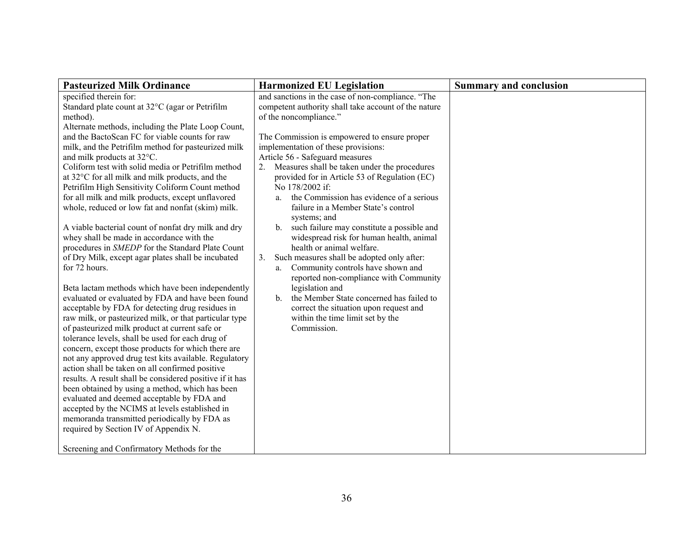| <b>Pasteurized Milk Ordinance</b>                                                                                                                                                                                                                                                                                                                                                                                                                                                                                                                                                                                                                                                                                                                                                             | <b>Harmonized EU Legislation</b>                                                                                                                                                                                                                                                                                                                                                                                                                                                                                                                                                                                                                                                                                                                                                | <b>Summary and conclusion</b> |
|-----------------------------------------------------------------------------------------------------------------------------------------------------------------------------------------------------------------------------------------------------------------------------------------------------------------------------------------------------------------------------------------------------------------------------------------------------------------------------------------------------------------------------------------------------------------------------------------------------------------------------------------------------------------------------------------------------------------------------------------------------------------------------------------------|---------------------------------------------------------------------------------------------------------------------------------------------------------------------------------------------------------------------------------------------------------------------------------------------------------------------------------------------------------------------------------------------------------------------------------------------------------------------------------------------------------------------------------------------------------------------------------------------------------------------------------------------------------------------------------------------------------------------------------------------------------------------------------|-------------------------------|
| specified therein for:<br>Standard plate count at 32°C (agar or Petrifilm<br>method).<br>Alternate methods, including the Plate Loop Count,<br>and the BactoScan FC for viable counts for raw<br>milk, and the Petrifilm method for pasteurized milk<br>and milk products at 32°C.<br>Coliform test with solid media or Petrifilm method<br>at 32°C for all milk and milk products, and the<br>Petrifilm High Sensitivity Coliform Count method<br>for all milk and milk products, except unflavored<br>whole, reduced or low fat and nonfat (skim) milk.<br>A viable bacterial count of nonfat dry milk and dry<br>whey shall be made in accordance with the<br>procedures in SMEDP for the Standard Plate Count<br>of Dry Milk, except agar plates shall be incubated<br>for 72 hours.      | and sanctions in the case of non-compliance. "The<br>competent authority shall take account of the nature<br>of the noncompliance."<br>The Commission is empowered to ensure proper<br>implementation of these provisions:<br>Article 56 - Safeguard measures<br>Measures shall be taken under the procedures<br>2.<br>provided for in Article 53 of Regulation (EC)<br>No 178/2002 if:<br>the Commission has evidence of a serious<br>a.<br>failure in a Member State's control<br>systems; and<br>such failure may constitute a possible and<br>$b_{\cdot}$<br>widespread risk for human health, animal<br>health or animal welfare.<br>Such measures shall be adopted only after:<br>3.<br>Community controls have shown and<br>a.<br>reported non-compliance with Community |                               |
| evaluated or evaluated by FDA and have been found<br>acceptable by FDA for detecting drug residues in<br>raw milk, or pasteurized milk, or that particular type<br>of pasteurized milk product at current safe or<br>tolerance levels, shall be used for each drug of<br>concern, except those products for which there are<br>not any approved drug test kits available. Regulatory<br>action shall be taken on all confirmed positive<br>results. A result shall be considered positive if it has<br>been obtained by using a method, which has been<br>evaluated and deemed acceptable by FDA and<br>accepted by the NCIMS at levels established in<br>memoranda transmitted periodically by FDA as<br>required by Section IV of Appendix N.<br>Screening and Confirmatory Methods for the | the Member State concerned has failed to<br>$\mathbf{b}$<br>correct the situation upon request and<br>within the time limit set by the<br>Commission.                                                                                                                                                                                                                                                                                                                                                                                                                                                                                                                                                                                                                           |                               |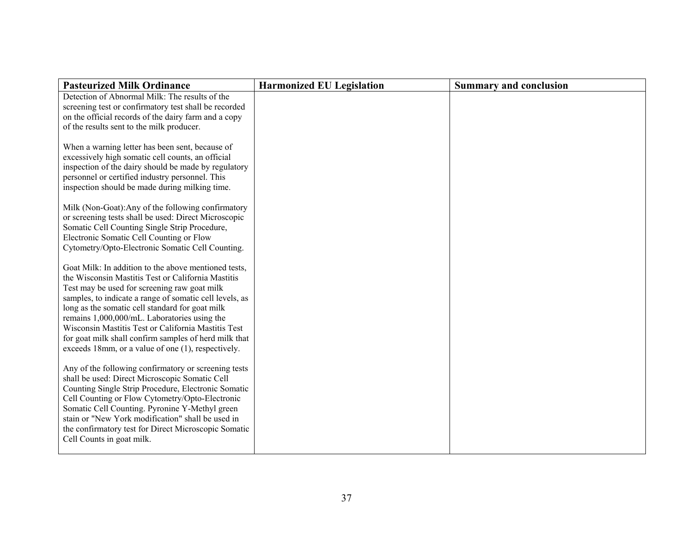| <b>Pasteurized Milk Ordinance</b>                                                                                                                                                                                                                                                                                                                                                                                                                                                              | <b>Harmonized EU Legislation</b> | <b>Summary and conclusion</b> |
|------------------------------------------------------------------------------------------------------------------------------------------------------------------------------------------------------------------------------------------------------------------------------------------------------------------------------------------------------------------------------------------------------------------------------------------------------------------------------------------------|----------------------------------|-------------------------------|
| Detection of Abnormal Milk: The results of the<br>screening test or confirmatory test shall be recorded                                                                                                                                                                                                                                                                                                                                                                                        |                                  |                               |
| on the official records of the dairy farm and a copy<br>of the results sent to the milk producer.                                                                                                                                                                                                                                                                                                                                                                                              |                                  |                               |
| When a warning letter has been sent, because of<br>excessively high somatic cell counts, an official<br>inspection of the dairy should be made by regulatory<br>personnel or certified industry personnel. This<br>inspection should be made during milking time.                                                                                                                                                                                                                              |                                  |                               |
| Milk (Non-Goat): Any of the following confirmatory<br>or screening tests shall be used: Direct Microscopic<br>Somatic Cell Counting Single Strip Procedure,<br>Electronic Somatic Cell Counting or Flow<br>Cytometry/Opto-Electronic Somatic Cell Counting.                                                                                                                                                                                                                                    |                                  |                               |
| Goat Milk: In addition to the above mentioned tests,<br>the Wisconsin Mastitis Test or California Mastitis<br>Test may be used for screening raw goat milk<br>samples, to indicate a range of somatic cell levels, as<br>long as the somatic cell standard for goat milk<br>remains 1,000,000/mL. Laboratories using the<br>Wisconsin Mastitis Test or California Mastitis Test<br>for goat milk shall confirm samples of herd milk that<br>exceeds 18mm, or a value of one (1), respectively. |                                  |                               |
| Any of the following confirmatory or screening tests<br>shall be used: Direct Microscopic Somatic Cell<br>Counting Single Strip Procedure, Electronic Somatic<br>Cell Counting or Flow Cytometry/Opto-Electronic<br>Somatic Cell Counting. Pyronine Y-Methyl green<br>stain or "New York modification" shall be used in<br>the confirmatory test for Direct Microscopic Somatic<br>Cell Counts in goat milk.                                                                                   |                                  |                               |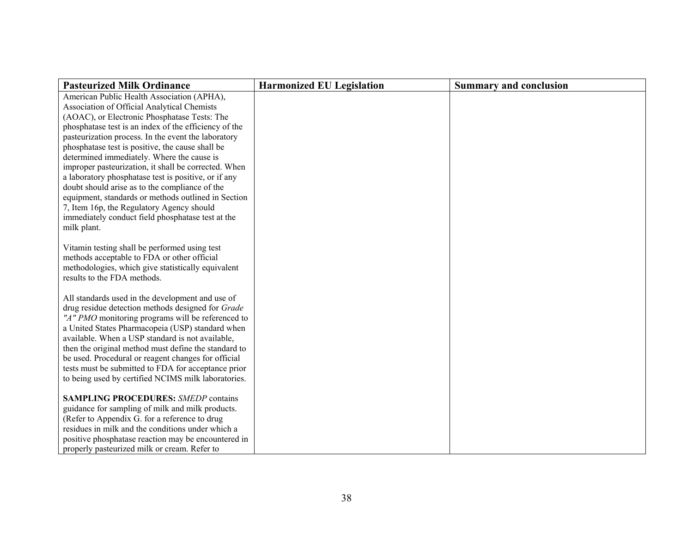| <b>Pasteurized Milk Ordinance</b>                                                                  | <b>Harmonized EU Legislation</b> | <b>Summary and conclusion</b> |
|----------------------------------------------------------------------------------------------------|----------------------------------|-------------------------------|
| American Public Health Association (APHA),                                                         |                                  |                               |
| Association of Official Analytical Chemists                                                        |                                  |                               |
| (AOAC), or Electronic Phosphatase Tests: The                                                       |                                  |                               |
| phosphatase test is an index of the efficiency of the                                              |                                  |                               |
| pasteurization process. In the event the laboratory                                                |                                  |                               |
| phosphatase test is positive, the cause shall be                                                   |                                  |                               |
| determined immediately. Where the cause is                                                         |                                  |                               |
| improper pasteurization, it shall be corrected. When                                               |                                  |                               |
| a laboratory phosphatase test is positive, or if any                                               |                                  |                               |
| doubt should arise as to the compliance of the                                                     |                                  |                               |
| equipment, standards or methods outlined in Section<br>7, Item 16p, the Regulatory Agency should   |                                  |                               |
| immediately conduct field phosphatase test at the                                                  |                                  |                               |
| milk plant.                                                                                        |                                  |                               |
|                                                                                                    |                                  |                               |
| Vitamin testing shall be performed using test                                                      |                                  |                               |
| methods acceptable to FDA or other official                                                        |                                  |                               |
| methodologies, which give statistically equivalent                                                 |                                  |                               |
| results to the FDA methods.                                                                        |                                  |                               |
|                                                                                                    |                                  |                               |
| All standards used in the development and use of                                                   |                                  |                               |
| drug residue detection methods designed for Grade                                                  |                                  |                               |
| "A" PMO monitoring programs will be referenced to                                                  |                                  |                               |
| a United States Pharmacopeia (USP) standard when                                                   |                                  |                               |
| available. When a USP standard is not available,                                                   |                                  |                               |
| then the original method must define the standard to                                               |                                  |                               |
| be used. Procedural or reagent changes for official                                                |                                  |                               |
| tests must be submitted to FDA for acceptance prior                                                |                                  |                               |
| to being used by certified NCIMS milk laboratories.                                                |                                  |                               |
|                                                                                                    |                                  |                               |
| <b>SAMPLING PROCEDURES: SMEDP contains</b>                                                         |                                  |                               |
| guidance for sampling of milk and milk products.                                                   |                                  |                               |
| (Refer to Appendix G. for a reference to drug<br>residues in milk and the conditions under which a |                                  |                               |
| positive phosphatase reaction may be encountered in                                                |                                  |                               |
|                                                                                                    |                                  |                               |
| properly pasteurized milk or cream. Refer to                                                       |                                  |                               |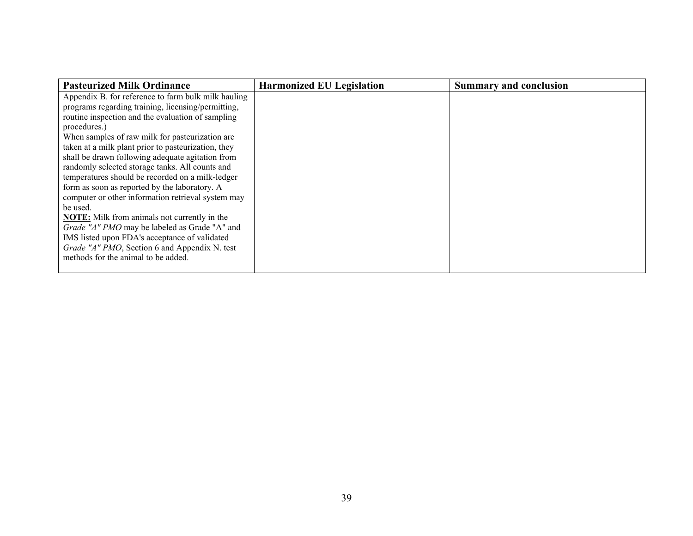| <b>Pasteurized Milk Ordinance</b>                   | <b>Harmonized EU Legislation</b> | <b>Summary and conclusion</b> |
|-----------------------------------------------------|----------------------------------|-------------------------------|
| Appendix B. for reference to farm bulk milk hauling |                                  |                               |
| programs regarding training, licensing/permitting,  |                                  |                               |
| routine inspection and the evaluation of sampling   |                                  |                               |
| procedures.)                                        |                                  |                               |
| When samples of raw milk for pasteurization are     |                                  |                               |
| taken at a milk plant prior to pasteurization, they |                                  |                               |
| shall be drawn following adequate agitation from    |                                  |                               |
| randomly selected storage tanks. All counts and     |                                  |                               |
| temperatures should be recorded on a milk-ledger    |                                  |                               |
| form as soon as reported by the laboratory. A       |                                  |                               |
| computer or other information retrieval system may  |                                  |                               |
| be used.                                            |                                  |                               |
| <b>NOTE:</b> Milk from animals not currently in the |                                  |                               |
| Grade "A" PMO may be labeled as Grade "A" and       |                                  |                               |
| IMS listed upon FDA's acceptance of validated       |                                  |                               |
| Grade "A" PMO, Section 6 and Appendix N. test       |                                  |                               |
| methods for the animal to be added.                 |                                  |                               |
|                                                     |                                  |                               |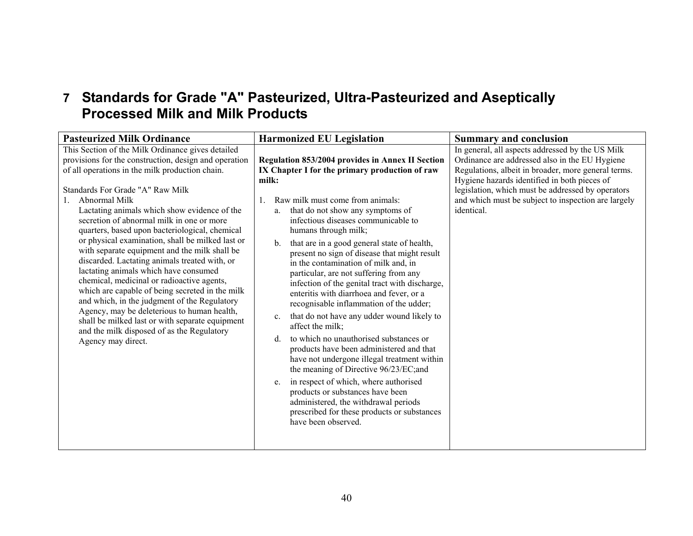# **7 Standards for Grade "A" Pasteurized, Ultra-Pasteurized and Aseptically Processed Milk and Milk Products**

| <b>Pasteurized Milk Ordinance</b>                                                                                                                                                                                                                                                                                                                                                                                                                                                                                                                                                                                                                                                                                                                                                                                                                                                       | <b>Harmonized EU Legislation</b>                                                                                                                                                                                                                                                                                                                                                                                                                                                                                                                                                                                                                                                                                                                                                                                                                                                                                                                                                                                                                                              | <b>Summary and conclusion</b>                                                                                                                                                                                                                                                                                                       |
|-----------------------------------------------------------------------------------------------------------------------------------------------------------------------------------------------------------------------------------------------------------------------------------------------------------------------------------------------------------------------------------------------------------------------------------------------------------------------------------------------------------------------------------------------------------------------------------------------------------------------------------------------------------------------------------------------------------------------------------------------------------------------------------------------------------------------------------------------------------------------------------------|-------------------------------------------------------------------------------------------------------------------------------------------------------------------------------------------------------------------------------------------------------------------------------------------------------------------------------------------------------------------------------------------------------------------------------------------------------------------------------------------------------------------------------------------------------------------------------------------------------------------------------------------------------------------------------------------------------------------------------------------------------------------------------------------------------------------------------------------------------------------------------------------------------------------------------------------------------------------------------------------------------------------------------------------------------------------------------|-------------------------------------------------------------------------------------------------------------------------------------------------------------------------------------------------------------------------------------------------------------------------------------------------------------------------------------|
| This Section of the Milk Ordinance gives detailed<br>provisions for the construction, design and operation<br>of all operations in the milk production chain.<br>Standards For Grade "A" Raw Milk<br>Abnormal Milk<br>Lactating animals which show evidence of the<br>secretion of abnormal milk in one or more<br>quarters, based upon bacteriological, chemical<br>or physical examination, shall be milked last or<br>with separate equipment and the milk shall be<br>discarded. Lactating animals treated with, or<br>lactating animals which have consumed<br>chemical, medicinal or radioactive agents,<br>which are capable of being secreted in the milk<br>and which, in the judgment of the Regulatory<br>Agency, may be deleterious to human health,<br>shall be milked last or with separate equipment<br>and the milk disposed of as the Regulatory<br>Agency may direct. | Regulation 853/2004 provides in Annex II Section<br>IX Chapter I for the primary production of raw<br>milk:<br>Raw milk must come from animals:<br>that do not show any symptoms of<br>a.<br>infectious diseases communicable to<br>humans through milk;<br>that are in a good general state of health,<br>$\mathbf{b}$ .<br>present no sign of disease that might result<br>in the contamination of milk and, in<br>particular, are not suffering from any<br>infection of the genital tract with discharge,<br>enteritis with diarrhoea and fever, or a<br>recognisable inflammation of the udder;<br>that do not have any udder wound likely to<br>C <sub>1</sub><br>affect the milk:<br>to which no unauthorised substances or<br>d.<br>products have been administered and that<br>have not undergone illegal treatment within<br>the meaning of Directive 96/23/EC;and<br>in respect of which, where authorised<br>e.<br>products or substances have been<br>administered, the withdrawal periods<br>prescribed for these products or substances<br>have been observed. | In general, all aspects addressed by the US Milk<br>Ordinance are addressed also in the EU Hygiene<br>Regulations, albeit in broader, more general terms.<br>Hygiene hazards identified in both pieces of<br>legislation, which must be addressed by operators<br>and which must be subject to inspection are largely<br>identical. |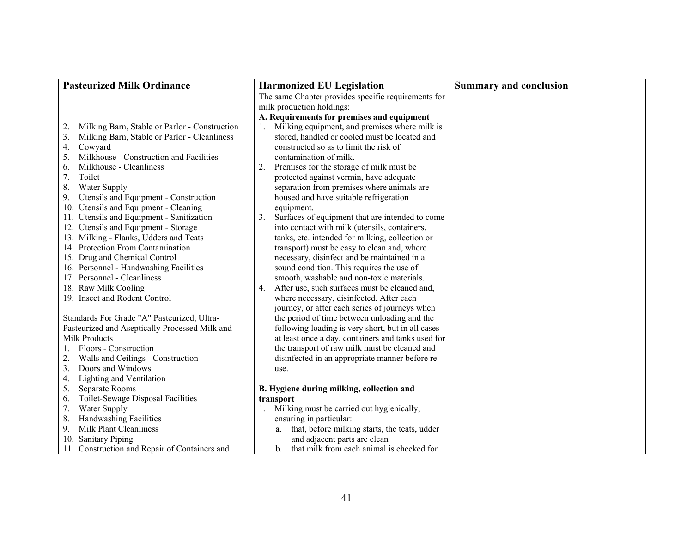| <b>Pasteurized Milk Ordinance</b>                                                                                                                                                                                                                                                                                                                              | <b>Harmonized EU Legislation</b>                                                                                                                                                                                                                                                                                                                                                                     | <b>Summary and conclusion</b> |
|----------------------------------------------------------------------------------------------------------------------------------------------------------------------------------------------------------------------------------------------------------------------------------------------------------------------------------------------------------------|------------------------------------------------------------------------------------------------------------------------------------------------------------------------------------------------------------------------------------------------------------------------------------------------------------------------------------------------------------------------------------------------------|-------------------------------|
|                                                                                                                                                                                                                                                                                                                                                                | The same Chapter provides specific requirements for                                                                                                                                                                                                                                                                                                                                                  |                               |
|                                                                                                                                                                                                                                                                                                                                                                | milk production holdings:                                                                                                                                                                                                                                                                                                                                                                            |                               |
|                                                                                                                                                                                                                                                                                                                                                                | A. Requirements for premises and equipment                                                                                                                                                                                                                                                                                                                                                           |                               |
| Milking Barn, Stable or Parlor - Construction<br>2.                                                                                                                                                                                                                                                                                                            | Milking equipment, and premises where milk is<br>1.                                                                                                                                                                                                                                                                                                                                                  |                               |
| Milking Barn, Stable or Parlor - Cleanliness<br>3.                                                                                                                                                                                                                                                                                                             | stored, handled or cooled must be located and                                                                                                                                                                                                                                                                                                                                                        |                               |
| Cowyard<br>4.                                                                                                                                                                                                                                                                                                                                                  | constructed so as to limit the risk of                                                                                                                                                                                                                                                                                                                                                               |                               |
| Milkhouse - Construction and Facilities<br>5.                                                                                                                                                                                                                                                                                                                  | contamination of milk.                                                                                                                                                                                                                                                                                                                                                                               |                               |
| Milkhouse - Cleanliness<br>6.                                                                                                                                                                                                                                                                                                                                  | 2.<br>Premises for the storage of milk must be                                                                                                                                                                                                                                                                                                                                                       |                               |
| Toilet<br>7.                                                                                                                                                                                                                                                                                                                                                   | protected against vermin, have adequate                                                                                                                                                                                                                                                                                                                                                              |                               |
| 8.<br>Water Supply                                                                                                                                                                                                                                                                                                                                             | separation from premises where animals are                                                                                                                                                                                                                                                                                                                                                           |                               |
| Utensils and Equipment - Construction<br>9.                                                                                                                                                                                                                                                                                                                    | housed and have suitable refrigeration                                                                                                                                                                                                                                                                                                                                                               |                               |
| 10. Utensils and Equipment - Cleaning                                                                                                                                                                                                                                                                                                                          | equipment.                                                                                                                                                                                                                                                                                                                                                                                           |                               |
| 11. Utensils and Equipment - Sanitization                                                                                                                                                                                                                                                                                                                      | Surfaces of equipment that are intended to come<br>3.                                                                                                                                                                                                                                                                                                                                                |                               |
| 12. Utensils and Equipment - Storage                                                                                                                                                                                                                                                                                                                           | into contact with milk (utensils, containers,                                                                                                                                                                                                                                                                                                                                                        |                               |
| 13. Milking - Flanks, Udders and Teats                                                                                                                                                                                                                                                                                                                         | tanks, etc. intended for milking, collection or                                                                                                                                                                                                                                                                                                                                                      |                               |
| 14. Protection From Contamination                                                                                                                                                                                                                                                                                                                              | transport) must be easy to clean and, where                                                                                                                                                                                                                                                                                                                                                          |                               |
| 15. Drug and Chemical Control                                                                                                                                                                                                                                                                                                                                  | necessary, disinfect and be maintained in a                                                                                                                                                                                                                                                                                                                                                          |                               |
| 16. Personnel - Handwashing Facilities                                                                                                                                                                                                                                                                                                                         | sound condition. This requires the use of                                                                                                                                                                                                                                                                                                                                                            |                               |
| 17. Personnel - Cleanliness                                                                                                                                                                                                                                                                                                                                    | smooth, washable and non-toxic materials.                                                                                                                                                                                                                                                                                                                                                            |                               |
| 18. Raw Milk Cooling                                                                                                                                                                                                                                                                                                                                           | After use, such surfaces must be cleaned and,<br>4.                                                                                                                                                                                                                                                                                                                                                  |                               |
| 19. Insect and Rodent Control                                                                                                                                                                                                                                                                                                                                  | where necessary, disinfected. After each                                                                                                                                                                                                                                                                                                                                                             |                               |
|                                                                                                                                                                                                                                                                                                                                                                | journey, or after each series of journeys when                                                                                                                                                                                                                                                                                                                                                       |                               |
| Standards For Grade "A" Pasteurized, Ultra-                                                                                                                                                                                                                                                                                                                    | the period of time between unloading and the                                                                                                                                                                                                                                                                                                                                                         |                               |
| Pasteurized and Aseptically Processed Milk and                                                                                                                                                                                                                                                                                                                 | following loading is very short, but in all cases                                                                                                                                                                                                                                                                                                                                                    |                               |
| Milk Products                                                                                                                                                                                                                                                                                                                                                  | at least once a day, containers and tanks used for                                                                                                                                                                                                                                                                                                                                                   |                               |
|                                                                                                                                                                                                                                                                                                                                                                |                                                                                                                                                                                                                                                                                                                                                                                                      |                               |
|                                                                                                                                                                                                                                                                                                                                                                |                                                                                                                                                                                                                                                                                                                                                                                                      |                               |
|                                                                                                                                                                                                                                                                                                                                                                |                                                                                                                                                                                                                                                                                                                                                                                                      |                               |
|                                                                                                                                                                                                                                                                                                                                                                |                                                                                                                                                                                                                                                                                                                                                                                                      |                               |
|                                                                                                                                                                                                                                                                                                                                                                |                                                                                                                                                                                                                                                                                                                                                                                                      |                               |
|                                                                                                                                                                                                                                                                                                                                                                |                                                                                                                                                                                                                                                                                                                                                                                                      |                               |
|                                                                                                                                                                                                                                                                                                                                                                |                                                                                                                                                                                                                                                                                                                                                                                                      |                               |
|                                                                                                                                                                                                                                                                                                                                                                |                                                                                                                                                                                                                                                                                                                                                                                                      |                               |
|                                                                                                                                                                                                                                                                                                                                                                |                                                                                                                                                                                                                                                                                                                                                                                                      |                               |
|                                                                                                                                                                                                                                                                                                                                                                |                                                                                                                                                                                                                                                                                                                                                                                                      |                               |
| Floors - Construction<br>Walls and Ceilings - Construction<br>2.<br>Doors and Windows<br>3.<br>Lighting and Ventilation<br>4.<br>Separate Rooms<br>5.<br>Toilet-Sewage Disposal Facilities<br>6.<br>Water Supply<br>7.<br>Handwashing Facilities<br>8.<br>Milk Plant Cleanliness<br>9.<br>10. Sanitary Piping<br>11. Construction and Repair of Containers and | the transport of raw milk must be cleaned and<br>disinfected in an appropriate manner before re-<br>use.<br>B. Hygiene during milking, collection and<br>transport<br>Milking must be carried out hygienically,<br>1.<br>ensuring in particular:<br>that, before milking starts, the teats, udder<br>a.<br>and adjacent parts are clean<br>that milk from each animal is checked for<br>$\mathbf{b}$ |                               |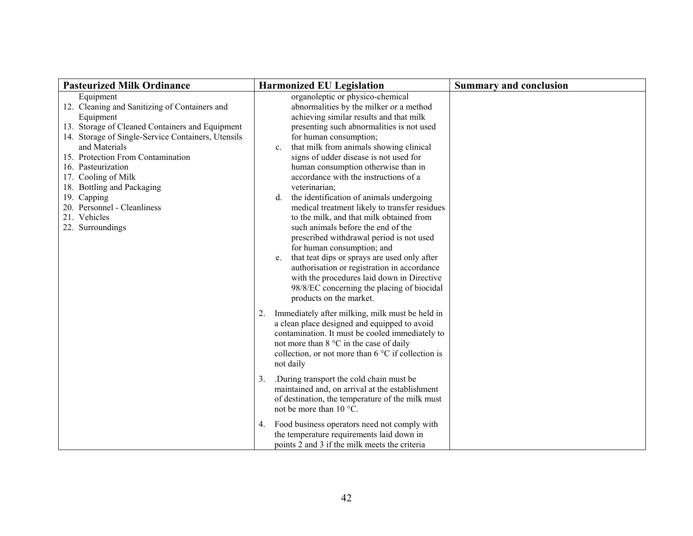| <b>Pasteurized Milk Ordinance</b>                                                                                                                                                                                                                                                                                                                                                                   | <b>Harmonized EU Legislation</b>                                                                                                                                                                                                                                                                                                                                                                                                                                                                                                                                                                                                                                                                                                                                                                                                                                                              | <b>Summary and conclusion</b> |
|-----------------------------------------------------------------------------------------------------------------------------------------------------------------------------------------------------------------------------------------------------------------------------------------------------------------------------------------------------------------------------------------------------|-----------------------------------------------------------------------------------------------------------------------------------------------------------------------------------------------------------------------------------------------------------------------------------------------------------------------------------------------------------------------------------------------------------------------------------------------------------------------------------------------------------------------------------------------------------------------------------------------------------------------------------------------------------------------------------------------------------------------------------------------------------------------------------------------------------------------------------------------------------------------------------------------|-------------------------------|
| Equipment<br>12. Cleaning and Sanitizing of Containers and<br>Equipment<br>13. Storage of Cleaned Containers and Equipment<br>14. Storage of Single-Service Containers, Utensils<br>and Materials<br>15. Protection From Contamination<br>16. Pasteurization<br>17. Cooling of Milk<br>18. Bottling and Packaging<br>19. Capping<br>20. Personnel - Cleanliness<br>21. Vehicles<br>22. Surroundings | organoleptic or physico-chemical<br>abnormalities by the milker or a method<br>achieving similar results and that milk<br>presenting such abnormalities is not used<br>for human consumption;<br>that milk from animals showing clinical<br>$c_{\cdot}$<br>signs of udder disease is not used for<br>human consumption otherwise than in<br>accordance with the instructions of a<br>veterinarian;<br>the identification of animals undergoing<br>d.<br>medical treatment likely to transfer residues<br>to the milk, and that milk obtained from<br>such animals before the end of the<br>prescribed withdrawal period is not used<br>for human consumption; and<br>that teat dips or sprays are used only after<br>e.<br>authorisation or registration in accordance<br>with the procedures laid down in Directive<br>98/8/EC concerning the placing of biocidal<br>products on the market. |                               |
|                                                                                                                                                                                                                                                                                                                                                                                                     | Immediately after milking, milk must be held in<br>2.<br>a clean place designed and equipped to avoid<br>contamination. It must be cooled immediately to<br>not more than 8 °C in the case of daily<br>collection, or not more than $6^{\circ}$ C if collection is<br>not daily                                                                                                                                                                                                                                                                                                                                                                                                                                                                                                                                                                                                               |                               |
|                                                                                                                                                                                                                                                                                                                                                                                                     | During transport the cold chain must be<br>3.<br>maintained and, on arrival at the establishment<br>of destination, the temperature of the milk must<br>not be more than 10 °C.                                                                                                                                                                                                                                                                                                                                                                                                                                                                                                                                                                                                                                                                                                               |                               |
|                                                                                                                                                                                                                                                                                                                                                                                                     | Food business operators need not comply with<br>4.<br>the temperature requirements laid down in<br>points 2 and 3 if the milk meets the criteria                                                                                                                                                                                                                                                                                                                                                                                                                                                                                                                                                                                                                                                                                                                                              |                               |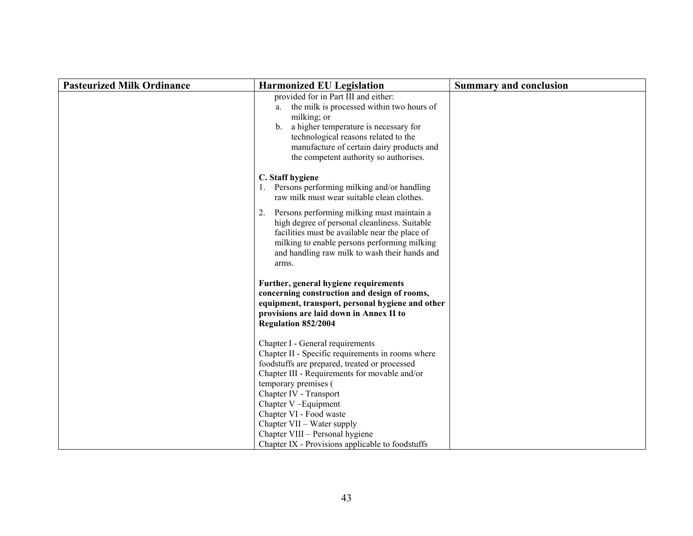| <b>Pasteurized Milk Ordinance</b> | <b>Harmonized EU Legislation</b>                                                                                                                                                                                                                                                              | <b>Summary and conclusion</b> |
|-----------------------------------|-----------------------------------------------------------------------------------------------------------------------------------------------------------------------------------------------------------------------------------------------------------------------------------------------|-------------------------------|
|                                   | provided for in Part III and either:<br>the milk is processed within two hours of<br>a.<br>milking; or<br>a higher temperature is necessary for<br>$b_{\cdot}$<br>technological reasons related to the<br>manufacture of certain dairy products and<br>the competent authority so authorises. |                               |
|                                   | C. Staff hygiene<br>1. Persons performing milking and/or handling<br>raw milk must wear suitable clean clothes.                                                                                                                                                                               |                               |
|                                   | 2.<br>Persons performing milking must maintain a<br>high degree of personal cleanliness. Suitable<br>facilities must be available near the place of<br>milking to enable persons performing milking<br>and handling raw milk to wash their hands and<br>arms.                                 |                               |
|                                   | Further, general hygiene requirements<br>concerning construction and design of rooms,<br>equipment, transport, personal hygiene and other<br>provisions are laid down in Annex II to<br>Regulation 852/2004                                                                                   |                               |
|                                   | Chapter I - General requirements<br>Chapter II - Specific requirements in rooms where<br>foodstuffs are prepared, treated or processed<br>Chapter III - Requirements for movable and/or<br>temporary premises (<br>Chapter IV - Transport<br>Chapter V-Equipment<br>Chapter VI - Food waste   |                               |
|                                   | Chapter VII – Water supply<br>Chapter VIII - Personal hygiene<br>Chapter IX - Provisions applicable to foodstuffs                                                                                                                                                                             |                               |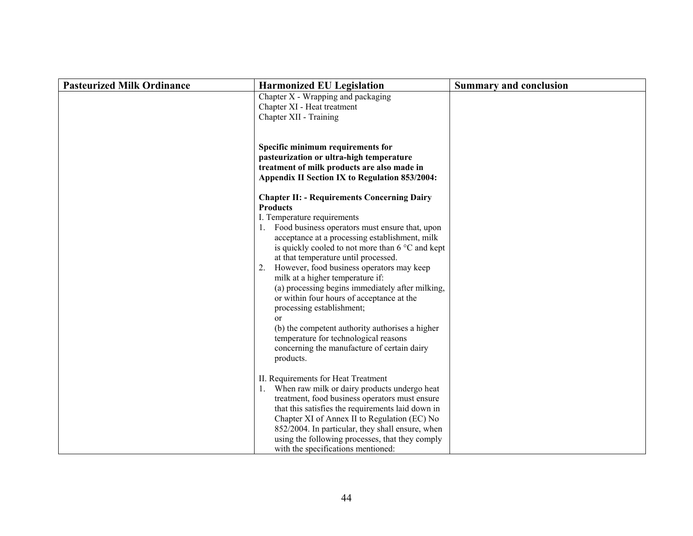| <b>Pasteurized Milk Ordinance</b> | <b>Harmonized EU Legislation</b>                                                                                                                                                                                                                                                                                                                                                                                                                                                                                                                                                                                                                                                                            | <b>Summary and conclusion</b> |
|-----------------------------------|-------------------------------------------------------------------------------------------------------------------------------------------------------------------------------------------------------------------------------------------------------------------------------------------------------------------------------------------------------------------------------------------------------------------------------------------------------------------------------------------------------------------------------------------------------------------------------------------------------------------------------------------------------------------------------------------------------------|-------------------------------|
|                                   | Chapter X - Wrapping and packaging<br>Chapter XI - Heat treatment<br>Chapter XII - Training                                                                                                                                                                                                                                                                                                                                                                                                                                                                                                                                                                                                                 |                               |
|                                   | Specific minimum requirements for<br>pasteurization or ultra-high temperature<br>treatment of milk products are also made in<br>Appendix II Section IX to Regulation 853/2004:                                                                                                                                                                                                                                                                                                                                                                                                                                                                                                                              |                               |
|                                   | <b>Chapter II: - Requirements Concerning Dairy</b><br><b>Products</b><br>I. Temperature requirements<br>1. Food business operators must ensure that, upon<br>acceptance at a processing establishment, milk<br>is quickly cooled to not more than $6^{\circ}$ C and kept<br>at that temperature until processed.<br>2. However, food business operators may keep<br>milk at a higher temperature if:<br>(a) processing begins immediately after milking,<br>or within four hours of acceptance at the<br>processing establishment;<br><sub>or</sub><br>(b) the competent authority authorises a higher<br>temperature for technological reasons<br>concerning the manufacture of certain dairy<br>products. |                               |
|                                   | II. Requirements for Heat Treatment<br>1. When raw milk or dairy products undergo heat<br>treatment, food business operators must ensure<br>that this satisfies the requirements laid down in<br>Chapter XI of Annex II to Regulation (EC) No<br>852/2004. In particular, they shall ensure, when<br>using the following processes, that they comply<br>with the specifications mentioned:                                                                                                                                                                                                                                                                                                                  |                               |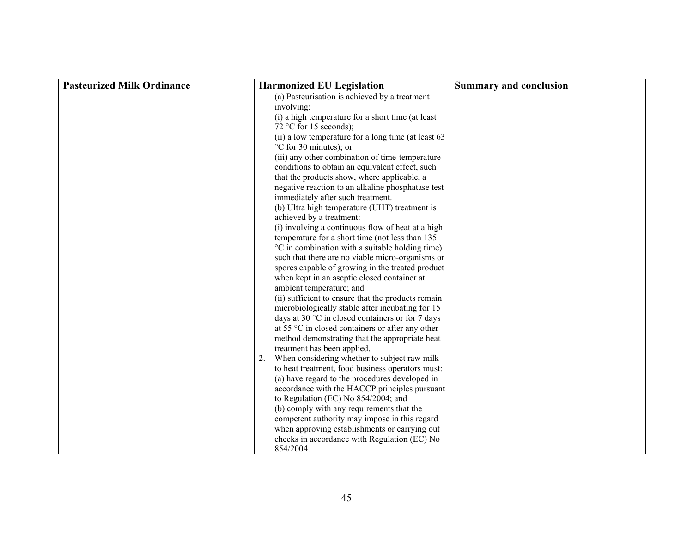| <b>Pasteurized Milk Ordinance</b> | <b>Harmonized EU Legislation</b>                                                                                 | <b>Summary and conclusion</b> |
|-----------------------------------|------------------------------------------------------------------------------------------------------------------|-------------------------------|
|                                   | (a) Pasteurisation is achieved by a treatment<br>involving:<br>(i) a high temperature for a short time (at least |                               |
|                                   | 72 °C for 15 seconds);                                                                                           |                               |
|                                   | (ii) a low temperature for a long time (at least 63                                                              |                               |
|                                   | °C for 30 minutes); or                                                                                           |                               |
|                                   | (iii) any other combination of time-temperature                                                                  |                               |
|                                   | conditions to obtain an equivalent effect, such                                                                  |                               |
|                                   | that the products show, where applicable, a                                                                      |                               |
|                                   | negative reaction to an alkaline phosphatase test                                                                |                               |
|                                   | immediately after such treatment.<br>(b) Ultra high temperature (UHT) treatment is                               |                               |
|                                   | achieved by a treatment:                                                                                         |                               |
|                                   | (i) involving a continuous flow of heat at a high                                                                |                               |
|                                   | temperature for a short time (not less than 135                                                                  |                               |
|                                   | °C in combination with a suitable holding time)                                                                  |                               |
|                                   | such that there are no viable micro-organisms or                                                                 |                               |
|                                   | spores capable of growing in the treated product                                                                 |                               |
|                                   | when kept in an aseptic closed container at                                                                      |                               |
|                                   | ambient temperature; and<br>(ii) sufficient to ensure that the products remain                                   |                               |
|                                   | microbiologically stable after incubating for 15                                                                 |                               |
|                                   | days at 30 °C in closed containers or for 7 days                                                                 |                               |
|                                   | at 55 $\degree$ C in closed containers or after any other                                                        |                               |
|                                   | method demonstrating that the appropriate heat                                                                   |                               |
|                                   | treatment has been applied.                                                                                      |                               |
|                                   | 2. When considering whether to subject raw milk                                                                  |                               |
|                                   | to heat treatment, food business operators must:                                                                 |                               |
|                                   | (a) have regard to the procedures developed in                                                                   |                               |
|                                   | accordance with the HACCP principles pursuant<br>to Regulation (EC) No 854/2004; and                             |                               |
|                                   | (b) comply with any requirements that the                                                                        |                               |
|                                   | competent authority may impose in this regard                                                                    |                               |
|                                   | when approving establishments or carrying out                                                                    |                               |
|                                   | checks in accordance with Regulation (EC) No                                                                     |                               |
|                                   | 854/2004.                                                                                                        |                               |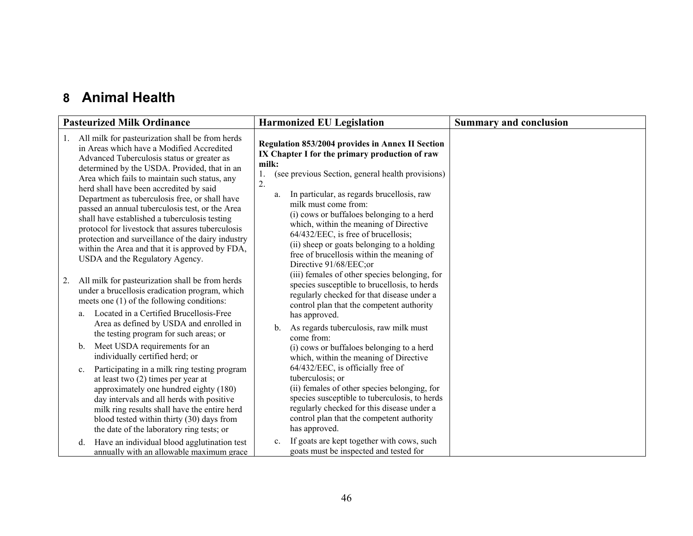### **8 Animal Health**

|    | <b>Pasteurized Milk Ordinance</b>                                                                                                                                                                                                                                                                                                                                                                                                                                                                                                                                                                                                           | <b>Harmonized EU Legislation</b>                                                                                                                                                                                                                                                                                                                                                                                                                                                                                          | <b>Summary and conclusion</b> |
|----|---------------------------------------------------------------------------------------------------------------------------------------------------------------------------------------------------------------------------------------------------------------------------------------------------------------------------------------------------------------------------------------------------------------------------------------------------------------------------------------------------------------------------------------------------------------------------------------------------------------------------------------------|---------------------------------------------------------------------------------------------------------------------------------------------------------------------------------------------------------------------------------------------------------------------------------------------------------------------------------------------------------------------------------------------------------------------------------------------------------------------------------------------------------------------------|-------------------------------|
|    | All milk for pasteurization shall be from herds<br>in Areas which have a Modified Accredited<br>Advanced Tuberculosis status or greater as<br>determined by the USDA. Provided, that in an<br>Area which fails to maintain such status, any<br>herd shall have been accredited by said<br>Department as tuberculosis free, or shall have<br>passed an annual tuberculosis test, or the Area<br>shall have established a tuberculosis testing<br>protocol for livestock that assures tuberculosis<br>protection and surveillance of the dairy industry<br>within the Area and that it is approved by FDA,<br>USDA and the Regulatory Agency. | Regulation 853/2004 provides in Annex II Section<br>IX Chapter I for the primary production of raw<br>milk:<br>(see previous Section, general health provisions)<br>Ι.<br>$\overline{2}$ .<br>In particular, as regards brucellosis, raw<br>a.<br>milk must come from:<br>(i) cows or buffaloes belonging to a herd<br>which, within the meaning of Directive<br>64/432/EEC, is free of brucellosis;<br>(ii) sheep or goats belonging to a holding<br>free of brucellosis within the meaning of<br>Directive 91/68/EEC;or |                               |
| 2. | All milk for pasteurization shall be from herds<br>under a brucellosis eradication program, which<br>meets one (1) of the following conditions:<br>Located in a Certified Brucellosis-Free<br>a.                                                                                                                                                                                                                                                                                                                                                                                                                                            | (iii) females of other species belonging, for<br>species susceptible to brucellosis, to herds<br>regularly checked for that disease under a<br>control plan that the competent authority<br>has approved.                                                                                                                                                                                                                                                                                                                 |                               |
|    | Area as defined by USDA and enrolled in<br>the testing program for such areas; or<br>Meet USDA requirements for an<br>b.                                                                                                                                                                                                                                                                                                                                                                                                                                                                                                                    | As regards tuberculosis, raw milk must<br>b.<br>come from:<br>(i) cows or buffaloes belonging to a herd                                                                                                                                                                                                                                                                                                                                                                                                                   |                               |
|    | individually certified herd; or<br>Participating in a milk ring testing program<br>$\mathbf{c}$ .<br>at least two $(2)$ times per year at<br>approximately one hundred eighty (180)<br>day intervals and all herds with positive<br>milk ring results shall have the entire herd<br>blood tested within thirty (30) days from<br>the date of the laboratory ring tests; or                                                                                                                                                                                                                                                                  | which, within the meaning of Directive<br>64/432/EEC, is officially free of<br>tuberculosis; or<br>(ii) females of other species belonging, for<br>species susceptible to tuberculosis, to herds<br>regularly checked for this disease under a<br>control plan that the competent authority<br>has approved.                                                                                                                                                                                                              |                               |
|    | Have an individual blood agglutination test<br>d.<br>annually with an allowable maximum grace                                                                                                                                                                                                                                                                                                                                                                                                                                                                                                                                               | If goats are kept together with cows, such<br>$\mathbf{c}$ .<br>goats must be inspected and tested for                                                                                                                                                                                                                                                                                                                                                                                                                    |                               |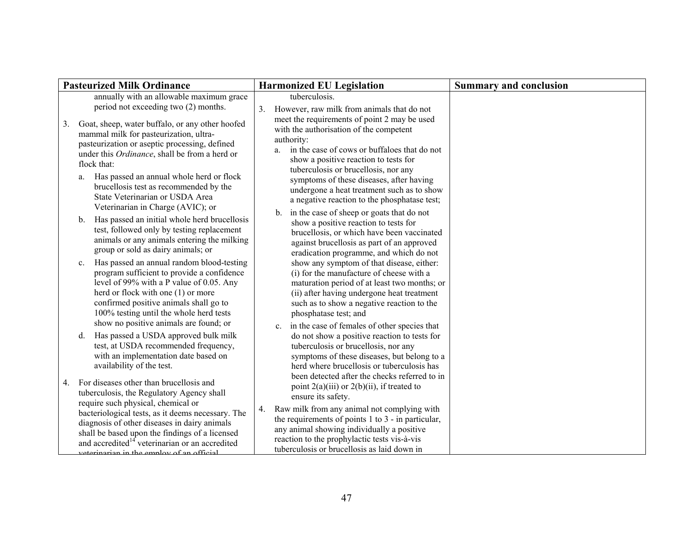|    | <b>Pasteurized Milk Ordinance</b>                                                                                                                                                                                                                                                                                 | <b>Harmonized EU Legislation</b>                                                                                                                                                                                                                                                      | <b>Summary and conclusion</b> |
|----|-------------------------------------------------------------------------------------------------------------------------------------------------------------------------------------------------------------------------------------------------------------------------------------------------------------------|---------------------------------------------------------------------------------------------------------------------------------------------------------------------------------------------------------------------------------------------------------------------------------------|-------------------------------|
|    | annually with an allowable maximum grace<br>period not exceeding two (2) months.                                                                                                                                                                                                                                  | tuberculosis.<br>3.<br>However, raw milk from animals that do not                                                                                                                                                                                                                     |                               |
| 3. | Goat, sheep, water buffalo, or any other hoofed<br>mammal milk for pasteurization, ultra-<br>pasteurization or aseptic processing, defined<br>under this Ordinance, shall be from a herd or<br>flock that:                                                                                                        | meet the requirements of point 2 may be used<br>with the authorisation of the competent<br>authority:<br>in the case of cows or buffaloes that do not<br>a.<br>show a positive reaction to tests for<br>tuberculosis or brucellosis, nor any                                          |                               |
|    | Has passed an annual whole herd or flock<br>a.<br>brucellosis test as recommended by the<br>State Veterinarian or USDA Area<br>Veterinarian in Charge (AVIC); or                                                                                                                                                  | symptoms of these diseases, after having<br>undergone a heat treatment such as to show<br>a negative reaction to the phosphatase test;<br>in the case of sheep or goats that do not<br>$b_{-}$                                                                                        |                               |
|    | Has passed an initial whole herd brucellosis<br>b.<br>test, followed only by testing replacement<br>animals or any animals entering the milking<br>group or sold as dairy animals; or                                                                                                                             | show a positive reaction to tests for<br>brucellosis, or which have been vaccinated<br>against brucellosis as part of an approved<br>eradication programme, and which do not                                                                                                          |                               |
|    | Has passed an annual random blood-testing<br>$c_{\cdot}$<br>program sufficient to provide a confidence<br>level of 99% with a P value of 0.05. Any<br>herd or flock with one (1) or more<br>confirmed positive animals shall go to<br>100% testing until the whole herd tests                                     | show any symptom of that disease, either:<br>(i) for the manufacture of cheese with a<br>maturation period of at least two months; or<br>(ii) after having undergone heat treatment<br>such as to show a negative reaction to the<br>phosphatase test; and                            |                               |
|    | show no positive animals are found; or<br>Has passed a USDA approved bulk milk<br>d.<br>test, at USDA recommended frequency,<br>with an implementation date based on<br>availability of the test.                                                                                                                 | c. in the case of females of other species that<br>do not show a positive reaction to tests for<br>tuberculosis or brucellosis, nor any<br>symptoms of these diseases, but belong to a<br>herd where brucellosis or tuberculosis has<br>been detected after the checks referred to in |                               |
| 4. | For diseases other than brucellosis and<br>tuberculosis, the Regulatory Agency shall                                                                                                                                                                                                                              | point $2(a)(iii)$ or $2(b)(ii)$ , if treated to<br>ensure its safety.                                                                                                                                                                                                                 |                               |
|    | require such physical, chemical or<br>bacteriological tests, as it deems necessary. The<br>diagnosis of other diseases in dairy animals<br>shall be based upon the findings of a licensed<br>and accredited <sup><math>14</math></sup> veterinarian or an accredited<br>veterinarian in the employ of an official | Raw milk from any animal not complying with<br>4.<br>the requirements of points $1$ to $3$ - in particular,<br>any animal showing individually a positive<br>reaction to the prophylactic tests vis-à-vis<br>tuberculosis or brucellosis as laid down in                              |                               |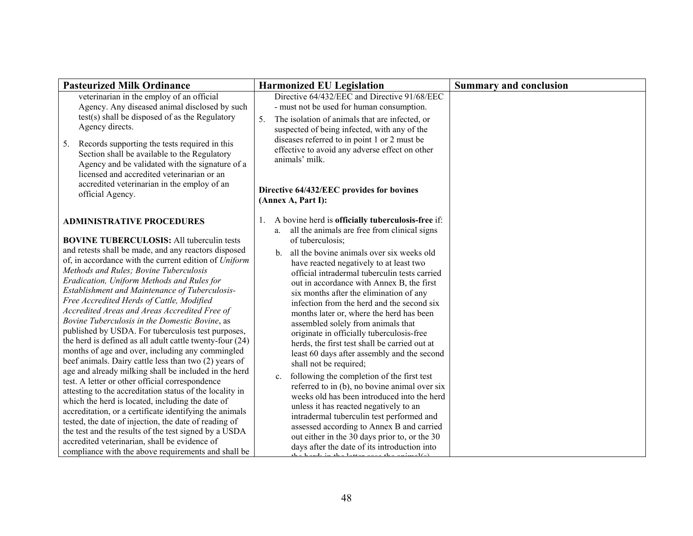| <b>Pasteurized Milk Ordinance</b>                                                                                                                                                                                                                                                                                                                                                                                                                                                                                                                                              | <b>Harmonized EU Legislation</b>                                                                                                                                                                                                                                                                                                                                                                                                                                                        | <b>Summary and conclusion</b> |
|--------------------------------------------------------------------------------------------------------------------------------------------------------------------------------------------------------------------------------------------------------------------------------------------------------------------------------------------------------------------------------------------------------------------------------------------------------------------------------------------------------------------------------------------------------------------------------|-----------------------------------------------------------------------------------------------------------------------------------------------------------------------------------------------------------------------------------------------------------------------------------------------------------------------------------------------------------------------------------------------------------------------------------------------------------------------------------------|-------------------------------|
| veterinarian in the employ of an official<br>Agency. Any diseased animal disclosed by such                                                                                                                                                                                                                                                                                                                                                                                                                                                                                     | Directive 64/432/EEC and Directive 91/68/EEC<br>- must not be used for human consumption.                                                                                                                                                                                                                                                                                                                                                                                               |                               |
| test(s) shall be disposed of as the Regulatory<br>Agency directs.<br>Records supporting the tests required in this<br>5.<br>Section shall be available to the Regulatory<br>Agency and be validated with the signature of a<br>licensed and accredited veterinarian or an<br>accredited veterinarian in the employ of an<br>official Agency.                                                                                                                                                                                                                                   | 5.<br>The isolation of animals that are infected, or<br>suspected of being infected, with any of the<br>diseases referred to in point 1 or 2 must be<br>effective to avoid any adverse effect on other<br>animals' milk.<br>Directive 64/432/EEC provides for bovines<br>(Annex A, Part I):                                                                                                                                                                                             |                               |
| <b>ADMINISTRATIVE PROCEDURES</b><br><b>BOVINE TUBERCULOSIS: All tuberculin tests</b><br>and retests shall be made, and any reactors disposed<br>of, in accordance with the current edition of Uniform                                                                                                                                                                                                                                                                                                                                                                          | A bovine herd is officially tuberculosis-free if:<br>all the animals are free from clinical signs<br>a.<br>of tuberculosis;<br>all the bovine animals over six weeks old<br>$\mathbf{b}$ .                                                                                                                                                                                                                                                                                              |                               |
| Methods and Rules; Bovine Tuberculosis<br>Eradication, Uniform Methods and Rules for<br>Establishment and Maintenance of Tuberculosis-<br>Free Accredited Herds of Cattle, Modified<br>Accredited Areas and Areas Accredited Free of<br>Bovine Tuberculosis in the Domestic Bovine, as<br>published by USDA. For tuberculosis test purposes,<br>the herd is defined as all adult cattle twenty-four (24)<br>months of age and over, including any commingled<br>beef animals. Dairy cattle less than two (2) years of<br>age and already milking shall be included in the herd | have reacted negatively to at least two<br>official intradermal tuberculin tests carried<br>out in accordance with Annex B, the first<br>six months after the elimination of any<br>infection from the herd and the second six<br>months later or, where the herd has been<br>assembled solely from animals that<br>originate in officially tuberculosis-free<br>herds, the first test shall be carried out at<br>least 60 days after assembly and the second<br>shall not be required; |                               |
| test. A letter or other official correspondence<br>attesting to the accreditation status of the locality in<br>which the herd is located, including the date of<br>accreditation, or a certificate identifying the animals<br>tested, the date of injection, the date of reading of<br>the test and the results of the test signed by a USDA<br>accredited veterinarian, shall be evidence of<br>compliance with the above requirements and shall be                                                                                                                           | following the completion of the first test<br>$c_{\cdot}$<br>referred to in (b), no bovine animal over six<br>weeks old has been introduced into the herd<br>unless it has reacted negatively to an<br>intradermal tuberculin test performed and<br>assessed according to Annex B and carried<br>out either in the 30 days prior to, or the 30<br>days after the date of its introduction into<br>للمكامنين بمساعدها والمستحقق والمستحقق والمستحقق والمستحقق والمستنقصة                 |                               |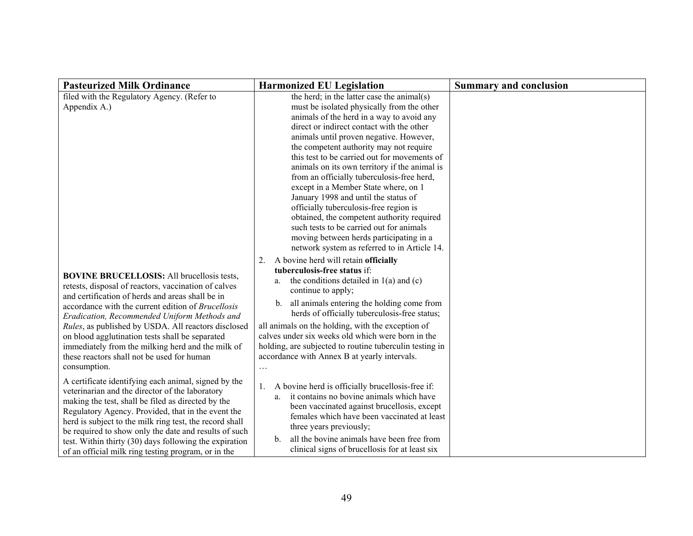| <b>Pasteurized Milk Ordinance</b>                                                                                                                                                                                                                                                                                                                                                                                                                                                                | <b>Harmonized EU Legislation</b>                                                                                                                                                                                                                                                                                                                                                                                                                                                                                                                                                                                                                                                                                                                                                  | <b>Summary and conclusion</b> |
|--------------------------------------------------------------------------------------------------------------------------------------------------------------------------------------------------------------------------------------------------------------------------------------------------------------------------------------------------------------------------------------------------------------------------------------------------------------------------------------------------|-----------------------------------------------------------------------------------------------------------------------------------------------------------------------------------------------------------------------------------------------------------------------------------------------------------------------------------------------------------------------------------------------------------------------------------------------------------------------------------------------------------------------------------------------------------------------------------------------------------------------------------------------------------------------------------------------------------------------------------------------------------------------------------|-------------------------------|
| filed with the Regulatory Agency. (Refer to<br>Appendix A.)                                                                                                                                                                                                                                                                                                                                                                                                                                      | the herd; in the latter case the animal(s)<br>must be isolated physically from the other<br>animals of the herd in a way to avoid any<br>direct or indirect contact with the other<br>animals until proven negative. However,<br>the competent authority may not require<br>this test to be carried out for movements of<br>animals on its own territory if the animal is<br>from an officially tuberculosis-free herd,<br>except in a Member State where, on 1<br>January 1998 and until the status of<br>officially tuberculosis-free region is<br>obtained, the competent authority required<br>such tests to be carried out for animals<br>moving between herds participating in a<br>network system as referred to in Article 14.<br>2. A bovine herd will retain officially |                               |
| <b>BOVINE BRUCELLOSIS:</b> All brucellosis tests,<br>retests, disposal of reactors, vaccination of calves<br>and certification of herds and areas shall be in<br>accordance with the current edition of Brucellosis<br>Eradication, Recommended Uniform Methods and<br>Rules, as published by USDA. All reactors disclosed<br>on blood agglutination tests shall be separated<br>immediately from the milking herd and the milk of<br>these reactors shall not be used for human<br>consumption. | tuberculosis-free status if:<br>the conditions detailed in $1(a)$ and $(c)$<br>a.<br>continue to apply;<br>all animals entering the holding come from<br>b.<br>herds of officially tuberculosis-free status;<br>all animals on the holding, with the exception of<br>calves under six weeks old which were born in the<br>holding, are subjected to routine tuberculin testing in<br>accordance with Annex B at yearly intervals.                                                                                                                                                                                                                                                                                                                                                 |                               |
| A certificate identifying each animal, signed by the<br>veterinarian and the director of the laboratory<br>making the test, shall be filed as directed by the<br>Regulatory Agency. Provided, that in the event the<br>herd is subject to the milk ring test, the record shall<br>be required to show only the date and results of such<br>test. Within thirty (30) days following the expiration<br>of an official milk ring testing program, or in the                                         | A bovine herd is officially brucellosis-free if:<br>1.<br>it contains no bovine animals which have<br>a.<br>been vaccinated against brucellosis, except<br>females which have been vaccinated at least<br>three years previously;<br>all the bovine animals have been free from<br>$\mathbf{b}$ .<br>clinical signs of brucellosis for at least six                                                                                                                                                                                                                                                                                                                                                                                                                               |                               |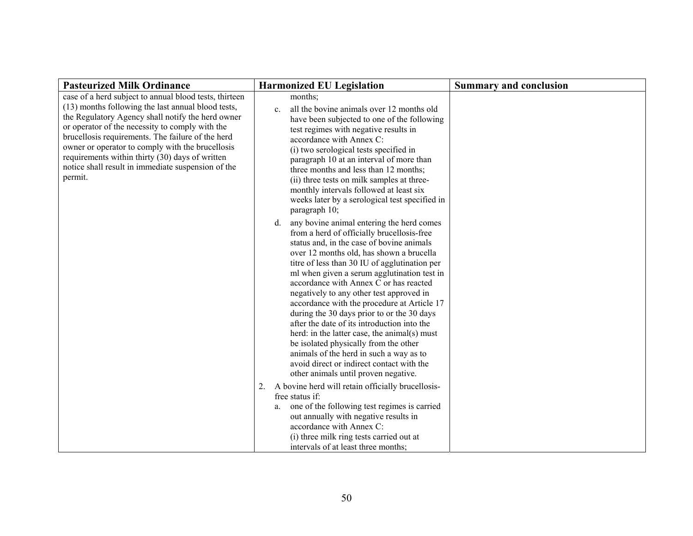| <b>Pasteurized Milk Ordinance</b>                                                                                                                                                                                                                                                                                                                                                                                                                 | <b>Harmonized EU Legislation</b>                                                                                                                                                                                                                                                                                                                                                                                                                                                                                                                                                                                                                                                                                                                  | <b>Summary and conclusion</b> |
|---------------------------------------------------------------------------------------------------------------------------------------------------------------------------------------------------------------------------------------------------------------------------------------------------------------------------------------------------------------------------------------------------------------------------------------------------|---------------------------------------------------------------------------------------------------------------------------------------------------------------------------------------------------------------------------------------------------------------------------------------------------------------------------------------------------------------------------------------------------------------------------------------------------------------------------------------------------------------------------------------------------------------------------------------------------------------------------------------------------------------------------------------------------------------------------------------------------|-------------------------------|
| case of a herd subject to annual blood tests, thirteen<br>(13) months following the last annual blood tests,<br>the Regulatory Agency shall notify the herd owner<br>or operator of the necessity to comply with the<br>brucellosis requirements. The failure of the herd<br>owner or operator to comply with the brucellosis<br>requirements within thirty (30) days of written<br>notice shall result in immediate suspension of the<br>permit. | months;<br>all the bovine animals over 12 months old<br>$\mathbf{c}$ .<br>have been subjected to one of the following<br>test regimes with negative results in<br>accordance with Annex C:<br>(i) two serological tests specified in<br>paragraph 10 at an interval of more than<br>three months and less than 12 months;<br>(ii) three tests on milk samples at three-<br>monthly intervals followed at least six<br>weeks later by a serological test specified in<br>paragraph 10;                                                                                                                                                                                                                                                             |                               |
|                                                                                                                                                                                                                                                                                                                                                                                                                                                   | any bovine animal entering the herd comes<br>d.<br>from a herd of officially brucellosis-free<br>status and, in the case of bovine animals<br>over 12 months old, has shown a brucella<br>titre of less than 30 IU of agglutination per<br>ml when given a serum agglutination test in<br>accordance with Annex C or has reacted<br>negatively to any other test approved in<br>accordance with the procedure at Article 17<br>during the 30 days prior to or the 30 days<br>after the date of its introduction into the<br>herd: in the latter case, the animal(s) must<br>be isolated physically from the other<br>animals of the herd in such a way as to<br>avoid direct or indirect contact with the<br>other animals until proven negative. |                               |
|                                                                                                                                                                                                                                                                                                                                                                                                                                                   | 2. A bovine herd will retain officially brucellosis-<br>free status if:<br>one of the following test regimes is carried<br>a.<br>out annually with negative results in<br>accordance with Annex C:<br>(i) three milk ring tests carried out at<br>intervals of at least three months;                                                                                                                                                                                                                                                                                                                                                                                                                                                             |                               |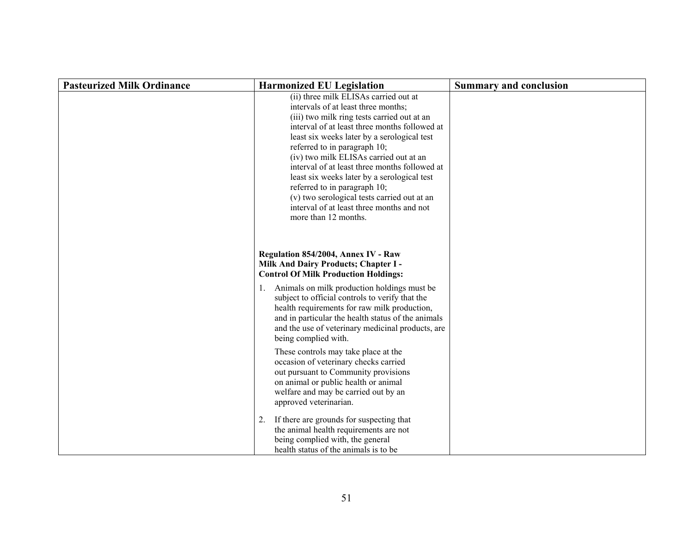| <b>Pasteurized Milk Ordinance</b> | <b>Harmonized EU Legislation</b>                                                                                                                                                                                                                                                                                                                                                                                                                                                                                                                          | <b>Summary and conclusion</b> |
|-----------------------------------|-----------------------------------------------------------------------------------------------------------------------------------------------------------------------------------------------------------------------------------------------------------------------------------------------------------------------------------------------------------------------------------------------------------------------------------------------------------------------------------------------------------------------------------------------------------|-------------------------------|
|                                   | (ii) three milk ELISAs carried out at<br>intervals of at least three months;<br>(iii) two milk ring tests carried out at an<br>interval of at least three months followed at<br>least six weeks later by a serological test<br>referred to in paragraph 10;<br>(iv) two milk ELISAs carried out at an<br>interval of at least three months followed at<br>least six weeks later by a serological test<br>referred to in paragraph 10;<br>(v) two serological tests carried out at an<br>interval of at least three months and not<br>more than 12 months. |                               |
|                                   | Regulation 854/2004, Annex IV - Raw<br>Milk And Dairy Products; Chapter I -<br><b>Control Of Milk Production Holdings:</b><br>Animals on milk production holdings must be<br>1.<br>subject to official controls to verify that the<br>health requirements for raw milk production,<br>and in particular the health status of the animals<br>and the use of veterinary medicinal products, are<br>being complied with.<br>These controls may take place at the                                                                                             |                               |
|                                   | occasion of veterinary checks carried<br>out pursuant to Community provisions<br>on animal or public health or animal<br>welfare and may be carried out by an<br>approved veterinarian.                                                                                                                                                                                                                                                                                                                                                                   |                               |
|                                   | If there are grounds for suspecting that<br>2.<br>the animal health requirements are not<br>being complied with, the general<br>health status of the animals is to be                                                                                                                                                                                                                                                                                                                                                                                     |                               |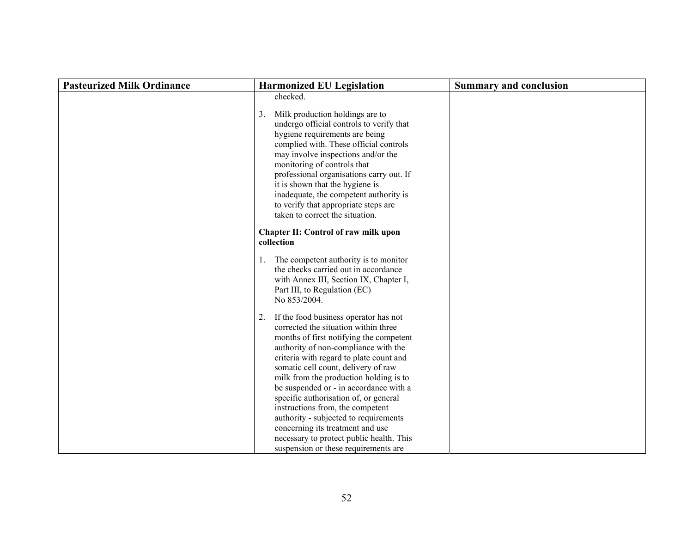| <b>Pasteurized Milk Ordinance</b> | <b>Harmonized EU Legislation</b>                                                                                                                                                                                                                                                                                                                                                                                                                                                                                                                                                        | <b>Summary and conclusion</b> |
|-----------------------------------|-----------------------------------------------------------------------------------------------------------------------------------------------------------------------------------------------------------------------------------------------------------------------------------------------------------------------------------------------------------------------------------------------------------------------------------------------------------------------------------------------------------------------------------------------------------------------------------------|-------------------------------|
|                                   | checked.                                                                                                                                                                                                                                                                                                                                                                                                                                                                                                                                                                                |                               |
|                                   | 3.<br>Milk production holdings are to<br>undergo official controls to verify that<br>hygiene requirements are being<br>complied with. These official controls<br>may involve inspections and/or the<br>monitoring of controls that<br>professional organisations carry out. If<br>it is shown that the hygiene is<br>inadequate, the competent authority is<br>to verify that appropriate steps are<br>taken to correct the situation.                                                                                                                                                  |                               |
|                                   | Chapter II: Control of raw milk upon<br>collection                                                                                                                                                                                                                                                                                                                                                                                                                                                                                                                                      |                               |
|                                   | 1. The competent authority is to monitor<br>the checks carried out in accordance<br>with Annex III, Section IX, Chapter I,<br>Part III, to Regulation (EC)<br>No 853/2004.                                                                                                                                                                                                                                                                                                                                                                                                              |                               |
|                                   | 2. If the food business operator has not<br>corrected the situation within three<br>months of first notifying the competent<br>authority of non-compliance with the<br>criteria with regard to plate count and<br>somatic cell count, delivery of raw<br>milk from the production holding is to<br>be suspended or - in accordance with a<br>specific authorisation of, or general<br>instructions from, the competent<br>authority - subjected to requirements<br>concerning its treatment and use<br>necessary to protect public health. This<br>suspension or these requirements are |                               |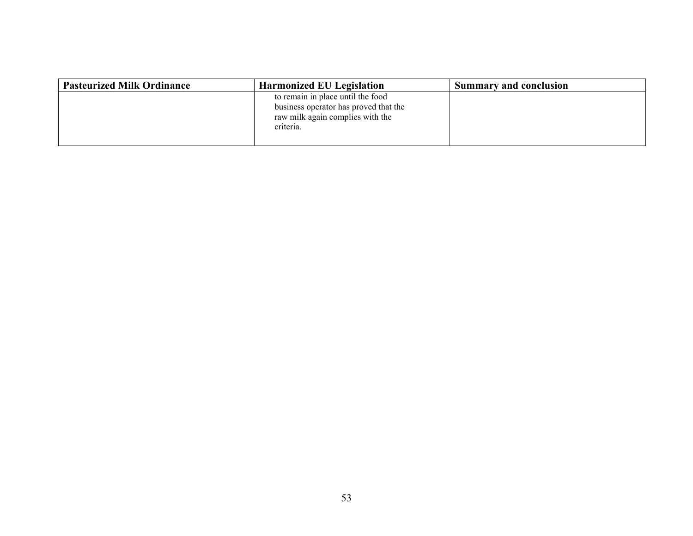| <b>Pasteurized Milk Ordinance</b> | <b>Harmonized EU Legislation</b>                                                                                            | <b>Summary and conclusion</b> |
|-----------------------------------|-----------------------------------------------------------------------------------------------------------------------------|-------------------------------|
|                                   | to remain in place until the food<br>business operator has proved that the<br>raw milk again complies with the<br>criteria. |                               |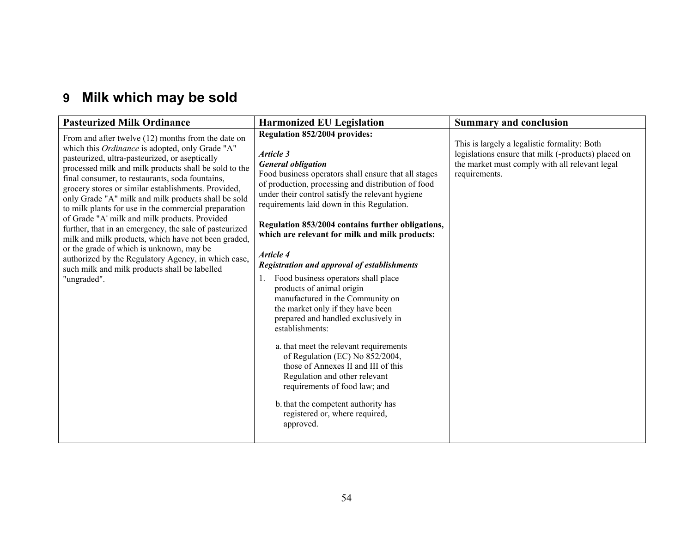# **9 Milk which may be sold**

| <b>Pasteurized Milk Ordinance</b>                                                                                                                                                                                                                                                                                                                                                                                                                                                                                                                                                                                                                                                                                                                                                | <b>Harmonized EU Legislation</b>                                                                                                                                                                                                                                                                                                                                                                                                                                                                                                                                                                                                                                                                                                                                                                                                                                                                                                                           | <b>Summary and conclusion</b>                                                                                                                                          |
|----------------------------------------------------------------------------------------------------------------------------------------------------------------------------------------------------------------------------------------------------------------------------------------------------------------------------------------------------------------------------------------------------------------------------------------------------------------------------------------------------------------------------------------------------------------------------------------------------------------------------------------------------------------------------------------------------------------------------------------------------------------------------------|------------------------------------------------------------------------------------------------------------------------------------------------------------------------------------------------------------------------------------------------------------------------------------------------------------------------------------------------------------------------------------------------------------------------------------------------------------------------------------------------------------------------------------------------------------------------------------------------------------------------------------------------------------------------------------------------------------------------------------------------------------------------------------------------------------------------------------------------------------------------------------------------------------------------------------------------------------|------------------------------------------------------------------------------------------------------------------------------------------------------------------------|
| From and after twelve $(12)$ months from the date on<br>which this Ordinance is adopted, only Grade "A"<br>pasteurized, ultra-pasteurized, or aseptically<br>processed milk and milk products shall be sold to the<br>final consumer, to restaurants, soda fountains,<br>grocery stores or similar establishments. Provided,<br>only Grade "A" milk and milk products shall be sold<br>to milk plants for use in the commercial preparation<br>of Grade "A' milk and milk products. Provided<br>further, that in an emergency, the sale of pasteurized<br>milk and milk products, which have not been graded,<br>or the grade of which is unknown, may be<br>authorized by the Regulatory Agency, in which case,<br>such milk and milk products shall be labelled<br>"ungraded". | Regulation 852/2004 provides:<br>Article 3<br><b>General obligation</b><br>Food business operators shall ensure that all stages<br>of production, processing and distribution of food<br>under their control satisfy the relevant hygiene<br>requirements laid down in this Regulation.<br>Regulation 853/2004 contains further obligations,<br>which are relevant for milk and milk products:<br>Article 4<br><b>Registration and approval of establishments</b><br>Food business operators shall place<br>1.<br>products of animal origin<br>manufactured in the Community on<br>the market only if they have been<br>prepared and handled exclusively in<br>establishments:<br>a. that meet the relevant requirements<br>of Regulation (EC) No 852/2004,<br>those of Annexes II and III of this<br>Regulation and other relevant<br>requirements of food law; and<br>b. that the competent authority has<br>registered or, where required,<br>approved. | This is largely a legalistic formality: Both<br>legislations ensure that milk (-products) placed on<br>the market must comply with all relevant legal<br>requirements. |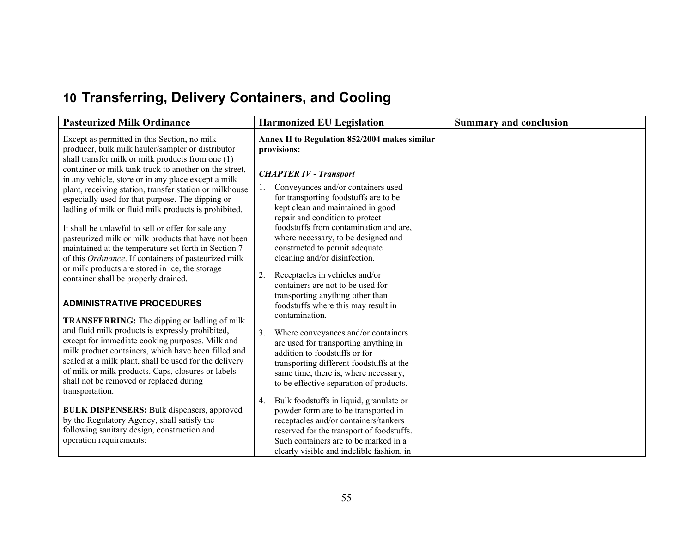# **10 Transferring, Delivery Containers, and Cooling**

| <b>Pasteurized Milk Ordinance</b>                                                                                                                                        | <b>Harmonized EU Legislation</b>                                                                                   | <b>Summary and conclusion</b> |
|--------------------------------------------------------------------------------------------------------------------------------------------------------------------------|--------------------------------------------------------------------------------------------------------------------|-------------------------------|
| Except as permitted in this Section, no milk<br>producer, bulk milk hauler/sampler or distributor<br>shall transfer milk or milk products from one (1)                   | Annex II to Regulation 852/2004 makes similar<br>provisions:                                                       |                               |
| container or milk tank truck to another on the street,<br>in any vehicle, store or in any place except a milk<br>plant, receiving station, transfer station or milkhouse | <b>CHAPTER IV - Transport</b><br>Conveyances and/or containers used<br>1.                                          |                               |
| especially used for that purpose. The dipping or<br>ladling of milk or fluid milk products is prohibited.                                                                | for transporting foodstuffs are to be<br>kept clean and maintained in good<br>repair and condition to protect      |                               |
| It shall be unlawful to sell or offer for sale any<br>pasteurized milk or milk products that have not been                                                               | foodstuffs from contamination and are,<br>where necessary, to be designed and                                      |                               |
| maintained at the temperature set forth in Section 7<br>of this Ordinance. If containers of pasteurized milk<br>or milk products are stored in ice, the storage          | constructed to permit adequate<br>cleaning and/or disinfection.                                                    |                               |
| container shall be properly drained.                                                                                                                                     | 2.<br>Receptacles in vehicles and/or<br>containers are not to be used for<br>transporting anything other than      |                               |
| <b>ADMINISTRATIVE PROCEDURES</b><br><b>TRANSFERRING:</b> The dipping or ladling of milk                                                                                  | foodstuffs where this may result in<br>contamination.                                                              |                               |
| and fluid milk products is expressly prohibited,<br>except for immediate cooking purposes. Milk and                                                                      | 3.<br>Where conveyances and/or containers<br>are used for transporting anything in                                 |                               |
| milk product containers, which have been filled and<br>sealed at a milk plant, shall be used for the delivery<br>of milk or milk products. Caps, closures or labels      | addition to foodstuffs or for<br>transporting different foodstuffs at the<br>same time, there is, where necessary, |                               |
| shall not be removed or replaced during<br>transportation.                                                                                                               | to be effective separation of products.                                                                            |                               |
| <b>BULK DISPENSERS: Bulk dispensers, approved</b>                                                                                                                        | Bulk foodstuffs in liquid, granulate or<br>4.<br>powder form are to be transported in                              |                               |
| by the Regulatory Agency, shall satisfy the<br>following sanitary design, construction and                                                                               | receptacles and/or containers/tankers<br>reserved for the transport of foodstuffs.                                 |                               |
| operation requirements:                                                                                                                                                  | Such containers are to be marked in a                                                                              |                               |
|                                                                                                                                                                          | clearly visible and indelible fashion, in                                                                          |                               |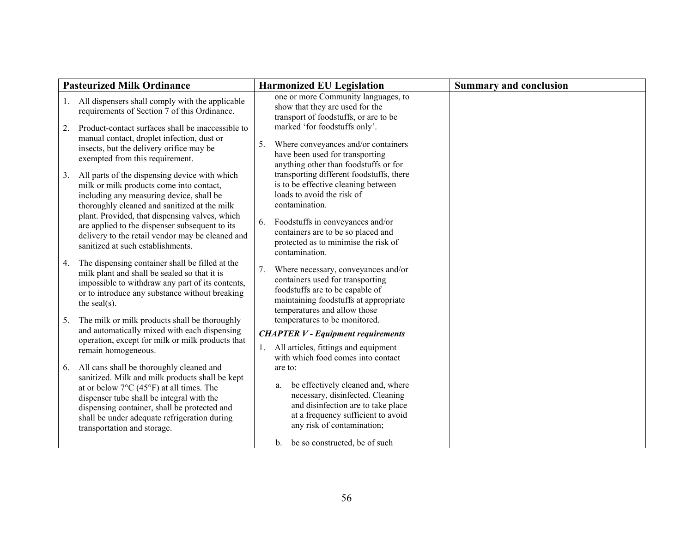| <b>Pasteurized Milk Ordinance</b>                                                                                                                                                                                                                                                                                                                                                        | <b>Harmonized EU Legislation</b>                                                                                                                                                                                                                                          | <b>Summary and conclusion</b> |
|------------------------------------------------------------------------------------------------------------------------------------------------------------------------------------------------------------------------------------------------------------------------------------------------------------------------------------------------------------------------------------------|---------------------------------------------------------------------------------------------------------------------------------------------------------------------------------------------------------------------------------------------------------------------------|-------------------------------|
| All dispensers shall comply with the applicable<br>1.<br>requirements of Section 7 of this Ordinance.                                                                                                                                                                                                                                                                                    | one or more Community languages, to<br>show that they are used for the<br>transport of foodstuffs, or are to be                                                                                                                                                           |                               |
| Product-contact surfaces shall be inaccessible to<br>2.<br>manual contact, droplet infection, dust or<br>insects, but the delivery orifice may be<br>exempted from this requirement.                                                                                                                                                                                                     | marked 'for foodstuffs only'.<br>Where conveyances and/or containers<br>5.<br>have been used for transporting<br>anything other than foodstuffs or for                                                                                                                    |                               |
| All parts of the dispensing device with which<br>3.<br>milk or milk products come into contact,<br>including any measuring device, shall be<br>thoroughly cleaned and sanitized at the milk<br>plant. Provided, that dispensing valves, which<br>are applied to the dispenser subsequent to its<br>delivery to the retail vendor may be cleaned and<br>sanitized at such establishments. | transporting different foodstuffs, there<br>is to be effective cleaning between<br>loads to avoid the risk of<br>contamination.<br>Foodstuffs in conveyances and/or<br>6.<br>containers are to be so placed and<br>protected as to minimise the risk of<br>contamination. |                               |
| The dispensing container shall be filled at the<br>4.<br>milk plant and shall be sealed so that it is<br>impossible to withdraw any part of its contents,<br>or to introduce any substance without breaking<br>the seal $(s)$ .                                                                                                                                                          | Where necessary, conveyances and/or<br>7.<br>containers used for transporting<br>foodstuffs are to be capable of<br>maintaining foodstuffs at appropriate<br>temperatures and allow those                                                                                 |                               |
| The milk or milk products shall be thoroughly<br>5.<br>and automatically mixed with each dispensing<br>operation, except for milk or milk products that                                                                                                                                                                                                                                  | temperatures to be monitored.<br><b>CHAPTER V - Equipment requirements</b><br>1. All articles, fittings and equipment                                                                                                                                                     |                               |
| remain homogeneous.<br>All cans shall be thoroughly cleaned and<br>6.<br>sanitized. Milk and milk products shall be kept<br>at or below 7°C (45°F) at all times. The<br>dispenser tube shall be integral with the<br>dispensing container, shall be protected and<br>shall be under adequate refrigeration during<br>transportation and storage.                                         | with which food comes into contact<br>are to:<br>be effectively cleaned and, where<br>a.<br>necessary, disinfected. Cleaning<br>and disinfection are to take place<br>at a frequency sufficient to avoid<br>any risk of contamination;                                    |                               |
|                                                                                                                                                                                                                                                                                                                                                                                          | be so constructed, be of such<br>$\mathbf{b}$ .                                                                                                                                                                                                                           |                               |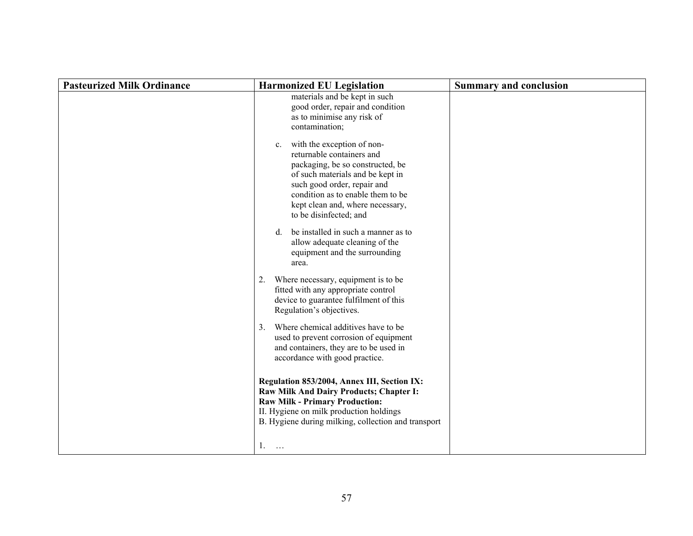| <b>Pasteurized Milk Ordinance</b> | <b>Harmonized EU Legislation</b>                                                                                                                                                                                                                                                 | <b>Summary and conclusion</b> |
|-----------------------------------|----------------------------------------------------------------------------------------------------------------------------------------------------------------------------------------------------------------------------------------------------------------------------------|-------------------------------|
|                                   | materials and be kept in such<br>good order, repair and condition<br>as to minimise any risk of<br>contamination;                                                                                                                                                                |                               |
|                                   | with the exception of non-<br>$c_{\cdot}$<br>returnable containers and<br>packaging, be so constructed, be<br>of such materials and be kept in<br>such good order, repair and<br>condition as to enable them to be<br>kept clean and, where necessary,<br>to be disinfected; and |                               |
|                                   | be installed in such a manner as to<br>$d_{\cdot}$<br>allow adequate cleaning of the<br>equipment and the surrounding<br>area.                                                                                                                                                   |                               |
|                                   | 2. Where necessary, equipment is to be<br>fitted with any appropriate control<br>device to guarantee fulfilment of this<br>Regulation's objectives.                                                                                                                              |                               |
|                                   | Where chemical additives have to be<br>3 <sub>1</sub><br>used to prevent corrosion of equipment<br>and containers, they are to be used in<br>accordance with good practice.                                                                                                      |                               |
|                                   | Regulation 853/2004, Annex III, Section IX:<br>Raw Milk And Dairy Products; Chapter I:<br><b>Raw Milk - Primary Production:</b><br>II. Hygiene on milk production holdings<br>B. Hygiene during milking, collection and transport                                                |                               |
|                                   | 1.<br>$\cdots$                                                                                                                                                                                                                                                                   |                               |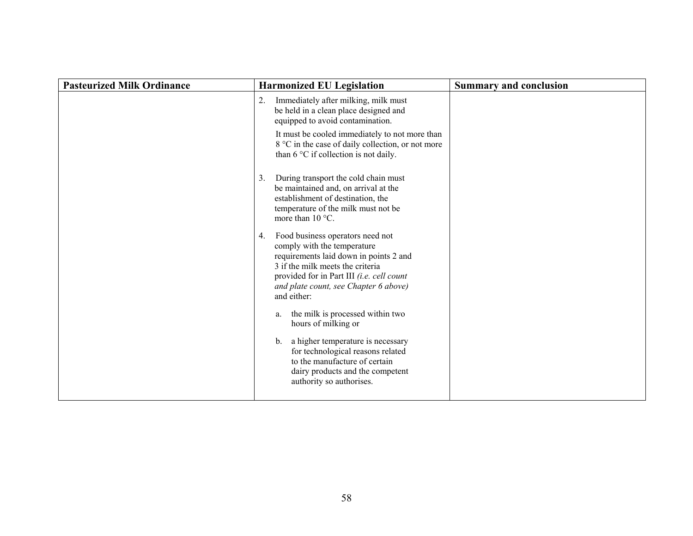| <b>Pasteurized Milk Ordinance</b> | <b>Harmonized EU Legislation</b>                                                                                                                                                                                                                         | <b>Summary and conclusion</b> |
|-----------------------------------|----------------------------------------------------------------------------------------------------------------------------------------------------------------------------------------------------------------------------------------------------------|-------------------------------|
|                                   | Immediately after milking, milk must<br>2.<br>be held in a clean place designed and<br>equipped to avoid contamination.                                                                                                                                  |                               |
|                                   | It must be cooled immediately to not more than<br>8 °C in the case of daily collection, or not more<br>than 6 °C if collection is not daily.                                                                                                             |                               |
|                                   | During transport the cold chain must<br>3.<br>be maintained and, on arrival at the<br>establishment of destination, the<br>temperature of the milk must not be<br>more than $10^{\circ}$ C.                                                              |                               |
|                                   | Food business operators need not<br>4.<br>comply with the temperature<br>requirements laid down in points 2 and<br>3 if the milk meets the criteria<br>provided for in Part III (i.e. cell count<br>and plate count, see Chapter 6 above)<br>and either: |                               |
|                                   | the milk is processed within two<br>a.<br>hours of milking or                                                                                                                                                                                            |                               |
|                                   | a higher temperature is necessary<br>b <sub>1</sub><br>for technological reasons related<br>to the manufacture of certain<br>dairy products and the competent<br>authority so authorises.                                                                |                               |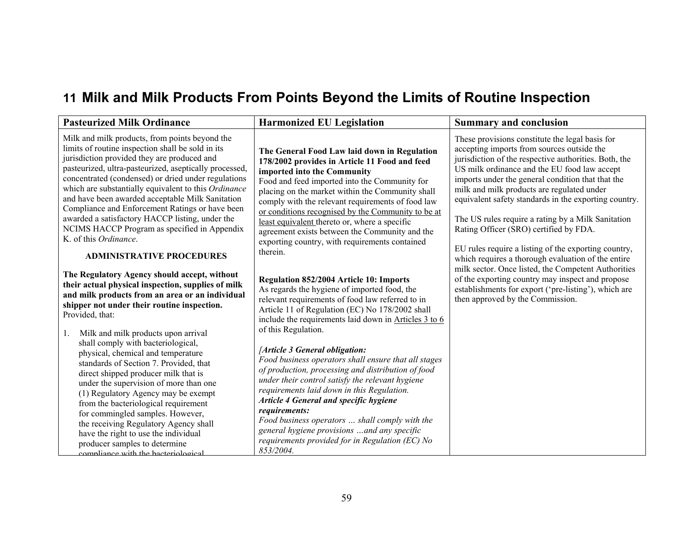# **11 Milk and Milk Product s From Point s Beyond the Limit s of Routine Inspection**

| <b>Pasteurized Milk Ordinance</b>                                                                                                                                                                                                                                                                                                                                                                                                                                                                                                                                                                  | <b>Harmonized EU Legislation</b>                                                                                                                                                                                                                                                                                                                                                                                                                                                                              | <b>Summary and conclusion</b>                                                                                                                                                                                                                                                                                                                                                                                                                                                                                                                                                    |
|----------------------------------------------------------------------------------------------------------------------------------------------------------------------------------------------------------------------------------------------------------------------------------------------------------------------------------------------------------------------------------------------------------------------------------------------------------------------------------------------------------------------------------------------------------------------------------------------------|---------------------------------------------------------------------------------------------------------------------------------------------------------------------------------------------------------------------------------------------------------------------------------------------------------------------------------------------------------------------------------------------------------------------------------------------------------------------------------------------------------------|----------------------------------------------------------------------------------------------------------------------------------------------------------------------------------------------------------------------------------------------------------------------------------------------------------------------------------------------------------------------------------------------------------------------------------------------------------------------------------------------------------------------------------------------------------------------------------|
| Milk and milk products, from points beyond the<br>limits of routine inspection shall be sold in its<br>jurisdiction provided they are produced and<br>pasteurized, ultra-pasteurized, aseptically processed,<br>concentrated (condensed) or dried under regulations<br>which are substantially equivalent to this Ordinance<br>and have been awarded acceptable Milk Sanitation<br>Compliance and Enforcement Ratings or have been<br>awarded a satisfactory HACCP listing, under the<br>NCIMS HACCP Program as specified in Appendix<br>K. of this Ordinance.<br><b>ADMINISTRATIVE PROCEDURES</b> | The General Food Law laid down in Regulation<br>178/2002 provides in Article 11 Food and feed<br>imported into the Community<br>Food and feed imported into the Community for<br>placing on the market within the Community shall<br>comply with the relevant requirements of food law<br>or conditions recognised by the Community to be at<br>least equivalent thereto or, where a specific<br>agreement exists between the Community and the<br>exporting country, with requirements contained<br>therein. | These provisions constitute the legal basis for<br>accepting imports from sources outside the<br>jurisdiction of the respective authorities. Both, the<br>US milk ordinance and the EU food law accept<br>imports under the general condition that that the<br>milk and milk products are regulated under<br>equivalent safety standards in the exporting country.<br>The US rules require a rating by a Milk Sanitation<br>Rating Officer (SRO) certified by FDA.<br>EU rules require a listing of the exporting country,<br>which requires a thorough evaluation of the entire |
| The Regulatory Agency should accept, without<br>their actual physical inspection, supplies of milk<br>and milk products from an area or an individual<br>shipper not under their routine inspection.<br>Provided, that:<br>Milk and milk products upon arrival<br>1.<br>shall comply with bacteriological,<br>physical, chemical and temperature<br>standards of Section 7. Provided, that<br>direct shipped producer milk that is                                                                                                                                                                 | Regulation 852/2004 Article 10: Imports<br>As regards the hygiene of imported food, the<br>relevant requirements of food law referred to in<br>Article 11 of Regulation (EC) No 178/2002 shall<br>include the requirements laid down in Articles 3 to 6<br>of this Regulation.<br>[Article 3 General obligation:<br>Food business operators shall ensure that all stages<br>of production, processing and distribution of food<br>under their control satisfy the relevant hygiene                            | milk sector. Once listed, the Competent Authorities<br>of the exporting country may inspect and propose<br>establishments for export ('pre-listing'), which are<br>then approved by the Commission.                                                                                                                                                                                                                                                                                                                                                                              |
| under the supervision of more than one<br>(1) Regulatory Agency may be exempt<br>from the bacteriological requirement<br>for commingled samples. However,<br>the receiving Regulatory Agency shall<br>have the right to use the individual<br>producer samples to determine<br>compliance with the bacteriological                                                                                                                                                                                                                                                                                 | requirements laid down in this Regulation.<br>Article 4 General and specific hygiene<br>requirements:<br>Food business operators  shall comply with the<br>general hygiene provisions  and any specific<br>requirements provided for in Regulation (EC) No<br>853/2004.                                                                                                                                                                                                                                       |                                                                                                                                                                                                                                                                                                                                                                                                                                                                                                                                                                                  |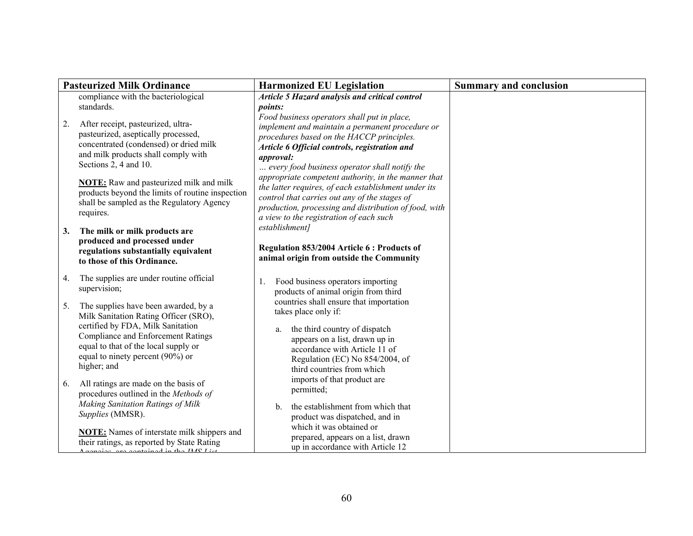|    | <b>Pasteurized Milk Ordinance</b>                                                                                                                                                                                                                   | <b>Harmonized EU Legislation</b>                                                                                                                                                                                                                                 | <b>Summary and conclusion</b> |
|----|-----------------------------------------------------------------------------------------------------------------------------------------------------------------------------------------------------------------------------------------------------|------------------------------------------------------------------------------------------------------------------------------------------------------------------------------------------------------------------------------------------------------------------|-------------------------------|
|    | compliance with the bacteriological<br>standards.                                                                                                                                                                                                   | Article 5 Hazard analysis and critical control<br>points:                                                                                                                                                                                                        |                               |
| 2. | After receipt, pasteurized, ultra-<br>pasteurized, aseptically processed,<br>concentrated (condensed) or dried milk<br>and milk products shall comply with<br>Sections 2, 4 and 10.                                                                 | Food business operators shall put in place,<br>implement and maintain a permanent procedure or<br>procedures based on the HACCP principles.<br>Article 6 Official controls, registration and<br>approval:<br>every food business operator shall notify the       |                               |
|    | <b>NOTE:</b> Raw and pasteurized milk and milk<br>products beyond the limits of routine inspection<br>shall be sampled as the Regulatory Agency<br>requires.                                                                                        | appropriate competent authority, in the manner that<br>the latter requires, of each establishment under its<br>control that carries out any of the stages of<br>production, processing and distribution of food, with<br>a view to the registration of each such |                               |
| 3. | The milk or milk products are<br>produced and processed under<br>regulations substantially equivalent<br>to those of this Ordinance.                                                                                                                | establishment]<br>Regulation 853/2004 Article 6 : Products of<br>animal origin from outside the Community                                                                                                                                                        |                               |
| 4. | The supplies are under routine official<br>supervision;                                                                                                                                                                                             | Food business operators importing<br>1.<br>products of animal origin from third                                                                                                                                                                                  |                               |
| 5. | The supplies have been awarded, by a<br>Milk Sanitation Rating Officer (SRO),<br>certified by FDA, Milk Sanitation<br>Compliance and Enforcement Ratings<br>equal to that of the local supply or<br>equal to ninety percent (90%) or<br>higher; and | countries shall ensure that importation<br>takes place only if:<br>the third country of dispatch<br>a.<br>appears on a list, drawn up in<br>accordance with Article 11 of<br>Regulation (EC) No 854/2004, of<br>third countries from which                       |                               |
| 6. | All ratings are made on the basis of<br>procedures outlined in the Methods of                                                                                                                                                                       | imports of that product are<br>permitted;                                                                                                                                                                                                                        |                               |
|    | Making Sanitation Ratings of Milk<br>Supplies (MMSR).                                                                                                                                                                                               | the establishment from which that<br>$b_{-}$<br>product was dispatched, and in<br>which it was obtained or                                                                                                                                                       |                               |
|    | <b>NOTE:</b> Names of interstate milk shippers and<br>their ratings, as reported by State Rating<br>sias are contained in the IMC List                                                                                                              | prepared, appears on a list, drawn<br>up in accordance with Article 12                                                                                                                                                                                           |                               |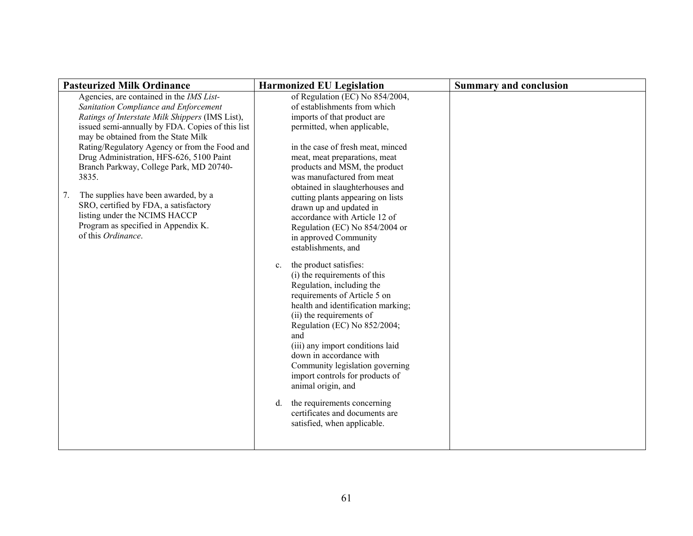| of Regulation (EC) No 854/2004,<br>Agencies, are contained in the IMS List-<br>of establishments from which<br>Sanitation Compliance and Enforcement<br>imports of that product are<br>Ratings of Interstate Milk Shippers (IMS List),<br>issued semi-annually by FDA. Copies of this list<br>permitted, when applicable,<br>may be obtained from the State Milk<br>Rating/Regulatory Agency or from the Food and<br>in the case of fresh meat, minced<br>Drug Administration, HFS-626, 5100 Paint<br>meat, meat preparations, meat<br>Branch Parkway, College Park, MD 20740-<br>products and MSM, the product<br>3835.<br>was manufactured from meat<br>obtained in slaughterhouses and<br>The supplies have been awarded, by a<br>7.<br>cutting plants appearing on lists<br>SRO, certified by FDA, a satisfactory<br>drawn up and updated in<br>listing under the NCIMS HACCP<br>accordance with Article 12 of<br>Program as specified in Appendix K.<br>Regulation (EC) No 854/2004 or<br>of this Ordinance.<br>in approved Community<br>establishments, and<br>the product satisfies:<br>$c_{\cdot}$<br>(i) the requirements of this<br>Regulation, including the<br>requirements of Article 5 on<br>health and identification marking;<br>(ii) the requirements of<br>Regulation (EC) No 852/2004;<br>and<br>(iii) any import conditions laid<br>down in accordance with<br>Community legislation governing<br>import controls for products of<br>animal origin, and<br>the requirements concerning<br>d.<br>certificates and documents are<br>satisfied, when applicable. | <b>Pasteurized Milk Ordinance</b> | <b>Harmonized EU Legislation</b> | <b>Summary and conclusion</b> |
|-----------------------------------------------------------------------------------------------------------------------------------------------------------------------------------------------------------------------------------------------------------------------------------------------------------------------------------------------------------------------------------------------------------------------------------------------------------------------------------------------------------------------------------------------------------------------------------------------------------------------------------------------------------------------------------------------------------------------------------------------------------------------------------------------------------------------------------------------------------------------------------------------------------------------------------------------------------------------------------------------------------------------------------------------------------------------------------------------------------------------------------------------------------------------------------------------------------------------------------------------------------------------------------------------------------------------------------------------------------------------------------------------------------------------------------------------------------------------------------------------------------------------------------------------------------------------------------|-----------------------------------|----------------------------------|-------------------------------|
|                                                                                                                                                                                                                                                                                                                                                                                                                                                                                                                                                                                                                                                                                                                                                                                                                                                                                                                                                                                                                                                                                                                                                                                                                                                                                                                                                                                                                                                                                                                                                                                   |                                   |                                  |                               |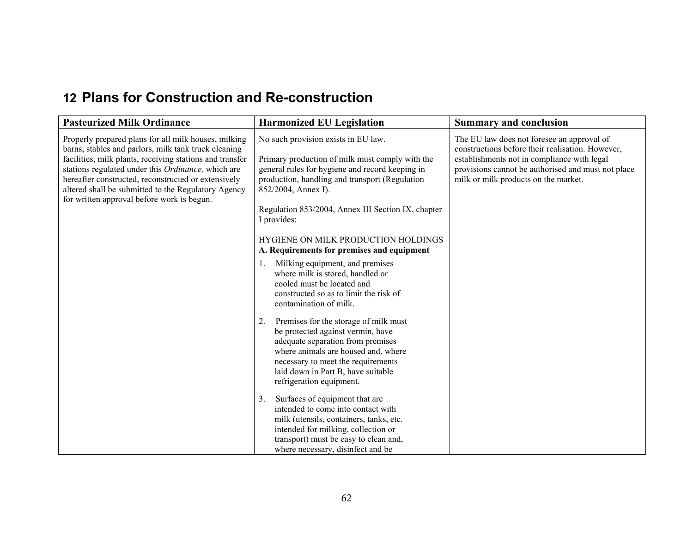## **12 Plans for Construction and Re-construction**

| <b>Pasteurized Milk Ordinance</b>                                                                                                                                                                                                                                                                                                                                                          | <b>Harmonized EU Legislation</b>                                                                                                                                                                                                                                                                                                                                             | <b>Summary and conclusion</b>                                                                                                                                                                                                               |
|--------------------------------------------------------------------------------------------------------------------------------------------------------------------------------------------------------------------------------------------------------------------------------------------------------------------------------------------------------------------------------------------|------------------------------------------------------------------------------------------------------------------------------------------------------------------------------------------------------------------------------------------------------------------------------------------------------------------------------------------------------------------------------|---------------------------------------------------------------------------------------------------------------------------------------------------------------------------------------------------------------------------------------------|
| Properly prepared plans for all milk houses, milking<br>barns, stables and parlors, milk tank truck cleaning<br>facilities, milk plants, receiving stations and transfer<br>stations regulated under this Ordinance, which are<br>hereafter constructed, reconstructed or extensively<br>altered shall be submitted to the Regulatory Agency<br>for written approval before work is begun. | No such provision exists in EU law.<br>Primary production of milk must comply with the<br>general rules for hygiene and record keeping in<br>production, handling and transport (Regulation<br>852/2004, Annex I).<br>Regulation 853/2004, Annex III Section IX, chapter<br>I provides:<br>HYGIENE ON MILK PRODUCTION HOLDINGS<br>A. Requirements for premises and equipment | The EU law does not foresee an approval of<br>constructions before their realisation. However,<br>establishments not in compliance with legal<br>provisions cannot be authorised and must not place<br>milk or milk products on the market. |
|                                                                                                                                                                                                                                                                                                                                                                                            | Milking equipment, and premises<br>1.<br>where milk is stored, handled or<br>cooled must be located and<br>constructed so as to limit the risk of<br>contamination of milk.                                                                                                                                                                                                  |                                                                                                                                                                                                                                             |
|                                                                                                                                                                                                                                                                                                                                                                                            | Premises for the storage of milk must<br>2.<br>be protected against vermin, have<br>adequate separation from premises<br>where animals are housed and, where<br>necessary to meet the requirements<br>laid down in Part B, have suitable<br>refrigeration equipment.                                                                                                         |                                                                                                                                                                                                                                             |
|                                                                                                                                                                                                                                                                                                                                                                                            | Surfaces of equipment that are<br>3.<br>intended to come into contact with<br>milk (utensils, containers, tanks, etc.<br>intended for milking, collection or<br>transport) must be easy to clean and,<br>where necessary, disinfect and be                                                                                                                                   |                                                                                                                                                                                                                                             |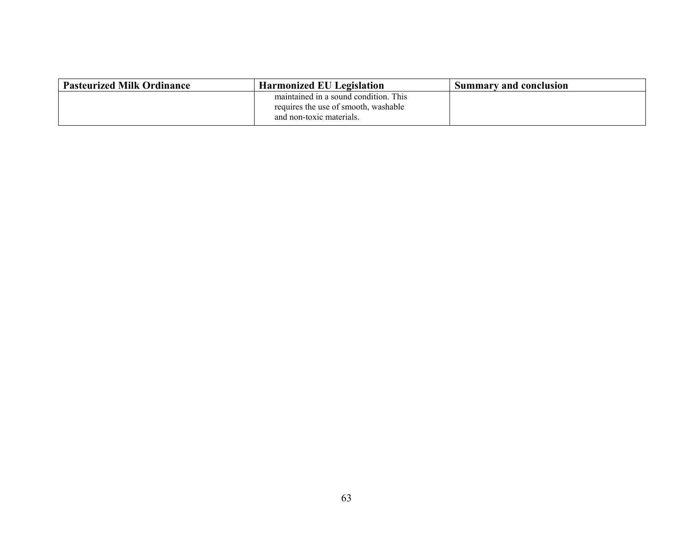| <b>Pasteurized Milk Ordinance</b> | <b>Harmonized EU Legislation</b>                                                                          | <b>Summary and conclusion</b> |
|-----------------------------------|-----------------------------------------------------------------------------------------------------------|-------------------------------|
|                                   | maintained in a sound condition. This<br>requires the use of smooth, washable<br>and non-toxic materials. |                               |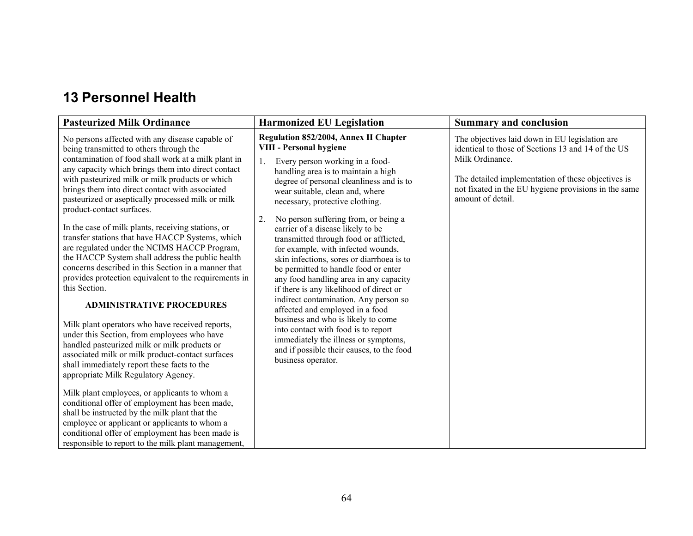## **13 Personnel Health**

| <b>Pasteurized Milk Ordinance</b>                                                                                                                                                                                                                                                                                                                                                                                                                                                                                                                                                                                                                                                                                                                                                                                                                                                                                                                                                                                                                                                                                                                                                                                                                                                                                                                                                               | <b>Harmonized EU Legislation</b>                                                                                                                                                                                                                                                                                                                                                                                                                                                                                                                                                                                                                                                                                                                                                                                                                                                                  | <b>Summary and conclusion</b>                                                                                                                                                                                                                              |
|-------------------------------------------------------------------------------------------------------------------------------------------------------------------------------------------------------------------------------------------------------------------------------------------------------------------------------------------------------------------------------------------------------------------------------------------------------------------------------------------------------------------------------------------------------------------------------------------------------------------------------------------------------------------------------------------------------------------------------------------------------------------------------------------------------------------------------------------------------------------------------------------------------------------------------------------------------------------------------------------------------------------------------------------------------------------------------------------------------------------------------------------------------------------------------------------------------------------------------------------------------------------------------------------------------------------------------------------------------------------------------------------------|---------------------------------------------------------------------------------------------------------------------------------------------------------------------------------------------------------------------------------------------------------------------------------------------------------------------------------------------------------------------------------------------------------------------------------------------------------------------------------------------------------------------------------------------------------------------------------------------------------------------------------------------------------------------------------------------------------------------------------------------------------------------------------------------------------------------------------------------------------------------------------------------------|------------------------------------------------------------------------------------------------------------------------------------------------------------------------------------------------------------------------------------------------------------|
| No persons affected with any disease capable of<br>being transmitted to others through the<br>contamination of food shall work at a milk plant in<br>any capacity which brings them into direct contact<br>with pasteurized milk or milk products or which<br>brings them into direct contact with associated<br>pasteurized or aseptically processed milk or milk<br>product-contact surfaces.<br>In the case of milk plants, receiving stations, or<br>transfer stations that have HACCP Systems, which<br>are regulated under the NCIMS HACCP Program,<br>the HACCP System shall address the public health<br>concerns described in this Section in a manner that<br>provides protection equivalent to the requirements in<br>this Section.<br><b>ADMINISTRATIVE PROCEDURES</b><br>Milk plant operators who have received reports,<br>under this Section, from employees who have<br>handled pasteurized milk or milk products or<br>associated milk or milk product-contact surfaces<br>shall immediately report these facts to the<br>appropriate Milk Regulatory Agency.<br>Milk plant employees, or applicants to whom a<br>conditional offer of employment has been made,<br>shall be instructed by the milk plant that the<br>employee or applicant or applicants to whom a<br>conditional offer of employment has been made is<br>responsible to report to the milk plant management, | <b>Regulation 852/2004, Annex II Chapter</b><br><b>VIII - Personal hygiene</b><br>1.<br>Every person working in a food-<br>handling area is to maintain a high<br>degree of personal cleanliness and is to<br>wear suitable, clean and, where<br>necessary, protective clothing.<br>2.<br>No person suffering from, or being a<br>carrier of a disease likely to be<br>transmitted through food or afflicted,<br>for example, with infected wounds,<br>skin infections, sores or diarrhoea is to<br>be permitted to handle food or enter<br>any food handling area in any capacity<br>if there is any likelihood of direct or<br>indirect contamination. Any person so<br>affected and employed in a food<br>business and who is likely to come<br>into contact with food is to report<br>immediately the illness or symptoms,<br>and if possible their causes, to the food<br>business operator. | The objectives laid down in EU legislation are<br>identical to those of Sections 13 and 14 of the US<br>Milk Ordinance.<br>The detailed implementation of these objectives is<br>not fixated in the EU hygiene provisions in the same<br>amount of detail. |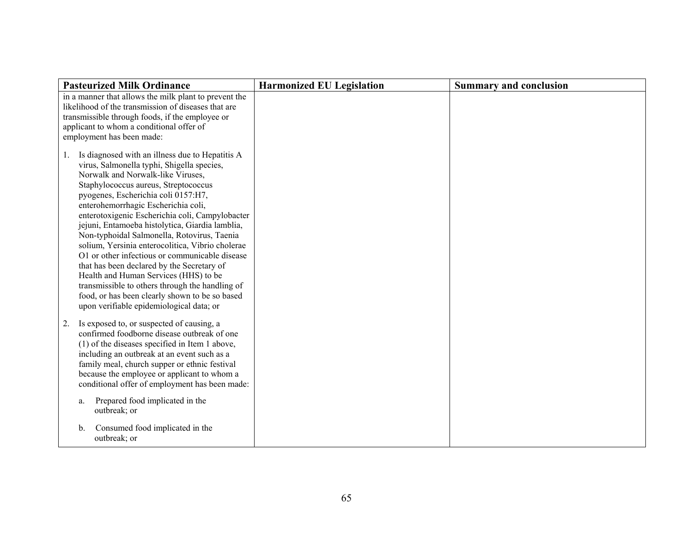| <b>Pasteurized Milk Ordinance</b>                                                                                                                                                                                                                                                                                                                                                                                                                                                                                                                                                                                                                                                                                                                                 | <b>Harmonized EU Legislation</b> | <b>Summary and conclusion</b> |
|-------------------------------------------------------------------------------------------------------------------------------------------------------------------------------------------------------------------------------------------------------------------------------------------------------------------------------------------------------------------------------------------------------------------------------------------------------------------------------------------------------------------------------------------------------------------------------------------------------------------------------------------------------------------------------------------------------------------------------------------------------------------|----------------------------------|-------------------------------|
| in a manner that allows the milk plant to prevent the<br>likelihood of the transmission of diseases that are<br>transmissible through foods, if the employee or<br>applicant to whom a conditional offer of<br>employment has been made:                                                                                                                                                                                                                                                                                                                                                                                                                                                                                                                          |                                  |                               |
| Is diagnosed with an illness due to Hepatitis A<br>1.<br>virus, Salmonella typhi, Shigella species,<br>Norwalk and Norwalk-like Viruses,<br>Staphylococcus aureus, Streptococcus<br>pyogenes, Escherichia coli 0157:H7,<br>enterohemorrhagic Escherichia coli,<br>enterotoxigenic Escherichia coli, Campylobacter<br>jejuni, Entamoeba histolytica, Giardia lamblia,<br>Non-typhoidal Salmonella, Rotovirus, Taenia<br>solium, Yersinia enterocolitica, Vibrio cholerae<br>O1 or other infectious or communicable disease<br>that has been declared by the Secretary of<br>Health and Human Services (HHS) to be<br>transmissible to others through the handling of<br>food, or has been clearly shown to be so based<br>upon verifiable epidemiological data; or |                                  |                               |
| Is exposed to, or suspected of causing, a<br>2.<br>confirmed foodborne disease outbreak of one<br>(1) of the diseases specified in Item 1 above,<br>including an outbreak at an event such as a<br>family meal, church supper or ethnic festival<br>because the employee or applicant to whom a<br>conditional offer of employment has been made:                                                                                                                                                                                                                                                                                                                                                                                                                 |                                  |                               |
| Prepared food implicated in the<br>a.<br>outbreak; or                                                                                                                                                                                                                                                                                                                                                                                                                                                                                                                                                                                                                                                                                                             |                                  |                               |
| Consumed food implicated in the<br>$\mathbf{b}$ .<br>outbreak; or                                                                                                                                                                                                                                                                                                                                                                                                                                                                                                                                                                                                                                                                                                 |                                  |                               |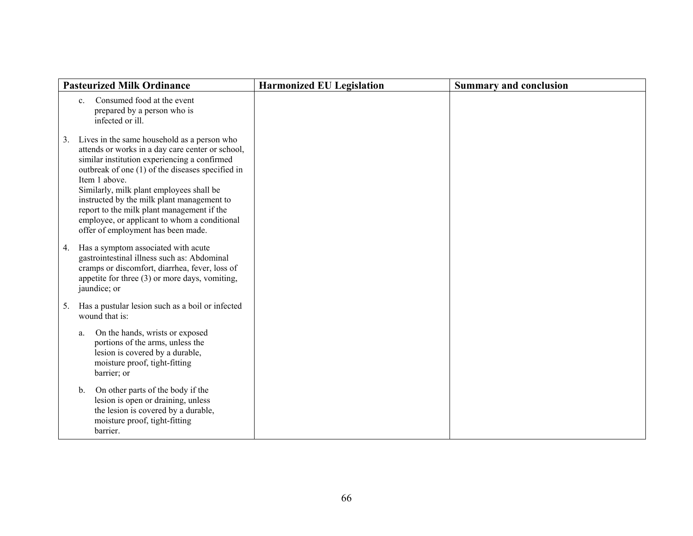|    | <b>Pasteurized Milk Ordinance</b>                                                                                                                                                                                                                                                                                                                                                                                                                  | <b>Harmonized EU Legislation</b> | <b>Summary and conclusion</b> |
|----|----------------------------------------------------------------------------------------------------------------------------------------------------------------------------------------------------------------------------------------------------------------------------------------------------------------------------------------------------------------------------------------------------------------------------------------------------|----------------------------------|-------------------------------|
|    | Consumed food at the event<br>$c_{\cdot}$<br>prepared by a person who is<br>infected or ill.                                                                                                                                                                                                                                                                                                                                                       |                                  |                               |
| 3. | Lives in the same household as a person who<br>attends or works in a day care center or school,<br>similar institution experiencing a confirmed<br>outbreak of one (1) of the diseases specified in<br>Item 1 above.<br>Similarly, milk plant employees shall be<br>instructed by the milk plant management to<br>report to the milk plant management if the<br>employee, or applicant to whom a conditional<br>offer of employment has been made. |                                  |                               |
| 4. | Has a symptom associated with acute<br>gastrointestinal illness such as: Abdominal<br>cramps or discomfort, diarrhea, fever, loss of<br>appetite for three $(3)$ or more days, vomiting,<br>jaundice; or                                                                                                                                                                                                                                           |                                  |                               |
| 5. | Has a pustular lesion such as a boil or infected<br>wound that is:                                                                                                                                                                                                                                                                                                                                                                                 |                                  |                               |
|    | On the hands, wrists or exposed<br>a.<br>portions of the arms, unless the<br>lesion is covered by a durable,<br>moisture proof, tight-fitting<br>barrier; or                                                                                                                                                                                                                                                                                       |                                  |                               |
|    | On other parts of the body if the<br>b.<br>lesion is open or draining, unless<br>the lesion is covered by a durable,<br>moisture proof, tight-fitting<br>barrier.                                                                                                                                                                                                                                                                                  |                                  |                               |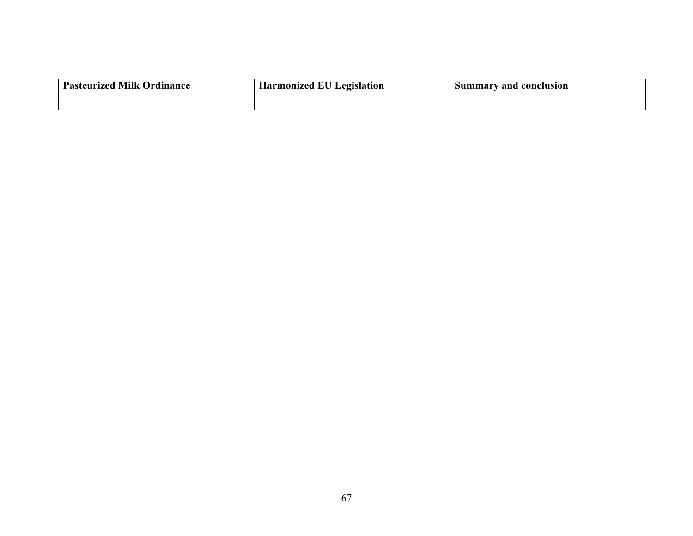| <b>Milk</b><br><b>Pasteurized</b><br><b>Ordinance</b> | Legislation<br><b>Harmonized EU</b> | Summarv and<br><b>conclusion</b> |
|-------------------------------------------------------|-------------------------------------|----------------------------------|
|                                                       |                                     |                                  |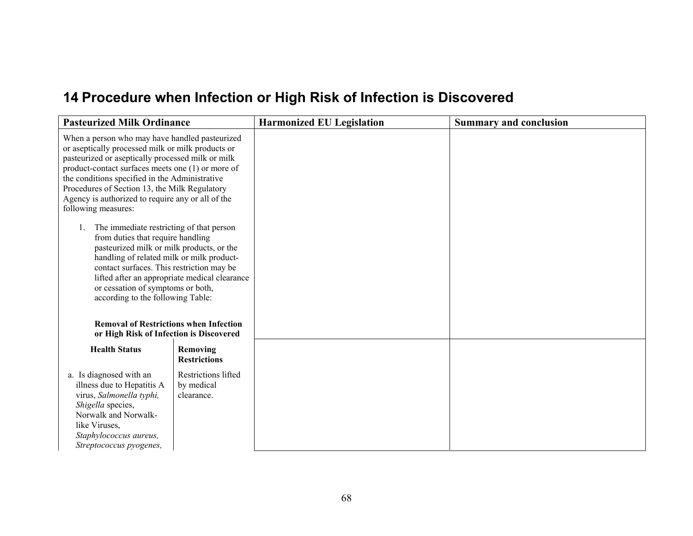# **14 Procedure when Infection or High Risk of Infection is Discovered**

| <b>Pasteurized Milk Ordinance</b>                                                                                                                                                                                                                                                                                                                                                                         |                                                        | <b>Harmonized EU Legislation</b> | <b>Summary and conclusion</b> |
|-----------------------------------------------------------------------------------------------------------------------------------------------------------------------------------------------------------------------------------------------------------------------------------------------------------------------------------------------------------------------------------------------------------|--------------------------------------------------------|----------------------------------|-------------------------------|
| When a person who may have handled pasteurized<br>or aseptically processed milk or milk products or<br>pasteurized or aseptically processed milk or milk<br>product-contact surfaces meets one (1) or more of<br>the conditions specified in the Administrative<br>Procedures of Section 13, the Milk Regulatory<br>Agency is authorized to require any or all of the<br>following measures:              |                                                        |                                  |                               |
| The immediate restricting of that person<br>$1_{\cdot}$<br>from duties that require handling<br>pasteurized milk or milk products, or the<br>handling of related milk or milk product-<br>contact surfaces. This restriction may be<br>or cessation of symptoms or both,<br>according to the following Table:<br><b>Removal of Restrictions when Infection</b><br>or High Risk of Infection is Discovered | lifted after an appropriate medical clearance          |                                  |                               |
| <b>Health Status</b>                                                                                                                                                                                                                                                                                                                                                                                      | Removing<br><b>Restrictions</b>                        |                                  |                               |
| a. Is diagnosed with an<br>illness due to Hepatitis A<br>virus, Salmonella typhi,<br>Shigella species,<br>Norwalk and Norwalk-<br>like Viruses,<br>Staphylococcus aureus,<br>Streptococcus pyogenes,                                                                                                                                                                                                      | <b>Restrictions lifted</b><br>by medical<br>clearance. |                                  |                               |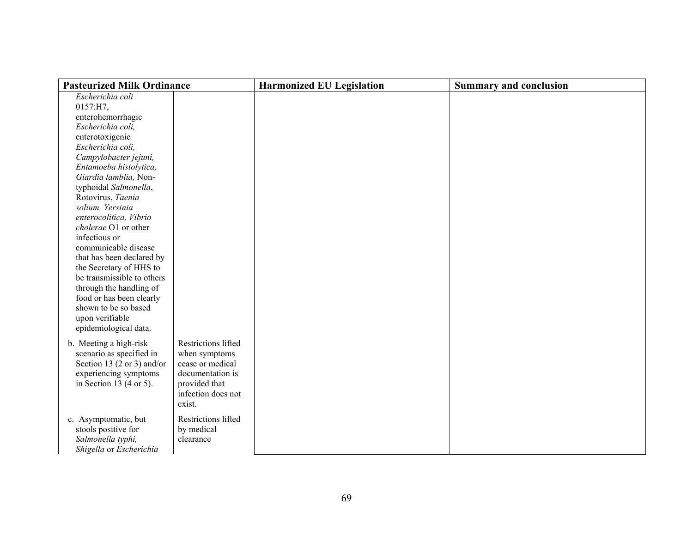| <b>Pasteurized Milk Ordinance</b>   |                     | <b>Harmonized EU Legislation</b> | <b>Summary and conclusion</b> |
|-------------------------------------|---------------------|----------------------------------|-------------------------------|
| Escherichia coli                    |                     |                                  |                               |
| 0157:H7,                            |                     |                                  |                               |
| enterohemorrhagic                   |                     |                                  |                               |
| Escherichia coli,                   |                     |                                  |                               |
| enterotoxigenic                     |                     |                                  |                               |
| Escherichia coli,                   |                     |                                  |                               |
| Campylobacter jejuni,               |                     |                                  |                               |
| Entamoeba histolytica,              |                     |                                  |                               |
| Giardia lamblia, Non-               |                     |                                  |                               |
| typhoidal Salmonella,               |                     |                                  |                               |
| Rotovirus, Taenia                   |                     |                                  |                               |
| solium, Yersinia                    |                     |                                  |                               |
| enterocolitica, Vibrio              |                     |                                  |                               |
| cholerae O1 or other                |                     |                                  |                               |
| infectious or                       |                     |                                  |                               |
| communicable disease                |                     |                                  |                               |
| that has been declared by           |                     |                                  |                               |
| the Secretary of HHS to             |                     |                                  |                               |
| be transmissible to others          |                     |                                  |                               |
| through the handling of             |                     |                                  |                               |
| food or has been clearly            |                     |                                  |                               |
| shown to be so based                |                     |                                  |                               |
| upon verifiable                     |                     |                                  |                               |
| epidemiological data.               |                     |                                  |                               |
| b. Meeting a high-risk              | Restrictions lifted |                                  |                               |
| scenario as specified in            | when symptoms       |                                  |                               |
| Section 13 (2 or 3) and/or          | cease or medical    |                                  |                               |
| experiencing symptoms               | documentation is    |                                  |                               |
| in Section 13 $(4 \text{ or } 5)$ . | provided that       |                                  |                               |
|                                     | infection does not  |                                  |                               |
|                                     | exist.              |                                  |                               |
|                                     |                     |                                  |                               |
| c. Asymptomatic, but                | Restrictions lifted |                                  |                               |
| stools positive for                 | by medical          |                                  |                               |
| Salmonella typhi,                   | clearance           |                                  |                               |
| Shigella or Escherichia             |                     |                                  |                               |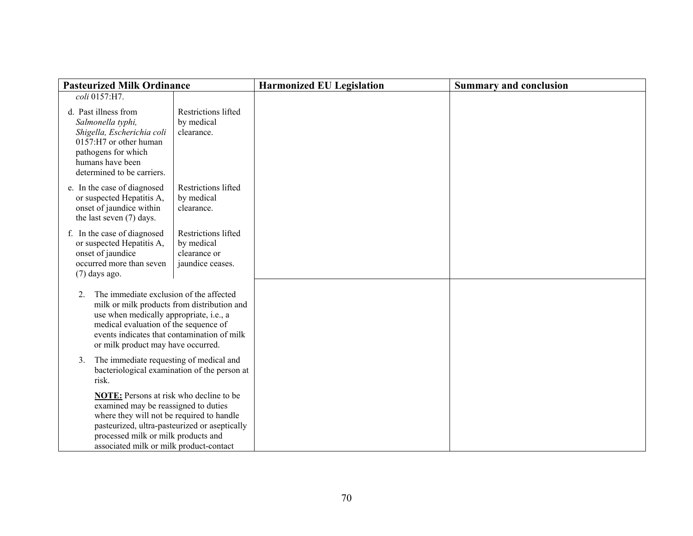| <b>Pasteurized Milk Ordinance</b>                                                                                                                                                                                                                                        |                                                                              | <b>Harmonized EU Legislation</b> | <b>Summary and conclusion</b> |
|--------------------------------------------------------------------------------------------------------------------------------------------------------------------------------------------------------------------------------------------------------------------------|------------------------------------------------------------------------------|----------------------------------|-------------------------------|
| coli 0157:H7.                                                                                                                                                                                                                                                            |                                                                              |                                  |                               |
| d. Past illness from<br>Salmonella typhi,<br>Shigella, Escherichia coli<br>0157:H7 or other human<br>pathogens for which<br>humans have been<br>determined to be carriers.                                                                                               | <b>Restrictions lifted</b><br>by medical<br>clearance.                       |                                  |                               |
| e. In the case of diagnosed<br>or suspected Hepatitis A,<br>onset of jaundice within<br>the last seven (7) days.                                                                                                                                                         | <b>Restrictions lifted</b><br>by medical<br>clearance.                       |                                  |                               |
| f. In the case of diagnosed<br>or suspected Hepatitis A,<br>onset of jaundice<br>occurred more than seven<br>$(7)$ days ago.                                                                                                                                             | <b>Restrictions lifted</b><br>by medical<br>clearance or<br>jaundice ceases. |                                  |                               |
| The immediate exclusion of the affected<br>$2$ .<br>milk or milk products from distribution and<br>use when medically appropriate, i.e., a<br>medical evaluation of the sequence of<br>events indicates that contamination of milk<br>or milk product may have occurred. |                                                                              |                                  |                               |
| The immediate requesting of medical and<br>3 <sub>1</sub><br>bacteriological examination of the person at<br>risk.                                                                                                                                                       |                                                                              |                                  |                               |
| NOTE: Persons at risk who decline to be<br>examined may be reassigned to duties<br>where they will not be required to handle<br>pasteurized, ultra-pasteurized or aseptically<br>processed milk or milk products and<br>associated milk or milk product-contact          |                                                                              |                                  |                               |